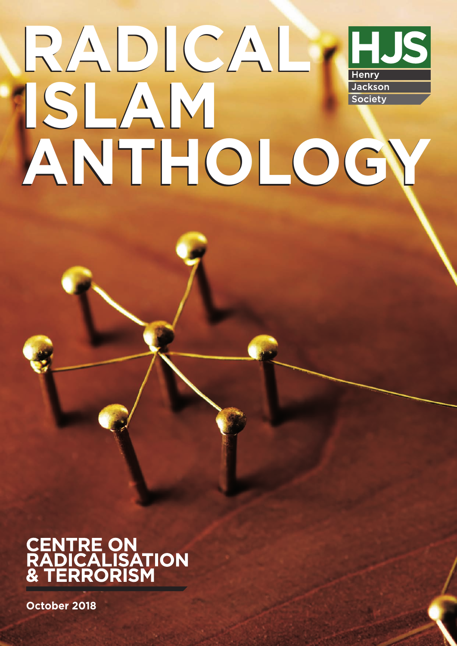## **RADICAL RADICAL** HJS Henry **ISLAM ISLAM** Jackson Society **ANTHOLOGY ANTHOLOGY**

## **CENTRE ON<br>RADICALISATION<br>& TERRORISM**

**October 2018**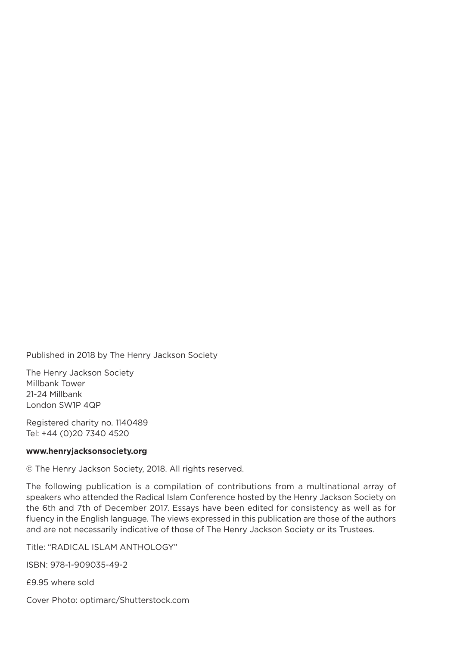Published in 2018 by The Henry Jackson Society

The Henry Jackson Society Millbank Tower 21-24 Millbank London SW1P 4QP

Registered charity no. 1140489 Tel: +44 (0)20 7340 4520

#### **www.henryjacksonsociety.org**

© The Henry Jackson Society, 2018. All rights reserved.

The following publication is a compilation of contributions from a multinational array of speakers who attended the Radical Islam Conference hosted by the Henry Jackson Society on the 6th and 7th of December 2017. Essays have been edited for consistency as well as for fluency in the English language. The views expressed in this publication are those of the authors and are not necessarily indicative of those of The Henry Jackson Society or its Trustees.

Title: "RADICAL ISLAM AnTHoLogy"

ISBn: 978-1-909035-49-2

£9.95 where sold

Cover Photo: optimarc/Shutterstock.com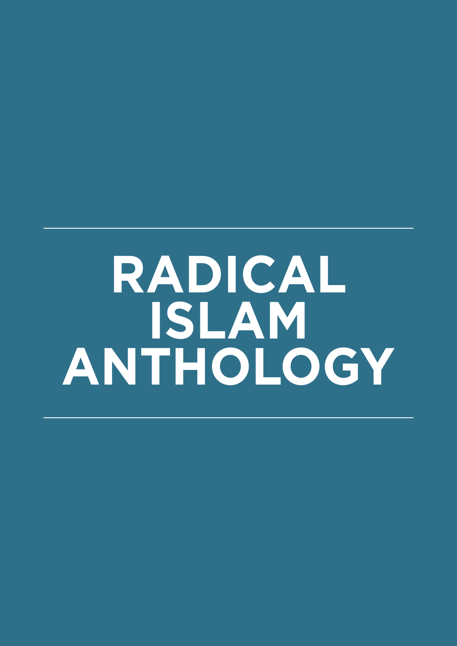## **RADICAL ISLAM ANTHOLOGY**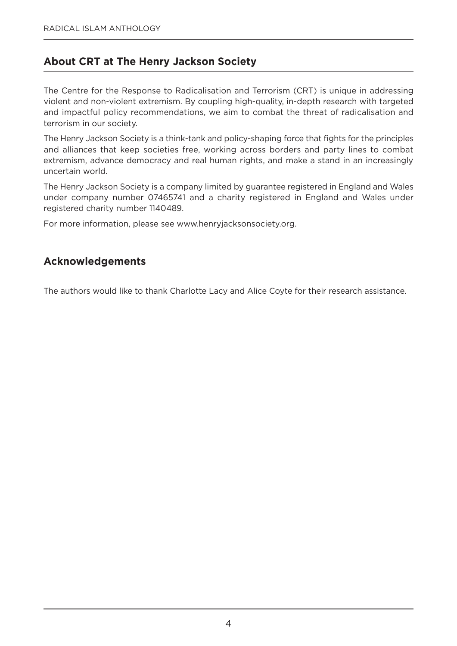#### **About CRT at The Henry Jackson Society**

The Centre for the Response to Radicalisation and Terrorism (CRT) is unique in addressing violent and non-violent extremism. By coupling high-quality, in-depth research with targeted and impactful policy recommendations, we aim to combat the threat of radicalisation and terrorism in our society.

The Henry Jackson Society is a think-tank and policy-shaping force that fights for the principles and alliances that keep societies free, working across borders and party lines to combat extremism, advance democracy and real human rights, and make a stand in an increasingly uncertain world.

The Henry Jackson Society is a company limited by guarantee registered in England and Wales under company number 07465741 and a charity registered in England and Wales under registered charity number 1140489.

For more information, please see www.henryjacksonsociety.org.

#### **Acknowledgements**

The authors would like to thank Charlotte Lacy and Alice Coyte for their research assistance.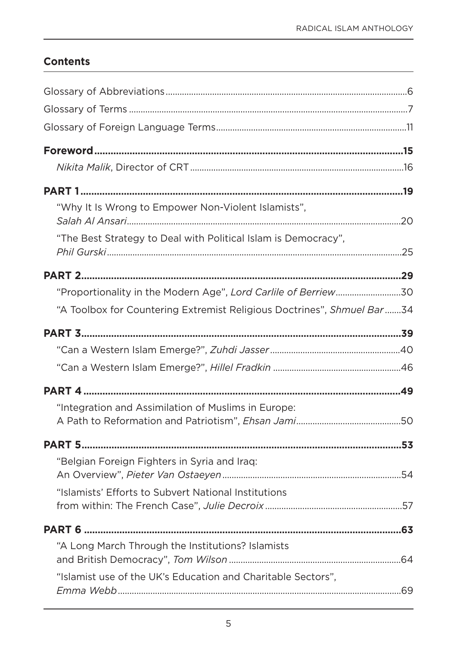#### **Contents**

| "Why It Is Wrong to Empower Non-Violent Islamists",                    |  |
|------------------------------------------------------------------------|--|
| "The Best Strategy to Deal with Political Islam is Democracy",         |  |
|                                                                        |  |
| "Proportionality in the Modern Age", Lord Carlile of Berriew30         |  |
| "A Toolbox for Countering Extremist Religious Doctrines", Shmuel Bar34 |  |
|                                                                        |  |
|                                                                        |  |
|                                                                        |  |
|                                                                        |  |
| "Integration and Assimilation of Muslims in Europe:                    |  |
|                                                                        |  |
| "Belgian Foreign Fighters in Syria and Iraq:                           |  |
| "Islamists' Efforts to Subvert National Institutions                   |  |
|                                                                        |  |
| "A Long March Through the Institutions? Islamists                      |  |
| "Islamist use of the UK's Education and Charitable Sectors",           |  |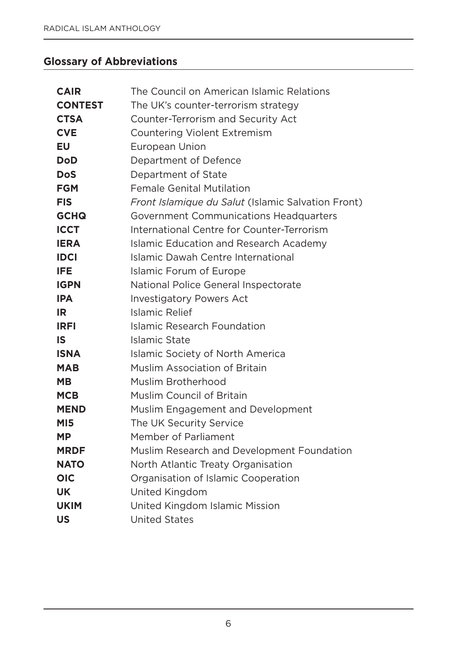#### **Glossary of Abbreviations**

| <b>CAIR</b>    | The Council on American Islamic Relations          |
|----------------|----------------------------------------------------|
| <b>CONTEST</b> | The UK's counter-terrorism strategy                |
| <b>CTSA</b>    | Counter-Terrorism and Security Act                 |
| <b>CVE</b>     | <b>Countering Violent Extremism</b>                |
| <b>EU</b>      | European Union                                     |
| <b>DoD</b>     | Department of Defence                              |
| <b>DoS</b>     | Department of State                                |
| <b>FGM</b>     | <b>Female Genital Mutilation</b>                   |
| <b>FIS</b>     | Front Islamique du Salut (Islamic Salvation Front) |
| <b>GCHQ</b>    | Government Communications Headquarters             |
| <b>ICCT</b>    | International Centre for Counter-Terrorism         |
| <b>IERA</b>    | Islamic Education and Research Academy             |
| <b>IDCI</b>    | Islamic Dawah Centre International                 |
| <b>IFE</b>     | <b>Islamic Forum of Europe</b>                     |
| <b>IGPN</b>    | National Police General Inspectorate               |
| <b>IPA</b>     | <b>Investigatory Powers Act</b>                    |
| IR.            | Islamic Relief                                     |
| <b>IRFI</b>    | Islamic Research Foundation                        |
| <b>IS</b>      | Islamic State                                      |
| <b>ISNA</b>    | Islamic Society of North America                   |
| <b>MAB</b>     | <b>Muslim Association of Britain</b>               |
| <b>MB</b>      | Muslim Brotherhood                                 |
| <b>MCB</b>     | <b>Muslim Council of Britain</b>                   |
| <b>MEND</b>    | Muslim Engagement and Development                  |
| <b>MI5</b>     | The UK Security Service                            |
| <b>MP</b>      | Member of Parliament                               |
| <b>MRDF</b>    | Muslim Research and Development Foundation         |
| <b>NATO</b>    | North Atlantic Treaty Organisation                 |
| <b>OIC</b>     | Organisation of Islamic Cooperation                |
| <b>UK</b>      | United Kingdom                                     |
| <b>UKIM</b>    | United Kingdom Islamic Mission                     |
| <b>US</b>      | <b>United States</b>                               |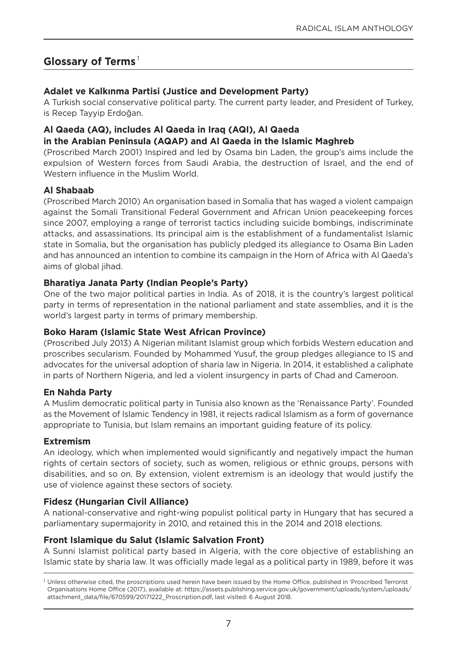#### **Glossary of Terms** <sup>1</sup>

#### **Adalet ve Kalkınma Partisi (Justice and Development Party)**

A Turkish social conservative political party. The current party leader, and President of Turkey, is Recep Tayyip Erdoğan.

#### **Al Qaeda (AQ), includes Al Qaeda in Iraq (AQI), Al Qaeda in the Arabian Peninsula (AQAP) and Al Qaeda in the Islamic Maghreb**

(Proscribed March 2001) Inspired and led by osama bin Laden, the group's aims include the expulsion of Western forces from Saudi Arabia, the destruction of Israel, and the end of Western influence in the Muslim World.

#### **Al Shabaab**

(Proscribed March 2010) An organisation based in Somalia that has waged a violent campaign against the Somali Transitional Federal government and African Union peacekeeping forces since 2007, employing a range of terrorist tactics including suicide bombings, indiscriminate attacks, and assassinations. Its principal aim is the establishment of a fundamentalist Islamic state in Somalia, but the organisation has publicly pledged its allegiance to osama Bin Laden and has announced an intention to combine its campaign in the Horn of Africa with Al Qaeda's aims of global jihad.

#### **Bharatiya Janata Party (Indian People's Party)**

one of the two major political parties in India. As of 2018, it is the country's largest political party in terms of representation in the national parliament and state assemblies, and it is the world's largest party in terms of primary membership.

#### **Boko Haram (Islamic State West African Province)**

(Proscribed July 2013) A nigerian militant Islamist group which forbids Western education and proscribes secularism. Founded by Mohammed yusuf, the group pledges allegiance to IS and advocates for the universal adoption of sharia law in nigeria. In 2014, it established a caliphate in parts of Northern Nigeria, and led a violent insurgency in parts of Chad and Cameroon.

#### **En Nahda Party**

A Muslim democratic political party in Tunisia also known as the 'Renaissance Party'. Founded as the Movement of Islamic Tendency in 1981, it rejects radical Islamism as a form of governance appropriate to Tunisia, but Islam remains an important guiding feature of its policy.

#### **Extremism**

An ideology, which when implemented would significantly and negatively impact the human rights of certain sectors of society, such as women, religious or ethnic groups, persons with disabilities, and so on. By extension, violent extremism is an ideology that would justify the use of violence against these sectors of society.

#### **Fidesz (Hungarian Civil Alliance)**

A national-conservative and right-wing populist political party in Hungary that has secured a parliamentary supermajority in 2010, and retained this in the 2014 and 2018 elections.

#### **Front Islamique du Salut (Islamic Salvation Front)**

A Sunni Islamist political party based in Algeria, with the core objective of establishing an Islamic state by sharia law. It was officially made legal as a political party in 1989, before it was

<sup>&</sup>lt;sup>1</sup> Unless otherwise cited, the proscriptions used herein have been issued by the Home Office, published in 'Proscribed Terrorist organisations Home office (2017), available at: https://assets.publishing.service.gov.uk/government/uploads/system/uploads/ attachment\_data/file/670599/20171222\_Proscription.pdf, last visited: 6 August 2018.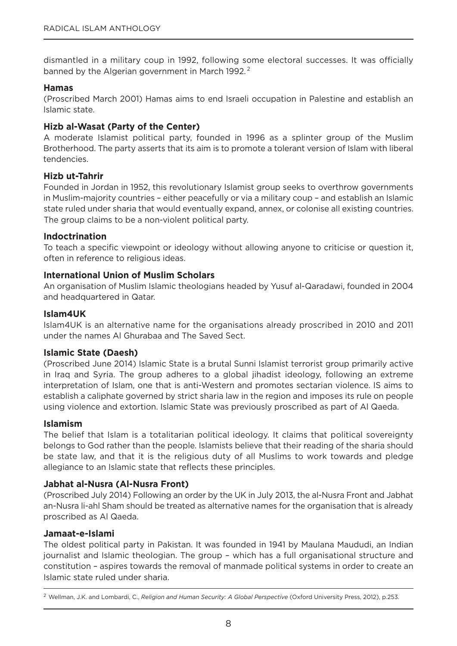dismantled in a military coup in 1992, following some electoral successes. It was officially banned by the Algerian government in March 1992.<sup>2</sup>

#### **Hamas**

(Proscribed March 2001) Hamas aims to end Israeli occupation in Palestine and establish an Islamic state.

#### **Hizb al-Wasat (Party of the Center)**

A moderate Islamist political party, founded in 1996 as a splinter group of the Muslim Brotherhood. The party asserts that its aim is to promote a tolerant version of Islam with liberal tendencies.

#### **Hizb ut-Tahrir**

Founded in Jordan in 1952, this revolutionary Islamist group seeks to overthrow governments in Muslim-majority countries – either peacefully or via a military coup – and establish an Islamic state ruled under sharia that would eventually expand, annex, or colonise all existing countries. The group claims to be a non-violent political party.

#### **Indoctrination**

To teach a specific viewpoint or ideology without allowing anyone to criticise or question it, often in reference to religious ideas.

#### **International Union of Muslim Scholars**

An organisation of Muslim Islamic theologians headed by yusuf al-Qaradawi, founded in 2004 and headquartered in Qatar.

#### **Islam4UK**

Islam4UK is an alternative name for the organisations already proscribed in 2010 and 2011 under the names Al ghurabaa and The Saved Sect.

#### **Islamic State (Daesh)**

(Proscribed June 2014) Islamic State is a brutal Sunni Islamist terrorist group primarily active in Iraq and Syria. The group adheres to a global jihadist ideology, following an extreme interpretation of Islam, one that is anti-Western and promotes sectarian violence. IS aims to establish a caliphate governed by strict sharia law in the region and imposes its rule on people using violence and extortion. Islamic State was previously proscribed as part of Al Qaeda.

#### **Islamism**

The belief that Islam is a totalitarian political ideology. It claims that political sovereignty belongs to god rather than the people. Islamists believe that their reading of the sharia should be state law, and that it is the religious duty of all Muslims to work towards and pledge allegiance to an Islamic state that reflects these principles.

#### **Jabhat al-Nusra (Al-Nusra Front)**

(Proscribed July 2014) Following an order by the UK in July 2013, the al-nusra Front and Jabhat an-Nusra li-ahl Sham should be treated as alternative names for the organisation that is already proscribed as Al Qaeda.

#### **Jamaat-e-Islami**

The oldest political party in Pakistan. It was founded in 1941 by Maulana Maududi, an Indian journalist and Islamic theologian. The group – which has a full organisational structure and constitution – aspires towards the removal of manmade political systems in order to create an Islamic state ruled under sharia.

<sup>2</sup> Wellman, J.K. and Lombardi, C., *Religion and Human Security: A Global Perspective* (oxford University Press, 2012), p.253.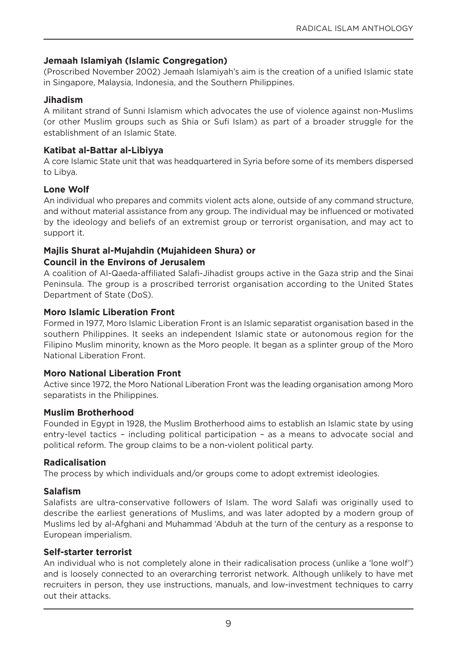#### **Jemaah Islamiyah (Islamic Congregation)**

(Proscribed november 2002) Jemaah Islamiyah's aim is the creation of a unified Islamic state in Singapore, Malaysia, Indonesia, and the Southern Philippines.

#### **Jihadism**

A militant strand of Sunni Islamism which advocates the use of violence against non-Muslims (or other Muslim groups such as Shia or Sufi Islam) as part of a broader struggle for the establishment of an Islamic State.

#### **Katibat al-Battar al-Libiyya**

A core Islamic State unit that was headquartered in Syria before some of its members dispersed to Libya.

#### **Lone Wolf**

An individual who prepares and commits violent acts alone, outside of any command structure, and without material assistance from any group. The individual may be influenced or motivated by the ideology and beliefs of an extremist group or terrorist organisation, and may act to support it.

#### **Majlis Shurat al-Mujahdin (Mujahideen Shura) or Council in the Environs of Jerusalem**

A coalition of Al-Qaeda-affiliated Salafi-Jihadist groups active in the gaza strip and the Sinai Peninsula. The group is a proscribed terrorist organisation according to the United States Department of State (DoS).

#### **Moro Islamic Liberation Front**

Formed in 1977, Moro Islamic Liberation Front is an Islamic separatist organisation based in the southern Philippines. It seeks an independent Islamic state or autonomous region for the Filipino Muslim minority, known as the Moro people. It began as a splinter group of the Moro National Liberation Front.

#### **Moro National Liberation Front**

Active since 1972, the Moro National Liberation Front was the leading organisation among Moro separatists in the Philippines.

#### **Muslim Brotherhood**

Founded in Egypt in 1928, the Muslim Brotherhood aims to establish an Islamic state by using entry-level tactics – including political participation – as a means to advocate social and political reform. The group claims to be a non-violent political party.

#### **Radicalisation**

The process by which individuals and/or groups come to adopt extremist ideologies.

#### **Salafism**

Salafists are ultra-conservative followers of Islam. The word Salafi was originally used to describe the earliest generations of Muslims, and was later adopted by a modern group of Muslims led by al-Afghani and Muhammad 'Abduh at the turn of the century as a response to European imperialism.

#### **Self-starter terrorist**

An individual who is not completely alone in their radicalisation process (unlike a 'lone wolf') and is loosely connected to an overarching terrorist network. Although unlikely to have met recruiters in person, they use instructions, manuals, and low-investment techniques to carry out their attacks.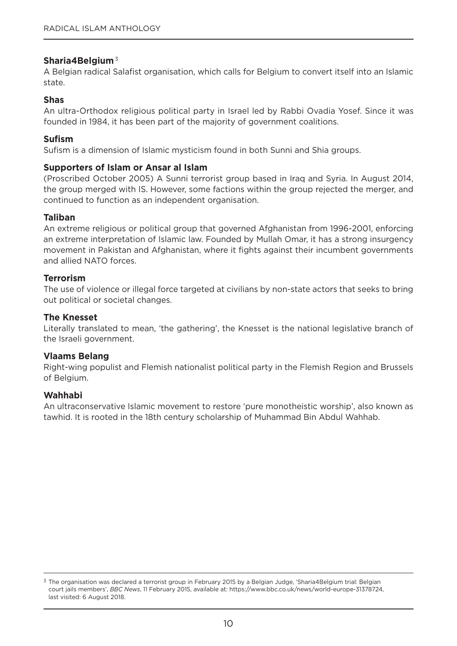#### **Sharia4Belgium**<sup>3</sup>

A Belgian radical Salafist organisation, which calls for Belgium to convert itself into an Islamic state.

#### **Shas**

An ultra-orthodox religious political party in Israel led by Rabbi ovadia yosef. Since it was founded in 1984, it has been part of the majority of government coalitions.

#### **Sufism**

Sufism is a dimension of Islamic mysticism found in both Sunni and Shia groups.

#### **Supporters of Islam or Ansar al Islam**

(Proscribed october 2005) A Sunni terrorist group based in Iraq and Syria. In August 2014, the group merged with IS. However, some factions within the group rejected the merger, and continued to function as an independent organisation.

#### **Taliban**

An extreme religious or political group that governed Afghanistan from 1996-2001, enforcing an extreme interpretation of Islamic law. Founded by Mullah omar, it has a strong insurgency movement in Pakistan and Afghanistan, where it fights against their incumbent governments and allied NATO forces.

#### **Terrorism**

The use of violence or illegal force targeted at civilians by non-state actors that seeks to bring out political or societal changes.

#### **The Knesset**

Literally translated to mean, 'the gathering', the Knesset is the national legislative branch of the Israeli government.

#### **Vlaams Belang**

Right-wing populist and Flemish nationalist political party in the Flemish Region and Brussels of Belgium.

#### **Wahhabi**

An ultraconservative Islamic movement to restore 'pure monotheistic worship', also known as tawhid. It is rooted in the 18th century scholarship of Muhammad Bin Abdul Wahhab.

<sup>&</sup>lt;sup>3</sup> The organisation was declared a terrorist group in February 2015 by a Belgian Judge, 'Sharia4Belgium trial: Belgian court jails members', *BBC News*, 11 February 2015, available at: https://www.bbc.co.uk/news/world-europe-31378724, last visited: 6 August 2018.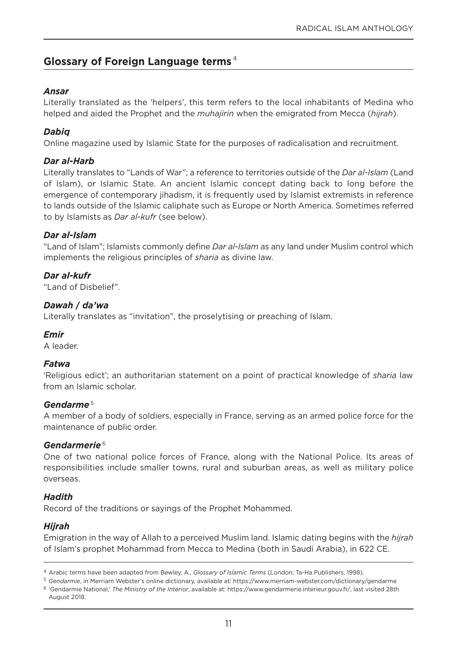#### **Glossary of Foreign Language terms** <sup>4</sup>

#### *Ansar*

Literally translated as the 'helpers', this term refers to the local inhabitants of Medina who helped and aided the Prophet and the *muhajirin* when the emigrated from Mecca (*hijrah*).

#### *Dabiq*

online magazine used by Islamic State for the purposes of radicalisation and recruitment.

#### *Dar al-Harb*

Literally translates to "Lands of War"; a reference to territories outside of the *Dar al-Islam* (Land of Islam), or Islamic State. An ancient Islamic concept dating back to long before the emergence of contemporary jihadism, it is frequently used by Islamist extremists in reference to lands outside of the Islamic caliphate such as Europe or north America. Sometimes referred to by Islamists as *Dar al-kufr* (see below).

#### *Dar al-Islam*

"Land of Islam"; Islamists commonly define *Dar al-Islam* as any land under Muslim control which implements the religious principles of *sharia* as divine law.

*Dar al-kufr*  "Land of Disbelief".

#### *Dawah* **/** *da'wa*

Literally translates as "invitation", the proselytising or preaching of Islam.

#### *Emir*

A leader.

#### *Fatwa*

'Religious edict'; an authoritarian statement on a point of practical knowledge of *sharia* law from an Islamic scholar.

#### *Gendarme* <sup>5</sup>

A member of a body of soldiers, especially in France, serving as an armed police force for the maintenance of public order.

#### *Gendarmerie* <sup>6</sup>

One of two national police forces of France, along with the National Police. Its areas of responsibilities include smaller towns, rural and suburban areas, as well as military police overseas.

#### *Hadith*

Record of the traditions or sayings of the Prophet Mohammed.

#### *Hijrah*

Emigration in the way of Allah to a perceived Muslim land. Islamic dating begins with the *hijrah* of Islam's prophet Mohammad from Mecca to Medina (both in Saudi Arabia), in 622 CE.

<sup>4</sup> Arabic terms have been adapted from Bewley, A., *Glossary of Islamic Terms* (London: Ta-Ha Publishers, 1998).

<sup>5</sup> *Gendarmie*, in Merriam Webster's online dictionary, available at: https://www.merriam-webster.com/dictionary/gendarme <sup>6</sup> 'gendarmie national,' *The Ministry of the Interior*, available at: https://www.gendarmerie.interieur.gouv.fr/, last visited 28th August 2018.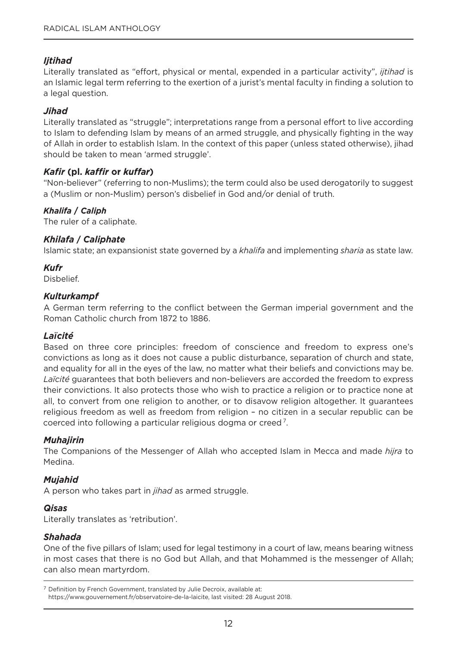#### *Ijtihad*

Literally translated as "effort, physical or mental, expended in a particular activity", *ijtihad* is an Islamic legal term referring to the exertion of a jurist's mental faculty in finding a solution to a legal question.

#### *Jihad*

Literally translated as "struggle"; interpretations range from a personal effort to live according to Islam to defending Islam by means of an armed struggle, and physically fighting in the way of Allah in order to establish Islam. In the context of this paper (unless stated otherwise), jihad should be taken to mean 'armed struggle'.

#### *Kafir* **(pl.** *kaffir* **or** *kuffar***)**

"non-believer" (referring to non-Muslims); the term could also be used derogatorily to suggest a (Muslim or non-Muslim) person's disbelief in god and/or denial of truth.

#### *Khalifa* **/** *Caliph*

The ruler of a caliphate.

#### *Khilafa* **/** *Caliphate*

Islamic state; an expansionist state governed by a *khalifa* and implementing *sharia* as state law.

#### *Kufr*

Disbelief.

#### *Kulturkampf*

A german term referring to the conflict between the german imperial government and the Roman Catholic church from 1872 to 1886.

#### *La***ї***cité*

Based on three core principles: freedom of conscience and freedom to express one's convictions as long as it does not cause a public disturbance, separation of church and state, and equality for all in the eyes of the law, no matter what their beliefs and convictions may be. *Laïcité* guarantees that both believers and non-believers are accorded the freedom to express their convictions. It also protects those who wish to practice a religion or to practice none at all, to convert from one religion to another, or to disavow religion altogether. It guarantees religious freedom as well as freedom from religion – no citizen in a secular republic can be coerced into following a particular religious dogma or creed 7.

#### *Muhajirin*

The Companions of the Messenger of Allah who accepted Islam in Mecca and made *hijra* to Medina.

#### *Mujahid*

A person who takes part in *jihad* as armed struggle.

#### *Qisas*

Literally translates as 'retribution'.

#### *Shahada*

one of the five pillars of Islam; used for legal testimony in a court of law, means bearing witness in most cases that there is no God but Allah, and that Mohammed is the messenger of Allah; can also mean martyrdom.

<sup>&</sup>lt;sup>7</sup> Definition by French Government, translated by Julie Decroix, available at: https://www.gouvernement.fr/observatoire-de-la-laicite, last visited: 28 August 2018.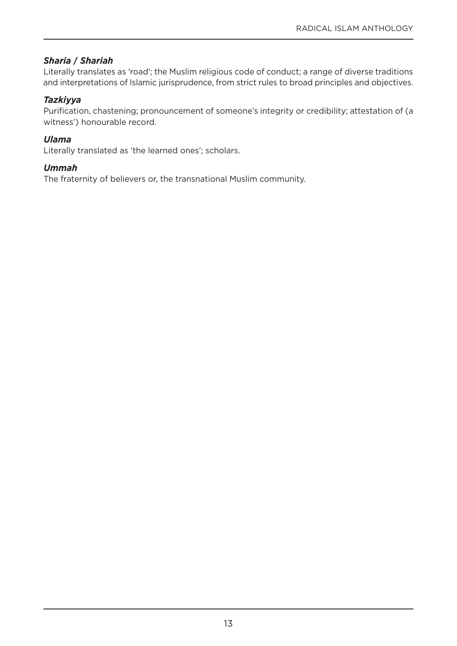#### *Sharia* **/** *Shariah*

Literally translates as 'road'; the Muslim religious code of conduct; a range of diverse traditions and interpretations of Islamic jurisprudence, from strict rules to broad principles and objectives.

#### *Tazkiyya*

Purification, chastening; pronouncement of someone's integrity or credibility; attestation of (a witness') honourable record.

#### *Ulama*

Literally translated as 'the learned ones'; scholars.

#### *Ummah*

The fraternity of believers or, the transnational Muslim community.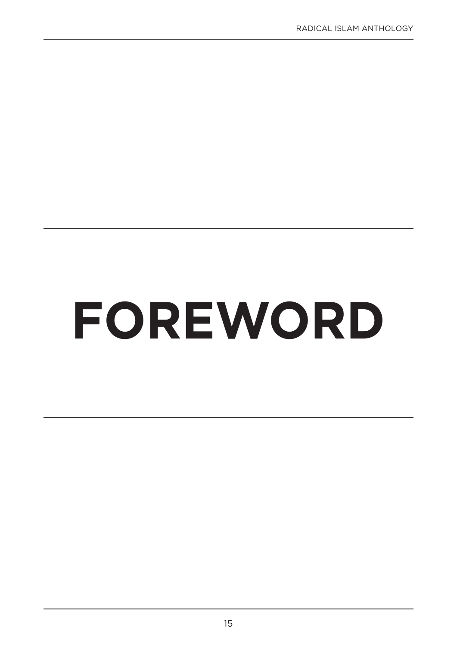# **FOREWORD**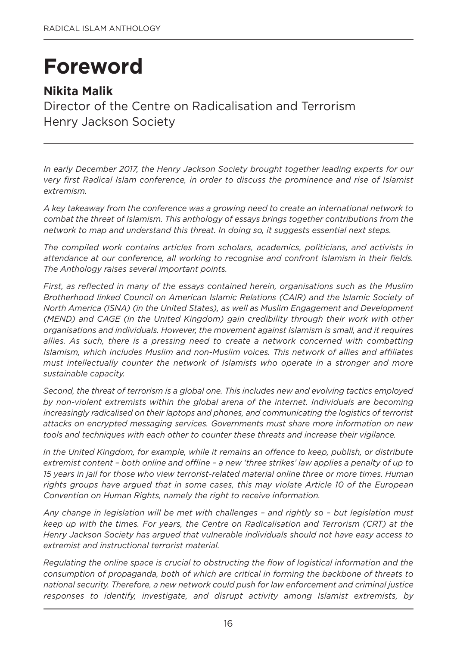## **Foreword**

#### **Nikita Malik**

Director of the Centre on Radicalisation and Terrorism Henry Jackson Society

*In early December 2017, the Henry Jackson Society brought together leading experts for our very first Radical Islam conference, in order to discuss the prominence and rise of Islamist extremism.*

*A key takeaway from the conference was a growing need to create an international network to combat the threat of Islamism. This anthology of essays brings together contributions from the network to map and understand this threat. In doing so, it suggests essential next steps.* 

*The compiled work contains articles from scholars, academics, politicians, and activists in attendance at our conference, all working to recognise and confront Islamism in their fields. The Anthology raises several important points.* 

*First, as reflected in many of the essays contained herein, organisations such as the Muslim Brotherhood linked Council on American Islamic Relations (CAIR) and the Islamic Society of North America (ISNA) (in the United States), as well as Muslim Engagement and Development (MEND) and CAGE (in the United Kingdom) gain credibility through their work with other organisations and individuals. However, the movement against Islamism is small, and it requires allies. As such, there is a pressing need to create a network concerned with combatting Islamism, which includes Muslim and non-Muslim voices. This network of allies and affiliates must intellectually counter the network of Islamists who operate in a stronger and more sustainable capacity.*

*Second, the threat of terrorism is a global one. This includes new and evolving tactics employed by non-violent extremists within the global arena of the internet. Individuals are becoming increasingly radicalised on their laptops and phones, and communicating the logistics of terrorist attacks on encrypted messaging services. Governments must share more information on new tools and techniques with each other to counter these threats and increase their vigilance.* 

*In the United Kingdom, for example, while it remains an offence to keep, publish, or distribute extremist content – both online and offline – a new 'three strikes' law applies a penalty of up to 15 years in jail for those who view terrorist-related material online three or more times. Human rights groups have argued that in some cases, this may violate Article 10 of the European Convention on Human Rights, namely the right to receive information.*

*Any change in legislation will be met with challenges – and rightly so – but legislation must keep up with the times. For years, the Centre on Radicalisation and Terrorism (CRT) at the Henry Jackson Society has argued that vulnerable individuals should not have easy access to extremist and instructional terrorist material.* 

*Regulating the online space is crucial to obstructing the flow of logistical information and the consumption of propaganda, both of which are critical in forming the backbone of threats to national security. Therefore, a new network could push for law enforcement and criminal justice responses to identify, investigate, and disrupt activity among Islamist extremists, by*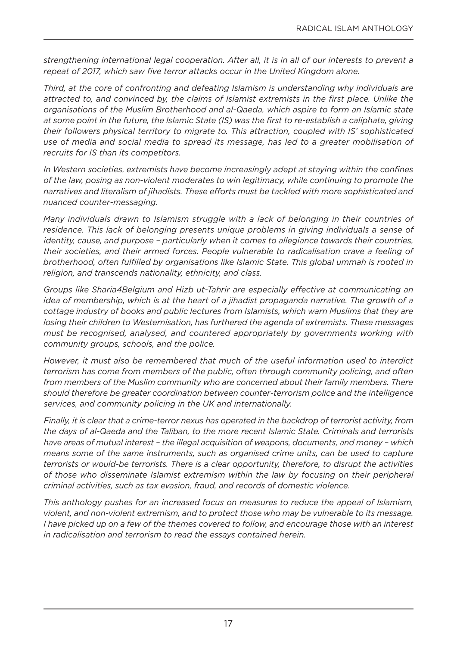*strengthening international legal cooperation. After all, it is in all of our interests to prevent a repeat of 2017, which saw five terror attacks occur in the United Kingdom alone.*

*Third, at the core of confronting and defeating Islamism is understanding why individuals are attracted to, and convinced by, the claims of Islamist extremists in the first place. Unlike the organisations of the Muslim Brotherhood and al-Qaeda, which aspire to form an Islamic state at some point in the future, the Islamic State (IS) was the first to re-establish a caliphate, giving their followers physical territory to migrate to. This attraction, coupled with IS' sophisticated use of media and social media to spread its message, has led to a greater mobilisation of recruits for IS than its competitors.* 

*In Western societies, extremists have become increasingly adept at staying within the confines of the law, posing as non-violent moderates to win legitimacy, while continuing to promote the narratives and literalism of jihadists. These efforts must be tackled with more sophisticated and nuanced counter-messaging.*

*Many individuals drawn to Islamism struggle with a lack of belonging in their countries of residence. This lack of belonging presents unique problems in giving individuals a sense of identity, cause, and purpose – particularly when it comes to allegiance towards their countries, their societies, and their armed forces. People vulnerable to radicalisation crave a feeling of brotherhood, often fulfilled by organisations like Islamic State. This global ummah is rooted in religion, and transcends nationality, ethnicity, and class.* 

*Groups like Sharia4Belgium and Hizb ut-Tahrir are especially effective at communicating an idea of membership, which is at the heart of a jihadist propaganda narrative. The growth of a cottage industry of books and public lectures from Islamists, which warn Muslims that they are losing their children to Westernisation, has furthered the agenda of extremists. These messages must be recognised, analysed, and countered appropriately by governments working with community groups, schools, and the police.* 

*However, it must also be remembered that much of the useful information used to interdict terrorism has come from members of the public, often through community policing, and often from members of the Muslim community who are concerned about their family members. There should therefore be greater coordination between counter-terrorism police and the intelligence services, and community policing in the UK and internationally.*

*Finally, it is clear that a crime-terror nexus has operated in the backdrop of terrorist activity, from the days of al-Qaeda and the Taliban, to the more recent Islamic State. Criminals and terrorists have areas of mutual interest – the illegal acquisition of weapons, documents, and money – which means some of the same instruments, such as organised crime units, can be used to capture terrorists or would-be terrorists. There is a clear opportunity, therefore, to disrupt the activities of those who disseminate Islamist extremism within the law by focusing on their peripheral criminal activities, such as tax evasion, fraud, and records of domestic violence.* 

*This anthology pushes for an increased focus on measures to reduce the appeal of Islamism, violent, and non-violent extremism, and to protect those who may be vulnerable to its message. I have picked up on a few of the themes covered to follow, and encourage those with an interest in radicalisation and terrorism to read the essays contained herein.*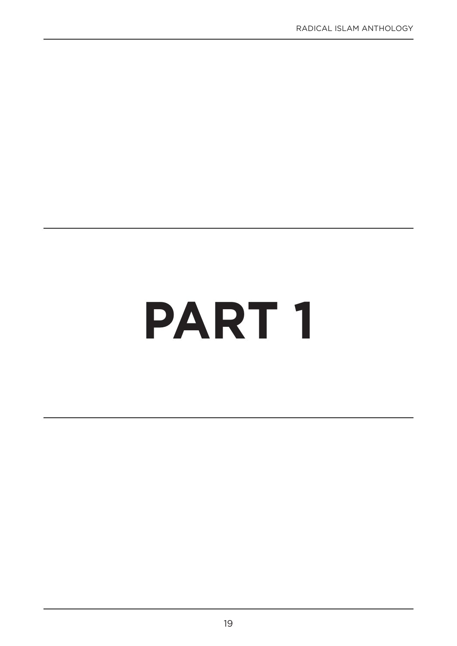## **PART 1**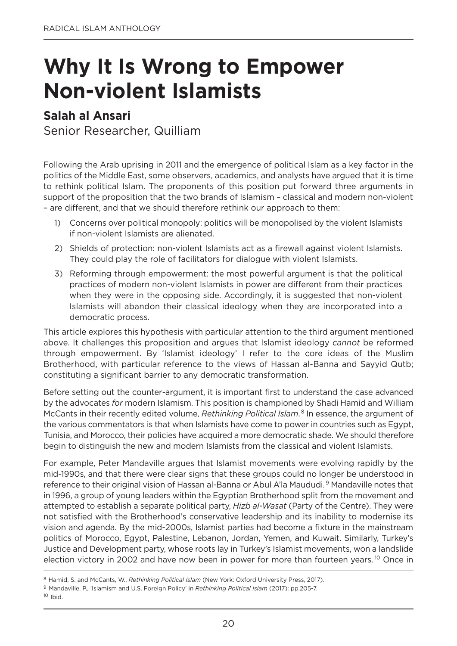### **Why It Is Wrong to Empower Non-violent Islamists**

#### **Salah al Ansari**

Senior Researcher, Quilliam

Following the Arab uprising in 2011 and the emergence of political Islam as a key factor in the politics of the Middle East, some observers, academics, and analysts have argued that it is time to rethink political Islam. The proponents of this position put forward three arguments in support of the proposition that the two brands of Islamism – classical and modern non-violent – are different, and that we should therefore rethink our approach to them:

- 1) Concerns over political monopoly: politics will be monopolised by the violent Islamists if non-violent Islamists are alienated.
- 2) Shields of protection: non-violent Islamists act as a firewall against violent Islamists. They could play the role of facilitators for dialogue with violent Islamists.
- 3) Reforming through empowerment: the most powerful argument is that the political practices of modern non-violent Islamists in power are different from their practices when they were in the opposing side. Accordingly, it is suggested that non-violent Islamists will abandon their classical ideology when they are incorporated into a democratic process.

This article explores this hypothesis with particular attention to the third argument mentioned above. It challenges this proposition and argues that Islamist ideology *cannot* be reformed through empowerment. By 'Islamist ideology' I refer to the core ideas of the Muslim Brotherhood, with particular reference to the views of Hassan al-Banna and Sayyid Qutb; constituting a significant barrier to any democratic transformation.

Before setting out the counter-argument, it is important first to understand the case advanced by the advocates *for* modern Islamism. This position is championed by Shadi Hamid and William McCants in their recently edited volume, *Rethinking Political Islam*. <sup>8</sup> In essence, the argument of the various commentators is that when Islamists have come to power in countries such as Egypt, Tunisia, and Morocco, their policies have acquired a more democratic shade. We should therefore begin to distinguish the new and modern Islamists from the classical and violent Islamists.

For example, Peter Mandaville argues that Islamist movements were evolving rapidly by the mid-1990s, and that there were clear signs that these groups could no longer be understood in reference to their original vision of Hassan al-Banna or Abul A'la Maududi.<sup>9</sup> Mandaville notes that in 1996, a group of young leaders within the Egyptian Brotherhood split from the movement and attempted to establish a separate political party, *Hizb al-Wasat* (Party of the Centre). They were not satisfied with the Brotherhood's conservative leadership and its inability to modernise its vision and agenda. By the mid-2000s, Islamist parties had become a fixture in the mainstream politics of Morocco, Egypt, Palestine, Lebanon, Jordan, yemen, and Kuwait. Similarly, Turkey's Justice and Development party, whose roots lay in Turkey's Islamist movements, won a landslide election victory in 2002 and have now been in power for more than fourteen years. <sup>10</sup> Once in

<sup>&</sup>lt;sup>8</sup> Hamid, S. and McCants, W., *Rethinking Political Islam* (New York: Oxford University Press, 2017).

<sup>9</sup> Mandaville, P., 'Islamism and U.S. Foreign Policy' in *Rethinking Political Islam* (2017): pp.205-7.

 $10$  Ibid.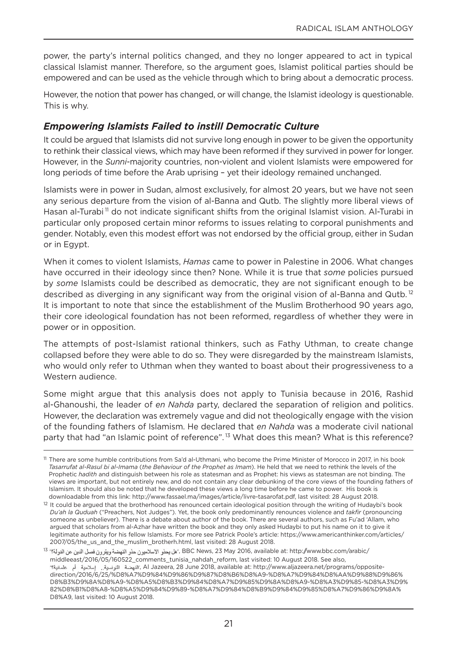power, the party's internal politics changed, and they no longer appeared to act in typical classical Islamist manner. Therefore, so the argument goes, Islamist political parties should be empowered and can be used as the vehicle through which to bring about a democratic process.

However, the notion that power has changed, or will change, the Islamist ideology is questionable. This is why.

#### *Empowering Islamists Failed to instill Democratic Culture*

It could be argued that Islamists did not survive long enough in power to be given the opportunity to rethink their classical views, which may have been reformed if they survived in power for longer. However, in the *Sunni*-majority countries, non-violent and violent Islamists were empowered for long periods of time before the Arab uprising – yet their ideology remained unchanged.

Islamists were in power in Sudan, almost exclusively, for almost 20 years, but we have not seen any serious departure from the vision of al-Banna and Qutb. The slightly more liberal views of Hasan al-Turabi<sup>11</sup> do not indicate significant shifts from the original Islamist vision. Al-Turabi in particular only proposed certain minor reforms to issues relating to corporal punishments and gender. Notably, even this modest effort was not endorsed by the official group, either in Sudan or in Egypt.

When it comes to violent Islamists, *Hamas* came to power in Palestine in 2006. What changes have occurred in their ideology since then? None. While it is true that *some* policies pursued by *some* Islamists could be described as democratic, they are not significant enough to be described as diverging in any significant way from the original vision of al-Banna and Qutb.<sup>12</sup> It is important to note that since the establishment of the Muslim Brotherhood 90 years ago, their core ideological foundation has not been reformed, regardless of whether they were in power or in opposition.

The attempts of post-Islamist rational thinkers, such as Fathy Uthman, to create change collapsed before they were able to do so. They were disregarded by the mainstream Islamists, who would only refer to Uthman when they wanted to boast about their progressiveness to a Western audience.

Some might argue that this analysis does not apply to Tunisia because in 2016, Rashid al-ghanoushi, the leader of *en Nahda* party, declared the separation of religion and politics. However, the declaration was extremely vague and did not theologically engage with the vision of the founding fathers of Islamism. He declared that *en Nahda* was a moderate civil national party that had "an Islamic point of reference".<sup>13</sup> What does this mean? What is this reference?

<sup>&</sup>lt;sup>11</sup> There are some humble contributions from Sa'd al-Uthmani, who become the Prime Minister of Morocco in 2017, in his book *Tasarrufat al-Rasul bi al-Imama* (*the Behaviour of the Prophet as Imam*). He held that we need to rethink the levels of the Prophetic *hadith* and distinguish between his role as statesman and as Prophet: his views as statesman are not binding. The views are important, but not entirely new, and do not contain any clear debunking of the core views of the founding fathers of Islamism. It should also be noted that he developed these views a long time before he came to power. His book is downloadable from this link: http://www.fassael.ma/images/article/livre-tasarofat.pdf, last visited: 28 August 2018.

<sup>&</sup>lt;sup>12</sup> It could be argued that the brotherhood has renounced certain ideological position through the writing of Hudaybi's book *Du'ah la Quduah* ("Preachers, not Judges"). yet, the book only predominantly renounces violence and *takfir* (pronouncing someone as unbeliever). There is a debate about author of the book. There are several authors, such as Fu'ad 'Allam, who argued that scholars from al-Azhar have written the book and they only asked Hudaybi to put his name on it to give it legitimate authority for his fellow Islamists. For more see Patrick Poole's article: https://www.americanthinker.com/articles/ 2007/05/the\_us\_and\_the\_muslim\_brotherh.html, last visited: 28 August 2018.

<sup>13 &#</sup>x27;هل يحذو الإسلاميون حذو النهضة ويقرون فصل الدين عن الدولة؟' <sup>13</sup> , BBC News, 23 May 2016, available at: http://www.bbc.com/arabic/ middleeast/2016/05/160522\_comments\_tunisia\_nahdah\_reform, last visited: 10 August 2018. See also, 'ةضهنلا ةيسنوتلا.. ةيمالسإ مأ يناملع, Al Jazeera, 28 June 2018, available at: http://www.aljazeera.net/programs/oppositedirection/2016/6/25/%D8%A7%D9%84%D9%86%D9%87%D8%B6%D8%A9-%D8%A7%D9%84%D8%AA%D9%88%D9%86% D8%B3%D9%8A%D8%A9-%D8%A5%D8%B3%D9%84%D8%A7%D9%85%D9%8A%D8%A9-%D8%A3%D9%85-%D8%A3%D9% 82%D8%B1%D8%A8-%D8%A5%D9%84%D9%89-%D8%A7%D9%84%D8%B9%D9%84%D9%85%D8%A7%D9%86%D9%8A% D8%A9, last visited: 10 August 2018.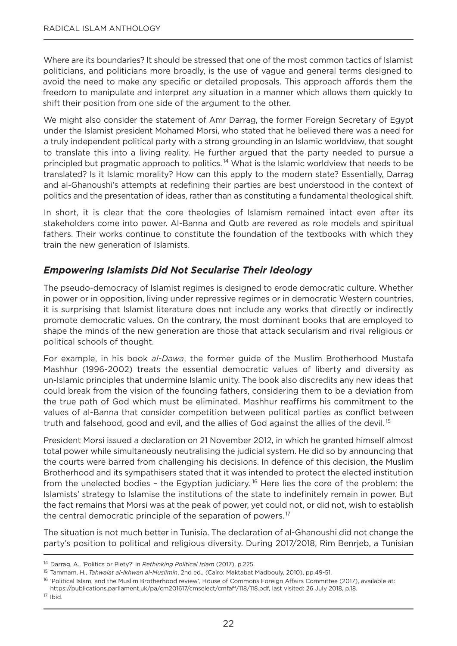Where are its boundaries? It should be stressed that one of the most common tactics of Islamist politicians, and politicians more broadly, is the use of vague and general terms designed to avoid the need to make any specific or detailed proposals. This approach affords them the freedom to manipulate and interpret any situation in a manner which allows them quickly to shift their position from one side of the argument to the other.

We might also consider the statement of Amr Darrag, the former Foreign Secretary of Egypt under the Islamist president Mohamed Morsi, who stated that he believed there was a need for a truly independent political party with a strong grounding in an Islamic worldview, that sought to translate this into a living reality. He further argued that the party needed to pursue a principled but pragmatic approach to politics.<sup>14</sup> What is the Islamic worldview that needs to be translated? Is it Islamic morality? How can this apply to the modern state? Essentially, Darrag and al-ghanoushi's attempts at redefining their parties are best understood in the context of politics and the presentation of ideas, rather than as constituting a fundamental theological shift.

In short, it is clear that the core theologies of Islamism remained intact even after its stakeholders come into power. Al-Banna and Qutb are revered as role models and spiritual fathers. Their works continue to constitute the foundation of the textbooks with which they train the new generation of Islamists.

#### *Empowering Islamists Did Not Secularise Their Ideology*

The pseudo-democracy of Islamist regimes is designed to erode democratic culture. Whether in power or in opposition, living under repressive regimes or in democratic Western countries, it is surprising that Islamist literature does not include any works that directly or indirectly promote democratic values. on the contrary, the most dominant books that are employed to shape the minds of the new generation are those that attack secularism and rival religious or political schools of thought.

For example, in his book *al-Dawa*, the former guide of the Muslim Brotherhood Mustafa Mashhur (1996-2002) treats the essential democratic values of liberty and diversity as un-Islamic principles that undermine Islamic unity. The book also discredits any new ideas that could break from the vision of the founding fathers, considering them to be a deviation from the true path of god which must be eliminated. Mashhur reaffirms his commitment to the values of al-Banna that consider competition between political parties as conflict between truth and falsehood, good and evil, and the allies of God against the allies of the devil.<sup>15</sup>

President Morsi issued a declaration on 21 November 2012, in which he granted himself almost total power while simultaneously neutralising the judicial system. He did so by announcing that the courts were barred from challenging his decisions. In defence of this decision, the Muslim Brotherhood and its sympathisers stated that it was intended to protect the elected institution from the unelected bodies - the Egyptian judiciary.<sup>16</sup> Here lies the core of the problem: the Islamists' strategy to Islamise the institutions of the state to indefinitely remain in power. But the fact remains that Morsi was at the peak of power, yet could not, or did not, wish to establish the central democratic principle of the separation of powers.<sup>17</sup>

The situation is not much better in Tunisia. The declaration of al-Ghanoushi did not change the party's position to political and religious diversity. During 2017/2018, Rim Benrjeb, a Tunisian

<sup>14</sup> Darrag, A., 'Politics or Piety?' in *Rethinking Political Islam* (2017), p.225.

<sup>15</sup> Tammam, H., *Tahwalat al-Ikhwan al-Muslimin*, 2nd ed., (Cairo: Maktabat Madbouly, 2010), pp.49-51.

<sup>&</sup>lt;sup>16</sup> 'Political Islam, and the Muslim Brotherhood review', House of Commons Foreign Affairs Committee (2017), available at: https://publications.parliament.uk/pa/cm201617/cmselect/cmfaff/118/118.pdf, last visited: 26 July 2018, p.18.

<sup>17</sup> Ibid.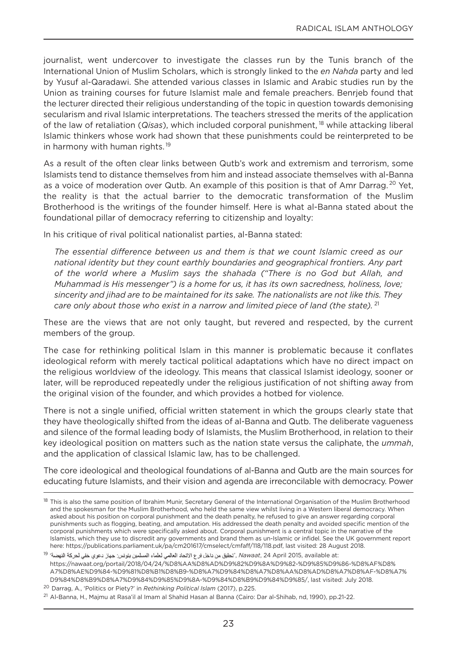journalist, went undercover to investigate the classes run by the Tunis branch of the International Union of Muslim Scholars, which is strongly linked to the *en Nahda* party and led by yusuf al-Qaradawi. She attended various classes in Islamic and Arabic studies run by the Union as training courses for future Islamist male and female preachers. Benrjeb found that the lecturer directed their religious understanding of the topic in question towards demonising secularism and rival Islamic interpretations. The teachers stressed the merits of the application of the law of retaliation (*Qisas*), which included corporal punishment, <sup>18</sup> while attacking liberal Islamic thinkers whose work had shown that these punishments could be reinterpreted to be in harmony with human rights.<sup>19</sup>

As a result of the often clear links between Qutb's work and extremism and terrorism, some Islamists tend to distance themselves from him and instead associate themselves with al-Banna as a voice of moderation over Qutb. An example of this position is that of Amr Darrag.<sup>20</sup> Yet, the reality is that the actual barrier to the democratic transformation of the Muslim Brotherhood is the writings of the founder himself. Here is what al-Banna stated about the foundational pillar of democracy referring to citizenship and loyalty:

In his critique of rival political nationalist parties, al-Banna stated:

*The essential difference between us and them is that we count Islamic creed as our national identity but they count earthly boundaries and geographical frontiers. Any part of the world where a Muslim says the shahada ("There is no God but Allah, and Muhammad is His messenger") is a home for us, it has its own sacredness, holiness, love; sincerity and jihad are to be maintained for its sake. The nationalists are not like this. They care only about those who exist in a narrow and limited piece of land (the state).* <sup>21</sup>

These are the views that are not only taught, but revered and respected, by the current members of the group.

The case for rethinking political Islam in this manner is problematic because it conflates ideological reform with merely tactical political adaptations which have no direct impact on the religious worldview of the ideology. This means that classical Islamist ideology, sooner or later, will be reproduced repeatedly under the religious justification of not shifting away from the original vision of the founder, and which provides a hotbed for violence.

There is not a single unified, official written statement in which the groups clearly state that they have theologically shifted from the ideas of al-Banna and Qutb. The deliberate vagueness and silence of the formal leading body of Islamists, the Muslim Brotherhood, in relation to their key ideological position on matters such as the nation state versus the caliphate, the *ummah*, and the application of classical Islamic law, has to be challenged.

The core ideological and theological foundations of al-Banna and Qutb are the main sources for educating future Islamists, and their vision and agenda are irreconcilable with democracy. Power

<sup>&</sup>lt;sup>18</sup> This is also the same position of Ibrahim Munir, Secretary General of the International Organisation of the Muslim Brotherhood and the spokesman for the Muslim Brotherhood, who held the same view whilst living in a Western liberal democracy. When asked about his position on corporal punishment and the death penalty, he refused to give an answer regarding corporal punishments such as flogging, beating, and amputation. His addressed the death penalty and avoided specific mention of the corporal punishments which were specifically asked about. Corporal punishment is a central topic in the narrative of the Islamists, which they use to discredit any governments and brand them as un-Islamic or infidel. See the UK government report here: https://publications.parliament.uk/pa/cm201617/cmselect/cmfaff/118/118.pdf, last visited: 28 August 2018.

<sup>:</sup>at available at, 24 April 2015, available at, رُحَقِيّ من داخل فرع الاتحاد العالمي لعلماء المسلمين بتونس: جهاز دعوى خفي لحركة النهضة<sup>، 19</sup> https://nawaat.org/portail/2018/04/24/%D8%AA%D8%AD%D9%82%D9%8A%D9%82-%D9%85%D9%86-%D8%AF%D8% A7%D8%AE%D9%84-%D9%81%D8%B1%D8%B9-%D8%A7%D9%84%D8%A7%D8%AA%D8%AD%D8%A7%D8%AF-%D8%A7% D9%84%D8%B9%D8%A7%D9%84%D9%85%D9%8A-%D9%84%D8%B9%D9%84%D9%85/, last visited: July 2018.

<sup>20</sup> Darrag, A., 'Politics or Piety?' in *Rethinking Political Islam* (2017), p.225.

<sup>21</sup> Al-Banna, H., Majmu at Rasa'il al Imam al Shahid Hasan al Banna (Cairo: Dar al-Shihab, nd, 1990), pp.21-22.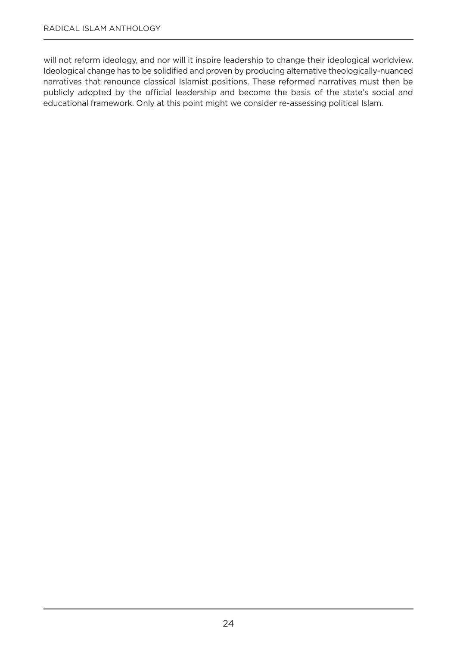will not reform ideology, and nor will it inspire leadership to change their ideological worldview. Ideological change has to be solidified and proven by producing alternative theologically-nuanced narratives that renounce classical Islamist positions. These reformed narratives must then be publicly adopted by the official leadership and become the basis of the state's social and educational framework. Only at this point might we consider re-assessing political Islam.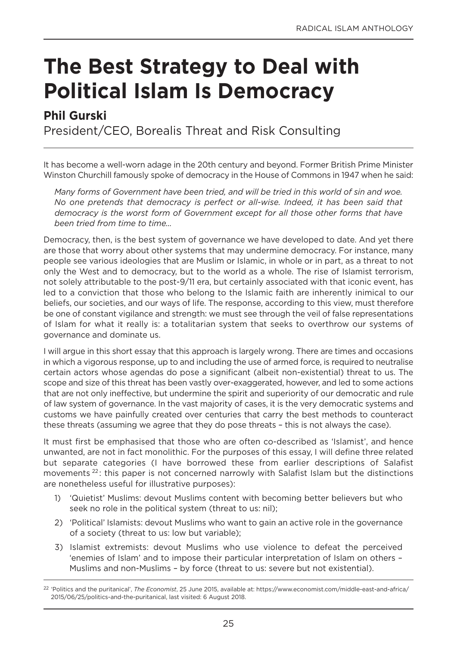### **The Best Strategy to Deal with Political Islam Is Democracy**

#### **Phil Gurski**

President/CEo, Borealis Threat and Risk Consulting

It has become a well-worn adage in the 20th century and beyond. Former British Prime Minister Winston Churchill famously spoke of democracy in the House of Commons in 1947 when he said:

*Many forms of Government have been tried, and will be tried in this world of sin and woe. No one pretends that democracy is perfect or all-wise. Indeed, it has been said that democracy is the worst form of Government except for all those other forms that have been tried from time to time…*

Democracy, then, is the best system of governance we have developed to date. And yet there are those that worry about other systems that may undermine democracy. For instance, many people see various ideologies that are Muslim or Islamic, in whole or in part, as a threat to not only the West and to democracy, but to the world as a whole. The rise of Islamist terrorism, not solely attributable to the post-9/11 era, but certainly associated with that iconic event, has led to a conviction that those who belong to the Islamic faith are inherently inimical to our beliefs, our societies, and our ways of life. The response, according to this view, must therefore be one of constant vigilance and strength: we must see through the veil of false representations of Islam for what it really is: a totalitarian system that seeks to overthrow our systems of governance and dominate us.

I will argue in this short essay that this approach is largely wrong. There are times and occasions in which a vigorous response, up to and including the use of armed force, is required to neutralise certain actors whose agendas do pose a significant (albeit non-existential) threat to us. The scope and size of this threat has been vastly over-exaggerated, however, and led to some actions that are not only ineffective, but undermine the spirit and superiority of our democratic and rule of law system of governance. In the vast majority of cases, it is the very democratic systems and customs we have painfully created over centuries that carry the best methods to counteract these threats (assuming we agree that they do pose threats – this is not always the case).

It must first be emphasised that those who are often co-described as 'Islamist', and hence unwanted, are not in fact monolithic. For the purposes of this essay, I will define three related but separate categories (I have borrowed these from earlier descriptions of Salafist movements<sup>22</sup>: this paper is not concerned narrowly with Salafist Islam but the distinctions are nonetheless useful for illustrative purposes):

- 1) 'Quietist' Muslims: devout Muslims content with becoming better believers but who seek no role in the political system (threat to us: nil);
- 2) 'Political' Islamists: devout Muslims who want to gain an active role in the governance of a society (threat to us: low but variable);
- 3) Islamist extremists: devout Muslims who use violence to defeat the perceived 'enemies of Islam' and to impose their particular interpretation of Islam on others – Muslims and non-Muslims – by force (threat to us: severe but not existential).

<sup>22</sup> 'Politics and the puritanical', *The Economist*, 25 June 2015, available at: https://www.economist.com/middle-east-and-africa/ 2015/06/25/politics-and-the-puritanical, last visited: 6 August 2018.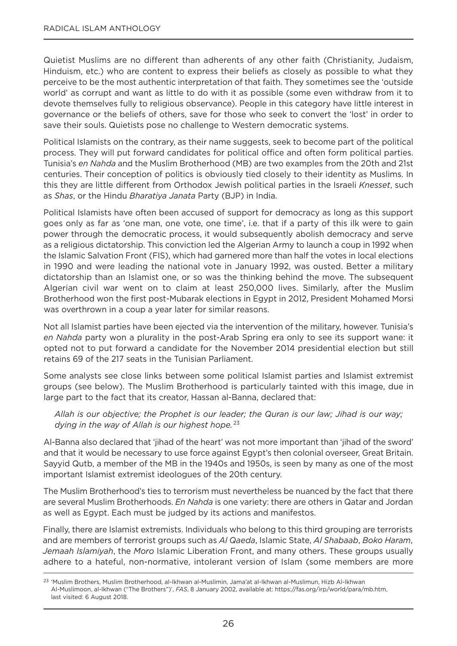Quietist Muslims are no different than adherents of any other faith (Christianity, Judaism, Hinduism, etc.) who are content to express their beliefs as closely as possible to what they perceive to be the most authentic interpretation of that faith. They sometimes see the 'outside world' as corrupt and want as little to do with it as possible (some even withdraw from it to devote themselves fully to religious observance). People in this category have little interest in governance or the beliefs of others, save for those who seek to convert the 'lost' in order to save their souls. Quietists pose no challenge to Western democratic systems.

Political Islamists on the contrary, as their name suggests, seek to become part of the political process. They will put forward candidates for political office and often form political parties. Tunisia's *en Nahda* and the Muslim Brotherhood (MB) are two examples from the 20th and 21st centuries. Their conception of politics is obviously tied closely to their identity as Muslims. In this they are little different from orthodox Jewish political parties in the Israeli *Knesset*, such as *Shas*, or the Hindu *Bharatiya Janata* Party (BJP) in India.

Political Islamists have often been accused of support for democracy as long as this support goes only as far as 'one man, one vote, one time', i.e. that if a party of this ilk were to gain power through the democratic process, it would subsequently abolish democracy and serve as a religious dictatorship. This conviction led the Algerian Army to launch a coup in 1992 when the Islamic Salvation Front (FIS), which had garnered more than half the votes in local elections in 1990 and were leading the national vote in January 1992, was ousted. Better a military dictatorship than an Islamist one, or so was the thinking behind the move. The subsequent Algerian civil war went on to claim at least 250,000 lives. Similarly, after the Muslim Brotherhood won the first post-Mubarak elections in Egypt in 2012, President Mohamed Morsi was overthrown in a coup a year later for similar reasons.

not all Islamist parties have been ejected via the intervention of the military, however. Tunisia's *en Nahda* party won a plurality in the post-Arab Spring era only to see its support wane: it opted not to put forward a candidate for the november 2014 presidential election but still retains 69 of the 217 seats in the Tunisian Parliament.

Some analysts see close links between some political Islamist parties and Islamist extremist groups (see below). The Muslim Brotherhood is particularly tainted with this image, due in large part to the fact that its creator, Hassan al-Banna, declared that:

*Allah is our objective; the Prophet is our leader; the Quran is our law; Jihad is our way; dying in the way of Allah is our highest hope.* <sup>23</sup>

Al-Banna also declared that 'jihad of the heart' was not more important than 'jihad of the sword' and that it would be necessary to use force against Egypt's then colonial overseer, great Britain. Sayyid Qutb, a member of the MB in the 1940s and 1950s, is seen by many as one of the most important Islamist extremist ideologues of the 20th century.

The Muslim Brotherhood's ties to terrorism must nevertheless be nuanced by the fact that there are several Muslim Brotherhoods. *En Nahda* is one variety: there are others in Qatar and Jordan as well as Egypt. Each must be judged by its actions and manifestos.

Finally, there are Islamist extremists. Individuals who belong to this third grouping are terrorists and are members of terrorist groups such as *Al Qaeda*, Islamic State, *Al Shabaab*, *Boko Haram*, *Jemaah Islamiyah*, the *Moro* Islamic Liberation Front, and many others. These groups usually adhere to a hateful, non-normative, intolerant version of Islam (some members are more

<sup>23</sup> 'Muslim Brothers, Muslim Brotherhood, al-Ikhwan al-Muslimin, Jama'at al-Ikhwan al-Muslimun, Hizb Al-Ikhwan Al-Muslimoon, al-Ikhwan ("The Brothers")', *FAS*, 8 January 2002, available at: https://fas.org/irp/world/para/mb.htm, last visited: 6 August 2018.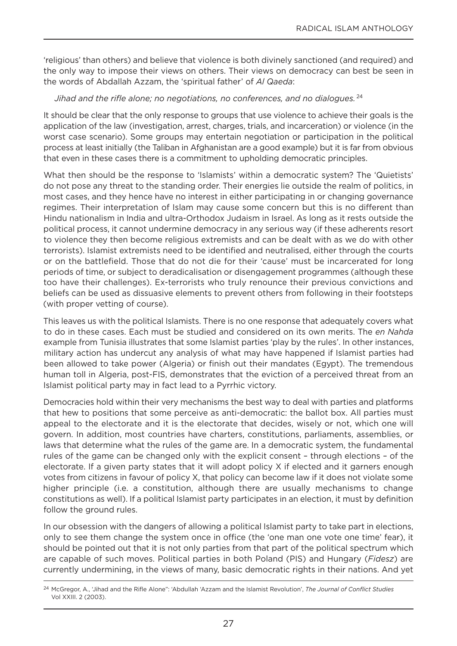'religious' than others) and believe that violence is both divinely sanctioned (and required) and the only way to impose their views on others. Their views on democracy can best be seen in the words of Abdallah Azzam, the 'spiritual father' of *Al Qaeda*:

#### *Jihad and the rifle alone; no negotiations, no conferences, and no dialogues.* <sup>24</sup>

It should be clear that the only response to groups that use violence to achieve their goals is the application of the law (investigation, arrest, charges, trials, and incarceration) or violence (in the worst case scenario). Some groups may entertain negotiation or participation in the political process at least initially (the Taliban in Afghanistan are a good example) but it is far from obvious that even in these cases there is a commitment to upholding democratic principles.

What then should be the response to 'Islamists' within a democratic system? The 'Quietists' do not pose any threat to the standing order. Their energies lie outside the realm of politics, in most cases, and they hence have no interest in either participating in or changing governance regimes. Their interpretation of Islam may cause some concern but this is no different than Hindu nationalism in India and ultra-orthodox Judaism in Israel. As long as it rests outside the political process, it cannot undermine democracy in any serious way (if these adherents resort to violence they then become religious extremists and can be dealt with as we do with other terrorists). Islamist extremists need to be identified and neutralised, either through the courts or on the battlefield. Those that do not die for their 'cause' must be incarcerated for long periods of time, or subject to deradicalisation or disengagement programmes (although these too have their challenges). Ex-terrorists who truly renounce their previous convictions and beliefs can be used as dissuasive elements to prevent others from following in their footsteps (with proper vetting of course).

This leaves us with the political Islamists. There is no one response that adequately covers what to do in these cases. Each must be studied and considered on its own merits. The *en Nahda* example from Tunisia illustrates that some Islamist parties 'play by the rules'. In other instances, military action has undercut any analysis of what may have happened if Islamist parties had been allowed to take power (Algeria) or finish out their mandates (Egypt). The tremendous human toll in Algeria, post-FIS, demonstrates that the eviction of a perceived threat from an Islamist political party may in fact lead to a Pyrrhic victory.

Democracies hold within their very mechanisms the best way to deal with parties and platforms that hew to positions that some perceive as anti-democratic: the ballot box. All parties must appeal to the electorate and it is the electorate that decides, wisely or not, which one will govern. In addition, most countries have charters, constitutions, parliaments, assemblies, or laws that determine what the rules of the game are. In a democratic system, the fundamental rules of the game can be changed only with the explicit consent – through elections – of the electorate. If a given party states that it will adopt policy X if elected and it garners enough votes from citizens in favour of policy X, that policy can become law if it does not violate some higher principle (i.e. a constitution, although there are usually mechanisms to change constitutions as well). If a political Islamist party participates in an election, it must by definition follow the ground rules.

In our obsession with the dangers of allowing a political Islamist party to take part in elections, only to see them change the system once in office (the 'one man one vote one time' fear), it should be pointed out that it is not only parties from that part of the political spectrum which are capable of such moves. Political parties in both Poland (PIS) and Hungary (*Fidesz*) are currently undermining, in the views of many, basic democratic rights in their nations. And yet

<sup>24</sup> Mcgregor, A., 'Jihad and the Rifle Alone": 'Abdullah 'Azzam and the Islamist Revolution', *The Journal of Conflict Studies* Vol XXIII. 2 (2003).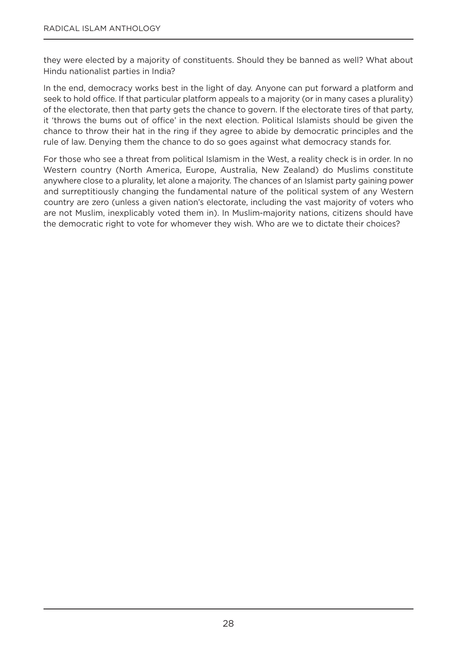they were elected by a majority of constituents. Should they be banned as well? What about Hindu nationalist parties in India?

In the end, democracy works best in the light of day. Anyone can put forward a platform and seek to hold office. If that particular platform appeals to a majority (or in many cases a plurality) of the electorate, then that party gets the chance to govern. If the electorate tires of that party, it 'throws the bums out of office' in the next election. Political Islamists should be given the chance to throw their hat in the ring if they agree to abide by democratic principles and the rule of law. Denying them the chance to do so goes against what democracy stands for.

For those who see a threat from political Islamism in the West, a reality check is in order. In no Western country (North America, Europe, Australia, New Zealand) do Muslims constitute anywhere close to a plurality, let alone a majority. The chances of an Islamist party gaining power and surreptitiously changing the fundamental nature of the political system of any Western country are zero (unless a given nation's electorate, including the vast majority of voters who are not Muslim, inexplicably voted them in). In Muslim-majority nations, citizens should have the democratic right to vote for whomever they wish. Who are we to dictate their choices?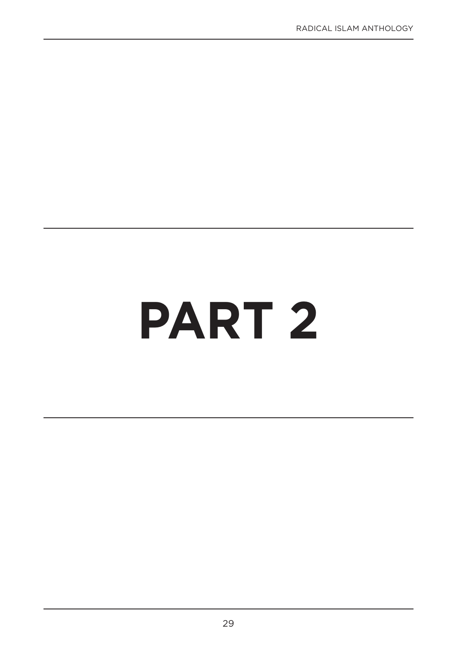## **PART 2**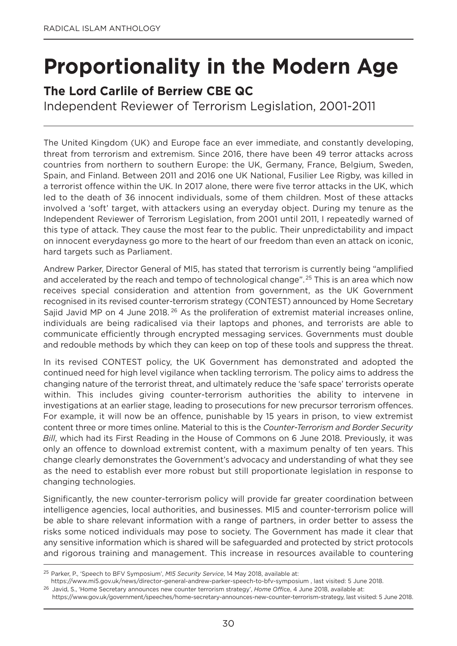## **Proportionality in the Modern Age**

#### **The Lord Carlile of Berriew CBE QC**

Independent Reviewer of Terrorism Legislation, 2001-2011

The United Kingdom (UK) and Europe face an ever immediate, and constantly developing, threat from terrorism and extremism. Since 2016, there have been 49 terror attacks across countries from northern to southern Europe: the UK, germany, France, Belgium, Sweden, Spain, and Finland. Between 2011 and 2016 one UK national, Fusilier Lee Rigby, was killed in a terrorist offence within the UK. In 2017 alone, there were five terror attacks in the UK, which led to the death of 36 innocent individuals, some of them children. Most of these attacks involved a 'soft' target, with attackers using an everyday object. During my tenure as the Independent Reviewer of Terrorism Legislation, from 2001 until 2011, I repeatedly warned of this type of attack. They cause the most fear to the public. Their unpredictability and impact on innocent everydayness go more to the heart of our freedom than even an attack on iconic, hard targets such as Parliament.

Andrew Parker, Director general of MI5, has stated that terrorism is currently being "amplified and accelerated by the reach and tempo of technological change".<sup>25</sup> This is an area which now receives special consideration and attention from government, as the UK government recognised in its revised counter-terrorism strategy (ConTEST) announced by Home Secretary Sajid Javid MP on 4 June 2018.<sup>26</sup> As the proliferation of extremist material increases online, individuals are being radicalised via their laptops and phones, and terrorists are able to communicate efficiently through encrypted messaging services. governments must double and redouble methods by which they can keep on top of these tools and suppress the threat.

In its revised ConTEST policy, the UK government has demonstrated and adopted the continued need for high level vigilance when tackling terrorism. The policy aims to address the changing nature of the terrorist threat, and ultimately reduce the 'safe space' terrorists operate within. This includes giving counter-terrorism authorities the ability to intervene in investigations at an earlier stage, leading to prosecutions for new precursor terrorism offences. For example, it will now be an offence, punishable by 15 years in prison, to view extremist content three or more times online. Material to this is the *Counter-Terrorism and Border Security Bill*, which had its First Reading in the House of Commons on 6 June 2018. Previously, it was only an offence to download extremist content, with a maximum penalty of ten years. This change clearly demonstrates the government's advocacy and understanding of what they see as the need to establish ever more robust but still proportionate legislation in response to changing technologies.

Significantly, the new counter-terrorism policy will provide far greater coordination between intelligence agencies, local authorities, and businesses. MI5 and counter-terrorism police will be able to share relevant information with a range of partners, in order better to assess the risks some noticed individuals may pose to society. The government has made it clear that any sensitive information which is shared will be safeguarded and protected by strict protocols and rigorous training and management. This increase in resources available to countering

<sup>25</sup> Parker, P., 'Speech to BFV Symposium', *MI5 Security Service*, 14 May 2018, available at:

https://www.mi5.gov.uk/news/director-general-andrew-parker-speech-to-bfv-symposium , last visited: 5 June 2018.

<sup>26</sup> Javid, S., 'Home Secretary announces new counter terrorism strategy', *Home Offi*ce, 4 June 2018, available at:

https://www.gov.uk/government/speeches/home-secretary-announces-new-counter-terrorism-strategy, last visited: 5 June 2018.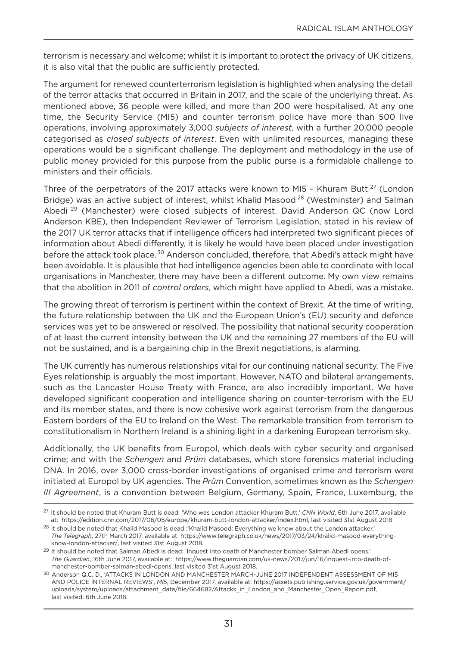terrorism is necessary and welcome; whilst it is important to protect the privacy of UK citizens, it is also vital that the public are sufficiently protected.

The argument for renewed counterterrorism legislation is highlighted when analysing the detail of the terror attacks that occurred in Britain in 2017, and the scale of the underlying threat. As mentioned above, 36 people were killed, and more than 200 were hospitalised. At any one time, the Security Service (MI5) and counter terrorism police have more than 500 live operations, involving approximately 3,000 *subjects of interest*, with a further 20,000 people categorised as *closed subjects of interest*. Even with unlimited resources, managing these operations would be a significant challenge. The deployment and methodology in the use of public money provided for this purpose from the public purse is a formidable challenge to ministers and their officials.

Three of the perpetrators of the 2017 attacks were known to MI5 - Khuram Butt<sup>27</sup> (London Bridge) was an active subject of interest, whilst Khalid Masood<sup>28</sup> (Westminster) and Salman Abedi <sup>29</sup> (Manchester) were closed subjects of interest. David Anderson QC (now Lord Anderson KBE), then Independent Reviewer of Terrorism Legislation, stated in his review of the 2017 UK terror attacks that if intelligence officers had interpreted two significant pieces of information about Abedi differently, it is likely he would have been placed under investigation before the attack took place.<sup>30</sup> Anderson concluded, therefore, that Abedi's attack might have been avoidable. It is plausible that had intelligence agencies been able to coordinate with local organisations in Manchester, there may have been a different outcome. My own view remains that the abolition in 2011 of *control orders*, which might have applied to Abedi, was a mistake.

The growing threat of terrorism is pertinent within the context of Brexit. At the time of writing, the future relationship between the UK and the European Union's (EU) security and defence services was yet to be answered or resolved. The possibility that national security cooperation of at least the current intensity between the UK and the remaining 27 members of the EU will not be sustained, and is a bargaining chip in the Brexit negotiations, is alarming.

The UK currently has numerous relationships vital for our continuing national security. The Five Eyes relationship is arguably the most important. However, nATo and bilateral arrangements, such as the Lancaster House Treaty with France, are also incredibly important. We have developed significant cooperation and intelligence sharing on counter-terrorism with the EU and its member states, and there is now cohesive work against terrorism from the dangerous Eastern borders of the EU to Ireland on the West. The remarkable transition from terrorism to constitutionalism in northern Ireland is a shining light in a darkening European terrorism sky.

Additionally, the UK benefits from Europol, which deals with cyber security and organised crime; and with the *Schengen* and *Prüm* databases, which store forensics material including DnA. In 2016, over 3,000 cross-border investigations of organised crime and terrorism were initiated at Europol by UK agencies. The *Prüm* Convention, sometimes known as the *Schengen III Agreement*, is a convention between Belgium, germany, Spain, France, Luxemburg, the

<sup>27</sup> It should be noted that Khuram Butt is dead: 'Who was London attacker Khuram Butt,' *CNN World*, 6th June 2017, available at: https://edition.cnn.com/2017/06/05/europe/khuram-butt-london-attacker/index.html, last visited 31st August 2018.

<sup>&</sup>lt;sup>28</sup> It should be noted that Khalid Masood is dead :'Khalid Masood: Everything we know about the London attacker,' *The Telegraph*, 27th March 2017, available at: https://www.telegraph.co.uk/news/2017/03/24/khalid-masood-everythingknow-london-attacker/, last visited 31st August 2018.

<sup>&</sup>lt;sup>29</sup> It should be noted that Salman Abedi is dead: 'Inquest into death of Manchester bomber Salman Abedi opens,' *The Guardian*, 16th June 2017, available at: https://www.theguardian.com/uk-news/2017/jun/16/inquest-into-death-ofmanchester-bomber-salman-abedi-opens, last visited 31st August 2018.

<sup>30</sup> Anderson Q.C, D., 'ATTACKS IN LONDON AND MANCHESTER MARCH-JUNE 2017 INDEPENDENT ASSESSMENT OF MI5 AnD PoLICE InTERnAL REVIEWS', *MI5*, December 2017, available at: https://assets.publishing.service.gov.uk/government/ uploads/system/uploads/attachment\_data/file/664682/Attacks\_in\_London\_and\_Manchester\_open\_Report.pdf, last visited: 6th June 2018.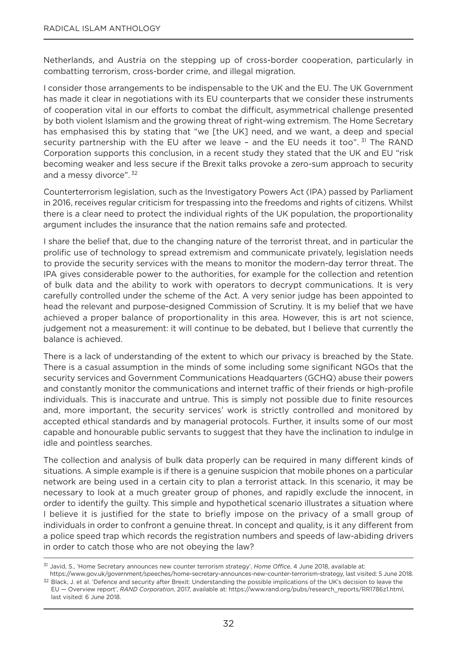netherlands, and Austria on the stepping up of cross-border cooperation, particularly in combatting terrorism, cross-border crime, and illegal migration.

I consider those arrangements to be indispensable to the UK and the EU. The UK government has made it clear in negotiations with its EU counterparts that we consider these instruments of cooperation vital in our efforts to combat the difficult, asymmetrical challenge presented by both violent Islamism and the growing threat of right-wing extremism. The Home Secretary has emphasised this by stating that "we [the UK] need, and we want, a deep and special security partnership with the EU after we leave - and the EU needs it too".  $31$  The RAND Corporation supports this conclusion, in a recent study they stated that the UK and EU "risk becoming weaker and less secure if the Brexit talks provoke a zero-sum approach to security and a messy divorce". <sup>32</sup>

Counterterrorism legislation, such as the Investigatory Powers Act (IPA) passed by Parliament in 2016, receives regular criticism for trespassing into the freedoms and rights of citizens. Whilst there is a clear need to protect the individual rights of the UK population, the proportionality argument includes the insurance that the nation remains safe and protected.

I share the belief that, due to the changing nature of the terrorist threat, and in particular the prolific use of technology to spread extremism and communicate privately, legislation needs to provide the security services with the means to monitor the modern-day terror threat. The IPA gives considerable power to the authorities, for example for the collection and retention of bulk data and the ability to work with operators to decrypt communications. It is very carefully controlled under the scheme of the Act. A very senior judge has been appointed to head the relevant and purpose-designed Commission of Scrutiny. It is my belief that we have achieved a proper balance of proportionality in this area. However, this is art not science, judgement not a measurement: it will continue to be debated, but I believe that currently the balance is achieved.

There is a lack of understanding of the extent to which our privacy is breached by the State. There is a casual assumption in the minds of some including some significant NGOs that the security services and government Communications Headquarters (gCHQ) abuse their powers and constantly monitor the communications and internet traffic of their friends or high-profile individuals. This is inaccurate and untrue. This is simply not possible due to finite resources and, more important, the security services' work is strictly controlled and monitored by accepted ethical standards and by managerial protocols. Further, it insults some of our most capable and honourable public servants to suggest that they have the inclination to indulge in idle and pointless searches.

The collection and analysis of bulk data properly can be required in many different kinds of situations. A simple example is if there is a genuine suspicion that mobile phones on a particular network are being used in a certain city to plan a terrorist attack. In this scenario, it may be necessary to look at a much greater group of phones, and rapidly exclude the innocent, in order to identify the guilty. This simple and hypothetical scenario illustrates a situation where I believe it is justified for the state to briefly impose on the privacy of a small group of individuals in order to confront a genuine threat. In concept and quality, is it any different from a police speed trap which records the registration numbers and speeds of law-abiding drivers in order to catch those who are not obeying the law?

<sup>31</sup> Javid, S., 'Home Secretary announces new counter terrorism strategy', *Home Office*, 4 June 2018, available at:

https://www.gov.uk/government/speeches/home-secretary-announces-new-counter-terrorism-strategy, last visited: 5 June 2018. 32 Black, J. et al. 'Defence and security after Brexit: Understanding the possible implications of the UK's decision to leave the EU — overview report', *RAND Corporation*, 2017, available at: https://www.rand.org/pubs/research\_reports/RR1786z1.html, last visited: 6 June 2018.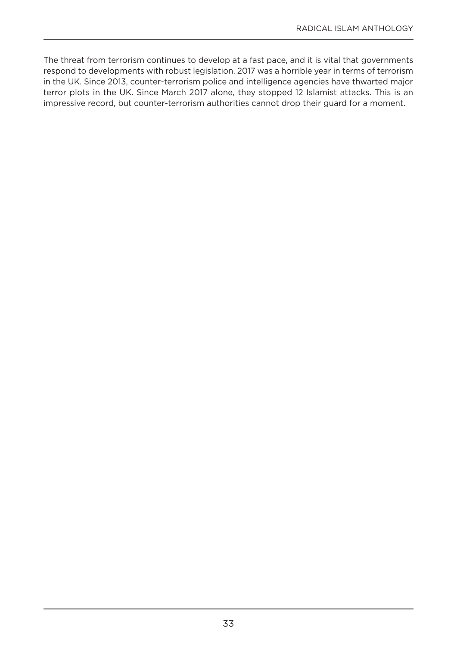The threat from terrorism continues to develop at a fast pace, and it is vital that governments respond to developments with robust legislation. 2017 was a horrible year in terms of terrorism in the UK. Since 2013, counter-terrorism police and intelligence agencies have thwarted major terror plots in the UK. Since March 2017 alone, they stopped 12 Islamist attacks. This is an impressive record, but counter-terrorism authorities cannot drop their guard for a moment.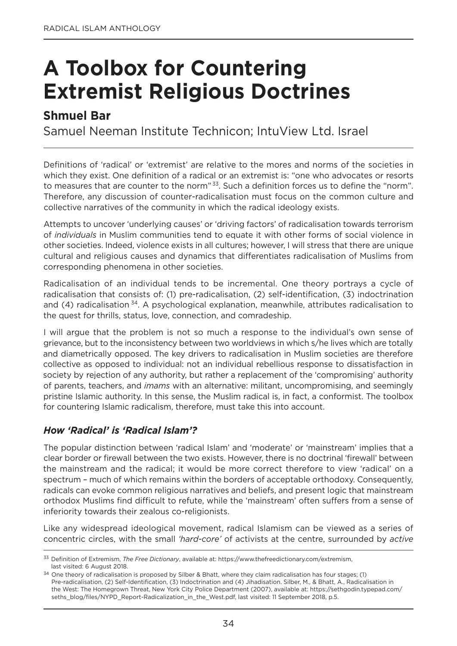### **A Toolbox for Countering Extremist Religious Doctrines**

#### **Shmuel Bar**

Samuel Neeman Institute Technicon: IntuView Ltd. Israel

Definitions of 'radical' or 'extremist' are relative to the mores and norms of the societies in which they exist. One definition of a radical or an extremist is: "one who advocates or resorts to measures that are counter to the norm"<sup>33</sup>. Such a definition forces us to define the "norm". Therefore, any discussion of counter-radicalisation must focus on the common culture and collective narratives of the community in which the radical ideology exists.

Attempts to uncover 'underlying causes' or 'driving factors' of radicalisation towards terrorism of *individuals* in Muslim communities tend to equate it with other forms of social violence in other societies. Indeed, violence exists in all cultures; however, I will stress that there are unique cultural and religious causes and dynamics that differentiates radicalisation of Muslims from corresponding phenomena in other societies.

Radicalisation of an individual tends to be incremental. one theory portrays a cycle of radicalisation that consists of: (1) pre-radicalisation, (2) self-identification, (3) indoctrination and (4) radicalisation <sup>34</sup>. A psychological explanation, meanwhile, attributes radicalisation to the quest for thrills, status, love, connection, and comradeship.

I will argue that the problem is not so much a response to the individual's own sense of grievance, but to the inconsistency between two worldviews in which s/he lives which are totally and diametrically opposed. The key drivers to radicalisation in Muslim societies are therefore collective as opposed to individual: not an individual rebellious response to dissatisfaction in society by rejection of any authority, but rather a replacement of the 'compromising' authority of parents, teachers, and *imams* with an alternative: militant, uncompromising, and seemingly pristine Islamic authority. In this sense, the Muslim radical is, in fact, a conformist. The toolbox for countering Islamic radicalism, therefore, must take this into account.

#### *How 'Radical' is 'Radical Islam'?*

The popular distinction between 'radical Islam' and 'moderate' or 'mainstream' implies that a clear border or firewall between the two exists. However, there is no doctrinal 'firewall' between the mainstream and the radical; it would be more correct therefore to view 'radical' on a spectrum – much of which remains within the borders of acceptable orthodoxy. Consequently, radicals can evoke common religious narratives and beliefs, and present logic that mainstream orthodox Muslims find difficult to refute, while the 'mainstream' often suffers from a sense of inferiority towards their zealous co-religionists.

Like any widespread ideological movement, radical Islamism can be viewed as a series of concentric circles, with the small *'hard-core'* of activists at the centre, surrounded by *active*

<sup>33</sup> Definition of Extremism, *The Free Dictionary*, available at: https://www.thefreedictionary.com/extremism, last visited: 6 August 2018.

<sup>34</sup> one theory of radicalisation is proposed by Silber & Bhatt, where they claim radicalisation has four stages; (1) Pre-radicalisation, (2) Self-Identification, (3) Indoctrination and (4) Jihadisation. Silber, M., & Bhatt, A., Radicalisation in the West: The Homegrown Threat, new york City Police Department (2007), available at: https://sethgodin.typepad.com/ seths\_blog/files/nyPD\_Report-Radicalization\_in\_the\_West.pdf, last visited: 11 September 2018, p.5.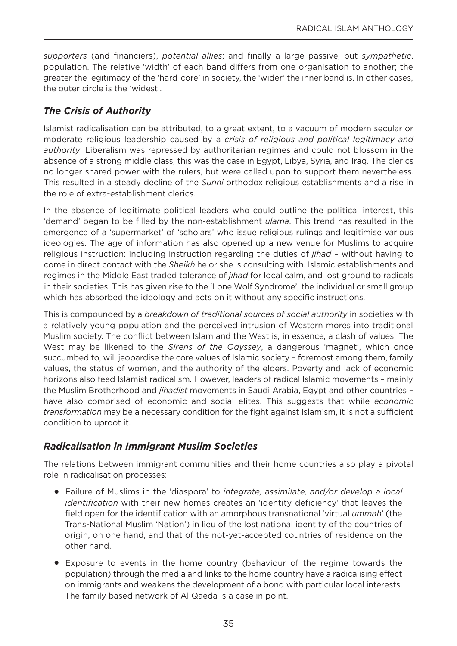*supporters* (and financiers), *potential allies*; and finally a large passive, but *sympathetic*, population. The relative 'width' of each band differs from one organisation to another; the greater the legitimacy of the 'hard-core' in society, the 'wider' the inner band is. In other cases, the outer circle is the 'widest'.

#### *The Crisis of Authority*

Islamist radicalisation can be attributed, to a great extent, to a vacuum of modern secular or moderate religious leadership caused by a *crisis of religious and political legitimacy and authority*. Liberalism was repressed by authoritarian regimes and could not blossom in the absence of a strong middle class, this was the case in Egypt, Libya, Syria, and Iraq. The clerics no longer shared power with the rulers, but were called upon to support them nevertheless. This resulted in a steady decline of the *Sunni* orthodox religious establishments and a rise in the role of extra-establishment clerics.

In the absence of legitimate political leaders who could outline the political interest, this 'demand' began to be filled by the non-establishment *ulama*. This trend has resulted in the emergence of a 'supermarket' of 'scholars' who issue religious rulings and legitimise various ideologies. The age of information has also opened up a new venue for Muslims to acquire religious instruction: including instruction regarding the duties of *jihad* – without having to come in direct contact with the *Sheikh* he or she is consulting with. Islamic establishments and regimes in the Middle East traded tolerance of *jihad* for local calm, and lost ground to radicals in their societies. This has given rise to the 'Lone Wolf Syndrome'; the individual or small group which has absorbed the ideology and acts on it without any specific instructions.

This is compounded by a *breakdown of traditional sources of social authority* in societies with a relatively young population and the perceived intrusion of Western mores into traditional Muslim society. The conflict between Islam and the West is, in essence, a clash of values. The West may be likened to the *Sirens of the Odyssey*, a dangerous 'magnet', which once succumbed to, will jeopardise the core values of Islamic society – foremost among them, family values, the status of women, and the authority of the elders. Poverty and lack of economic horizons also feed Islamist radicalism. However, leaders of radical Islamic movements – mainly the Muslim Brotherhood and *jihadist* movements in Saudi Arabia, Egypt and other countries – have also comprised of economic and social elites. This suggests that while *economic transformation* may be a necessary condition for the fight against Islamism, it is not a sufficient condition to uproot it.

#### *Radicalisation in Immigrant Muslim Societies*

The relations between immigrant communities and their home countries also play a pivotal role in radicalisation processes:

- <sup>l</sup> Failure of Muslims in the 'diaspora' to *integrate, assimilate, and/or develop a local identification* with their new homes creates an 'identity-deficiency' that leaves the field open for the identification with an amorphous transnational 'virtual *ummah*' (the Trans-National Muslim 'Nation') in lieu of the lost national identity of the countries of origin, on one hand, and that of the not-yet-accepted countries of residence on the other hand.
- Exposure to events in the home country (behaviour of the regime towards the population) through the media and links to the home country have a radicalising effect on immigrants and weakens the development of a bond with particular local interests. The family based network of Al Qaeda is a case in point.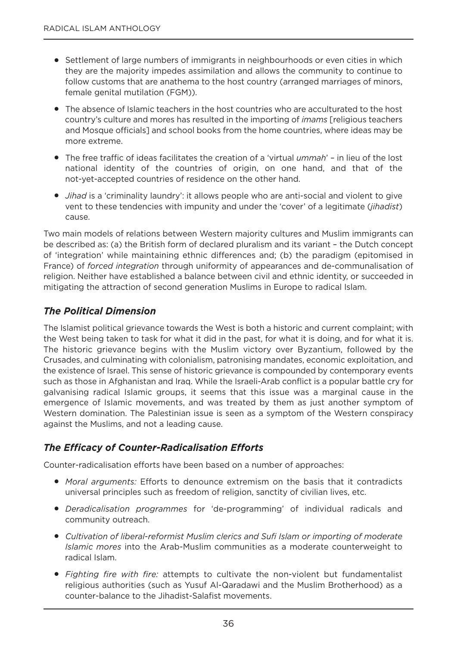- Settlement of large numbers of immigrants in neighbourhoods or even cities in which they are the majority impedes assimilation and allows the community to continue to follow customs that are anathema to the host country (arranged marriages of minors, female genital mutilation (FgM)).
- The absence of Islamic teachers in the host countries who are acculturated to the host country's culture and mores has resulted in the importing of *imams* [religious teachers and Mosque officials] and school books from the home countries, where ideas may be more extreme.
- <sup>l</sup> The free traffic of ideas facilitates the creation of a 'virtual *ummah*' in lieu of the lost national identity of the countries of origin, on one hand, and that of the not-yet-accepted countries of residence on the other hand.
- *Jihad* is a 'criminality laundry': it allows people who are anti-social and violent to give vent to these tendencies with impunity and under the 'cover' of a legitimate (*jihadist*) cause.

Two main models of relations between Western majority cultures and Muslim immigrants can be described as: (a) the British form of declared pluralism and its variant – the Dutch concept of 'integration' while maintaining ethnic differences and; (b) the paradigm (epitomised in France) of *forced integration* through uniformity of appearances and de-communalisation of religion. Neither have established a balance between civil and ethnic identity, or succeeded in mitigating the attraction of second generation Muslims in Europe to radical Islam.

#### *The Political Dimension*

The Islamist political grievance towards the West is both a historic and current complaint; with the West being taken to task for what it did in the past, for what it is doing, and for what it is. The historic grievance begins with the Muslim victory over Byzantium, followed by the Crusades, and culminating with colonialism, patronising mandates, economic exploitation, and the existence of Israel. This sense of historic grievance is compounded by contemporary events such as those in Afghanistan and Iraq. While the Israeli-Arab conflict is a popular battle cry for galvanising radical Islamic groups, it seems that this issue was a marginal cause in the emergence of Islamic movements, and was treated by them as just another symptom of Western domination. The Palestinian issue is seen as a symptom of the Western conspiracy against the Muslims, and not a leading cause.

#### *The Efficacy of Counter-Radicalisation Efforts*

Counter-radicalisation efforts have been based on a number of approaches:

- <sup>l</sup> *Moral arguments:* Efforts to denounce extremism on the basis that it contradicts universal principles such as freedom of religion, sanctity of civilian lives, etc.
- <sup>l</sup> *Deradicalisation programmes* for 'de-programming' of individual radicals and community outreach.
- <sup>l</sup> *Cultivation of liberal-reformist Muslim clerics and Sufi Islam or importing of moderate Islamic mores* into the Arab-Muslim communities as a moderate counterweight to radical Islam.
- <sup>l</sup> *Fighting fire with fire:* attempts to cultivate the non-violent but fundamentalist religious authorities (such as yusuf Al-Qaradawi and the Muslim Brotherhood) as a counter-balance to the Jihadist-Salafist movements.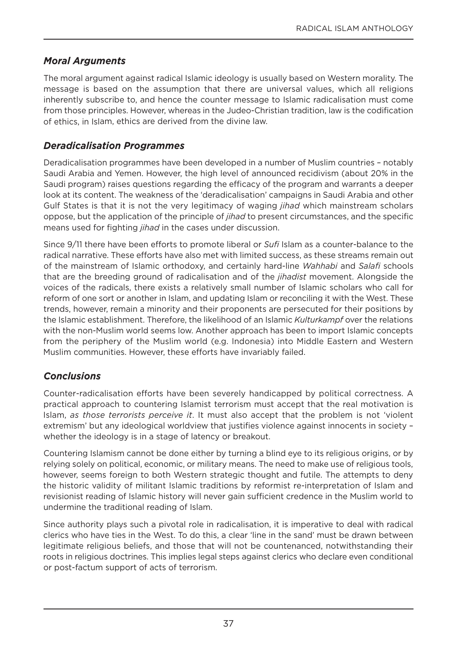#### *Moral Arguments*

The moral argument against radical Islamic ideology is usually based on Western morality. The message is based on the assumption that there are universal values, which all religions inherently subscribe to, and hence the counter message to Islamic radicalisation must come from those principles. However, whereas in the Judeo-Christian tradition, law is the codification of ethics, in Islam, ethics are derived from the divine law.

#### *Deradicalisation Programmes*

Deradicalisation programmes have been developed in a number of Muslim countries – notably Saudi Arabia and yemen. However, the high level of announced recidivism (about 20% in the Saudi program) raises questions regarding the efficacy of the program and warrants a deeper look at its content. The weakness of the 'deradicalisation' campaigns in Saudi Arabia and other gulf States is that it is not the very legitimacy of waging *jihad* which mainstream scholars oppose, but the application of the principle of *jihad* to present circumstances, and the specific means used for fighting *jihad* in the cases under discussion.

Since 9/11 there have been efforts to promote liberal or *Sufi* Islam as a counter-balance to the radical narrative. These efforts have also met with limited success, as these streams remain out of the mainstream of Islamic orthodoxy, and certainly hard-line *Wahhabi* and *Salafi* schools that are the breeding ground of radicalisation and of the *jihadist* movement. Alongside the voices of the radicals, there exists a relatively small number of Islamic scholars who call for reform of one sort or another in Islam, and updating Islam or reconciling it with the West. These trends, however, remain a minority and their proponents are persecuted for their positions by the Islamic establishment. Therefore, the likelihood of an Islamic *Kulturkampf* over the relations with the non-Muslim world seems low. Another approach has been to import Islamic concepts from the periphery of the Muslim world (e.g. Indonesia) into Middle Eastern and Western Muslim communities. However, these efforts have invariably failed.

### *Conclusions*

Counter-radicalisation efforts have been severely handicapped by political correctness. A practical approach to countering Islamist terrorism must accept that the real motivation is Islam, *as those terrorists perceive it*. It must also accept that the problem is not 'violent extremism' but any ideological worldview that justifies violence against innocents in society whether the ideology is in a stage of latency or breakout.

Countering Islamism cannot be done either by turning a blind eye to its religious origins, or by relying solely on political, economic, or military means. The need to make use of religious tools, however, seems foreign to both Western strategic thought and futile. The attempts to deny the historic validity of militant Islamic traditions by reformist re-interpretation of Islam and revisionist reading of Islamic history will never gain sufficient credence in the Muslim world to undermine the traditional reading of Islam.

Since authority plays such a pivotal role in radicalisation, it is imperative to deal with radical clerics who have ties in the West. To do this, a clear 'line in the sand' must be drawn between legitimate religious beliefs, and those that will not be countenanced, notwithstanding their roots in religious doctrines. This implies legal steps against clerics who declare even conditional or post-factum support of acts of terrorism.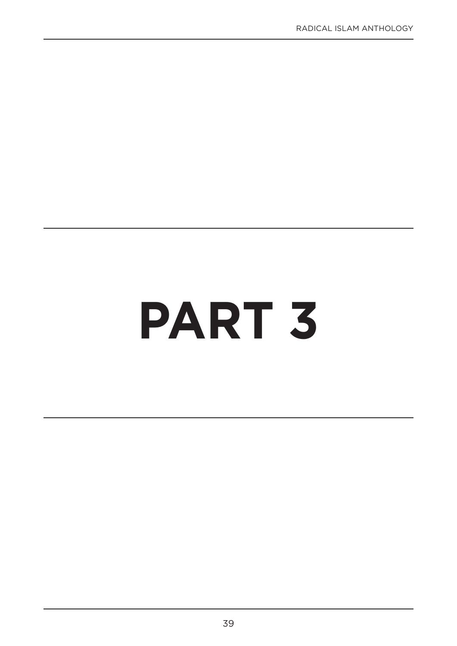# **PART 3**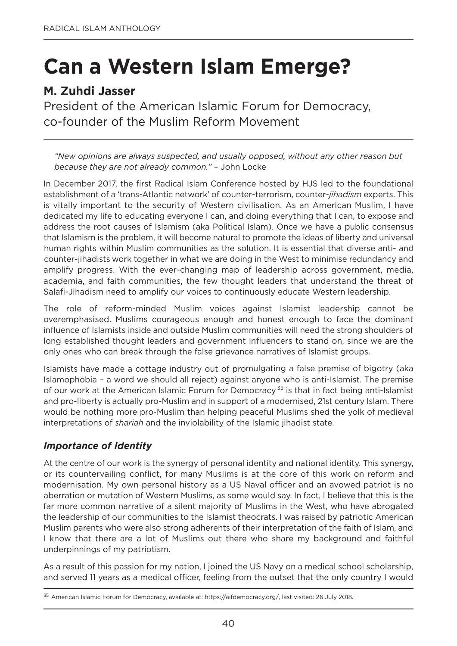# **Can a Western Islam Emerge?**

# **M. Zuhdi Jasser**

President of the American Islamic Forum for Democracy, co-founder of the Muslim Reform Movement

*"New opinions are always suspected, and usually opposed, without any other reason but because they are not already common."* – John Locke

In December 2017, the first Radical Islam Conference hosted by HJS led to the foundational establishment of a 'trans-Atlantic network' of counter-terrorism, counter-*jihadism* experts. This is vitally important to the security of Western civilisation. As an American Muslim, I have dedicated my life to educating everyone I can, and doing everything that I can, to expose and address the root causes of Islamism (aka Political Islam). once we have a public consensus that Islamism is the problem, it will become natural to promote the ideas of liberty and universal human rights within Muslim communities as the solution. It is essential that diverse anti- and counter-jihadists work together in what we are doing in the West to minimise redundancy and amplify progress. With the ever-changing map of leadership across government, media, academia, and faith communities, the few thought leaders that understand the threat of Salafi-Jihadism need to amplify our voices to continuously educate Western leadership.

The role of reform-minded Muslim voices against Islamist leadership cannot be overemphasised. Muslims courageous enough and honest enough to face the dominant influence of Islamists inside and outside Muslim communities will need the strong shoulders of long established thought leaders and government influencers to stand on, since we are the only ones who can break through the false grievance narratives of Islamist groups.

Islamists have made a cottage industry out of promulgating a false premise of bigotry (aka Islamophobia – a word we should all reject) against anyone who is anti-Islamist. The premise of our work at the American Islamic Forum for Democracy<sup>35</sup> is that in fact being anti-Islamist and pro-liberty is actually pro-Muslim and in support of a modernised, 21st century Islam. There would be nothing more pro-Muslim than helping peaceful Muslims shed the yolk of medieval interpretations of *shariah* and the inviolability of the Islamic jihadist state.

#### *Importance of Identity*

At the centre of our work is the synergy of personal identity and national identity. This synergy, or its countervailing conflict, for many Muslims is at the core of this work on reform and modernisation. My own personal history as a US Naval officer and an avowed patriot is no aberration or mutation of Western Muslims, as some would say. In fact, I believe that this is the far more common narrative of a silent majority of Muslims in the West, who have abrogated the leadership of our communities to the Islamist theocrats. I was raised by patriotic American Muslim parents who were also strong adherents of their interpretation of the faith of Islam, and I know that there are a lot of Muslims out there who share my background and faithful underpinnings of my patriotism.

As a result of this passion for my nation, I joined the US Navy on a medical school scholarship, and served 11 years as a medical officer, feeling from the outset that the only country I would

<sup>35</sup> American Islamic Forum for Democracy, available at: https://aifdemocracy.org/, last visited: 26 July 2018.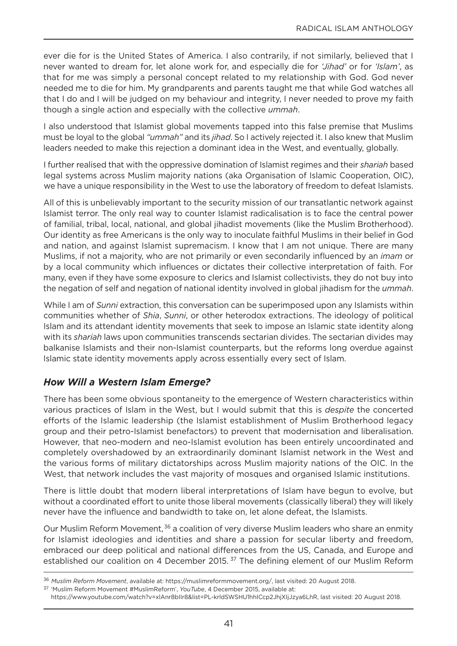ever die for is the United States of America. I also contrarily, if not similarly, believed that I never wanted to dream for, let alone work for, and especially die for *'Jihad'* or for *'Islam'*, as that for me was simply a personal concept related to my relationship with God. God never needed me to die for him. My grandparents and parents taught me that while god watches all that I do and I will be judged on my behaviour and integrity, I never needed to prove my faith though a single action and especially with the collective *ummah*.

I also understood that Islamist global movements tapped into this false premise that Muslims must be loyal to the global *"ummah"* and its *jihad*. So I actively rejected it. I also knew that Muslim leaders needed to make this rejection a dominant idea in the West, and eventually, globally.

I further realised that with the oppressive domination of Islamist regimes and their *shariah* based legal systems across Muslim majority nations (aka Organisation of Islamic Cooperation, OIC), we have a unique responsibility in the West to use the laboratory of freedom to defeat Islamists.

All of this is unbelievably important to the security mission of our transatlantic network against Islamist terror. The only real way to counter Islamist radicalisation is to face the central power of familial, tribal, local, national, and global jihadist movements (like the Muslim Brotherhood). our identity as free Americans is the only way to inoculate faithful Muslims in their belief in god and nation, and against Islamist supremacism. I know that I am not unique. There are many Muslims, if not a majority, who are not primarily or even secondarily influenced by an *imam* or by a local community which influences or dictates their collective interpretation of faith. For many, even if they have some exposure to clerics and Islamist collectivists, they do not buy into the negation of self and negation of national identity involved in global jihadism for the *ummah*.

While I am of *Sunni* extraction, this conversation can be superimposed upon any Islamists within communities whether of *Shia*, *Sunni*, or other heterodox extractions. The ideology of political Islam and its attendant identity movements that seek to impose an Islamic state identity along with its *shariah* laws upon communities transcends sectarian divides. The sectarian divides may balkanise Islamists and their non-Islamist counterparts, but the reforms long overdue against Islamic state identity movements apply across essentially every sect of Islam.

### *How Will a Western Islam Emerge?*

There has been some obvious spontaneity to the emergence of Western characteristics within various practices of Islam in the West, but I would submit that this is *despite* the concerted efforts of the Islamic leadership (the Islamist establishment of Muslim Brotherhood legacy group and their petro-Islamist benefactors) to prevent that modernisation and liberalisation. However, that neo-modern and neo-Islamist evolution has been entirely uncoordinated and completely overshadowed by an extraordinarily dominant Islamist network in the West and the various forms of military dictatorships across Muslim majority nations of the oIC. In the West, that network includes the vast majority of mosques and organised Islamic institutions.

There is little doubt that modern liberal interpretations of Islam have begun to evolve, but without a coordinated effort to unite those liberal movements (classically liberal) they will likely never have the influence and bandwidth to take on, let alone defeat, the Islamists.

our Muslim Reform Movement, <sup>36</sup> a coalition of very diverse Muslim leaders who share an enmity for Islamist ideologies and identities and share a passion for secular liberty and freedom, embraced our deep political and national differences from the US, Canada, and Europe and established our coalition on 4 December 2015.<sup>37</sup> The defining element of our Muslim Reform

<sup>36</sup> *Muslim Reform Movement*, available at: https://muslimreformmovement.org/, last visited: 20 August 2018.

<sup>37</sup> 'Muslim Reform Movement #MuslimReform', *YouTube*, 4 December 2015, available at:

https://www.youtube.com/watch?v=xlAnr8bIIr8&list=PL-krldSWSHU1hhICcp2JhjXIjJzya6LhR, last visited: 20 August 2018.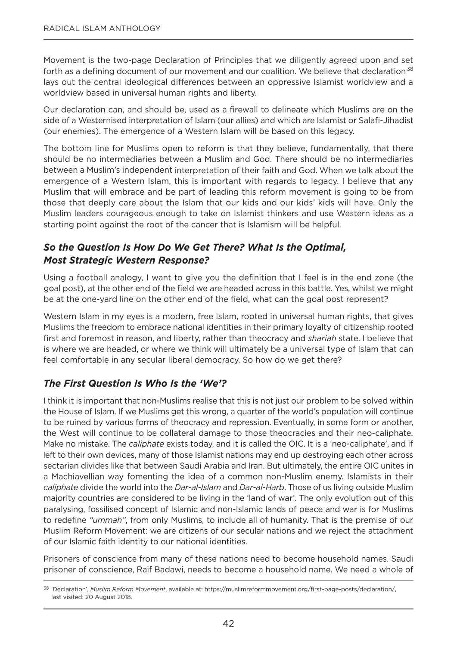Movement is the two-page Declaration of Principles that we diligently agreed upon and set forth as a defining document of our movement and our coalition. We believe that declaration<sup>38</sup> lays out the central ideological differences between an oppressive Islamist worldview and a worldview based in universal human rights and liberty.

our declaration can, and should be, used as a firewall to delineate which Muslims are on the side of a Westernised interpretation of Islam (our allies) and which are Islamist or Salafi-Jihadist (our enemies). The emergence of a Western Islam will be based on this legacy.

The bottom line for Muslims open to reform is that they believe, fundamentally, that there should be no intermediaries between a Muslim and god. There should be no intermediaries between a Muslim's independent interpretation of their faith and god. When we talk about the emergence of a Western Islam, this is important with regards to legacy. I believe that any Muslim that will embrace and be part of leading this reform movement is going to be from those that deeply care about the Islam that our kids and our kids' kids will have. only the Muslim leaders courageous enough to take on Islamist thinkers and use Western ideas as a starting point against the root of the cancer that is Islamism will be helpful.

## *So the Question Is How Do We Get There? What Is the Optimal, Most Strategic Western Response?*

Using a football analogy, I want to give you the definition that I feel is in the end zone (the goal post), at the other end of the field we are headed across in this battle. yes, whilst we might be at the one-yard line on the other end of the field, what can the goal post represent?

Western Islam in my eyes is a modern, free Islam, rooted in universal human rights, that gives Muslims the freedom to embrace national identities in their primary loyalty of citizenship rooted first and foremost in reason, and liberty, rather than theocracy and *shariah* state. I believe that is where we are headed, or where we think will ultimately be a universal type of Islam that can feel comfortable in any secular liberal democracy. So how do we get there?

### *The First Question Is Who Is the 'We'?*

I think it is important that non-Muslims realise that this is not just our problem to be solved within the House of Islam. If we Muslims get this wrong, a quarter of the world's population will continue to be ruined by various forms of theocracy and repression. Eventually, in some form or another, the West will continue to be collateral damage to those theocracies and their neo-caliphate. Make no mistake. The *caliphate* exists today, and it is called the oIC. It is a 'neo-caliphate', and if left to their own devices, many of those Islamist nations may end up destroying each other across sectarian divides like that between Saudi Arabia and Iran. But ultimately, the entire OIC unites in a Machiavellian way fomenting the idea of a common non-Muslim enemy. Islamists in their *caliphate* divide the world into the *Dar-al-Islam* and *Dar-al-Harb*. Those of us living outside Muslim majority countries are considered to be living in the 'land of war'. The only evolution out of this paralysing, fossilised concept of Islamic and non-Islamic lands of peace and war is for Muslims to redefine *"ummah"*, from only Muslims, to include all of humanity. That is the premise of our Muslim Reform Movement: we are citizens of our secular nations and we reject the attachment of our Islamic faith identity to our national identities.

Prisoners of conscience from many of these nations need to become household names. Saudi prisoner of conscience, Raif Badawi, needs to become a household name. We need a whole of

<sup>38</sup> 'Declaration', *Muslim Reform Movement*, available at: https://muslimreformmovement.org/first-page-posts/declaration/, last visited: 20 August 2018.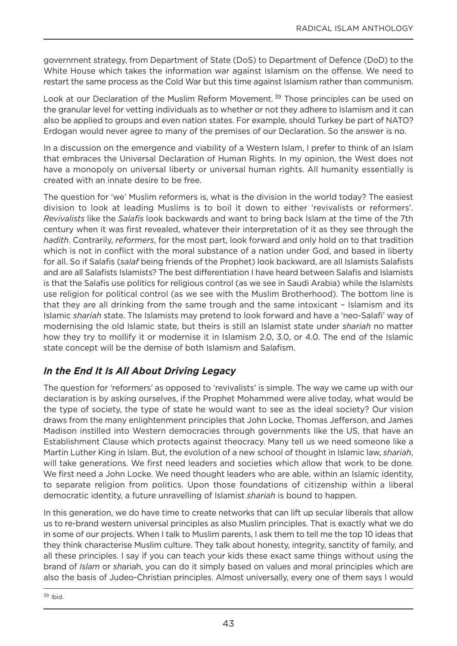government strategy, from Department of State (DoS) to Department of Defence (DoD) to the White House which takes the information war against Islamism on the offense. We need to restart the same process as the Cold War but this time against Islamism rather than communism.

Look at our Declaration of the Muslim Reform Movement.<sup>39</sup> Those principles can be used on the granular level for vetting individuals as to whether or not they adhere to Islamism and it can also be applied to groups and even nation states. For example, should Turkey be part of nATo? Erdogan would never agree to many of the premises of our Declaration. So the answer is no.

In a discussion on the emergence and viability of a Western Islam, I prefer to think of an Islam that embraces the Universal Declaration of Human Rights. In my opinion, the West does not have a monopoly on universal liberty or universal human rights. All humanity essentially is created with an innate desire to be free.

The question for 'we' Muslim reformers is, what is the division in the world today? The easiest division to look at leading Muslims is to boil it down to either 'revivalists or reformers'. *Revivalists* like the *Salafis* look backwards and want to bring back Islam at the time of the 7th century when it was first revealed, whatever their interpretation of it as they see through the *hadith*. Contrarily, *reformers*, for the most part, look forward and only hold on to that tradition which is not in conflict with the moral substance of a nation under God, and based in liberty for all. So if Salafis (*salaf* being friends of the Prophet) look backward, are all Islamists Salafists and are all Salafists Islamists? The best differentiation I have heard between Salafis and Islamists is that the Salafis use politics for religious control (as we see in Saudi Arabia) while the Islamists use religion for political control (as we see with the Muslim Brotherhood). The bottom line is that they are all drinking from the same trough and the same intoxicant – Islamism and its Islamic *shariah* state. The Islamists may pretend to look forward and have a 'neo-Salafi' way of modernising the old Islamic state, but theirs is still an Islamist state under *shariah* no matter how they try to mollify it or modernise it in Islamism 2.0, 3.0, or 4.0. The end of the Islamic state concept will be the demise of both Islamism and Salafism.

### *In the End It Is All About Driving Legacy*

The question for 'reformers' as opposed to 'revivalists' is simple. The way we came up with our declaration is by asking ourselves, if the Prophet Mohammed were alive today, what would be the type of society, the type of state he would want to see as the ideal society? Our vision draws from the many enlightenment principles that John Locke, Thomas Jefferson, and James Madison instilled into Western democracies through governments like the US, that have an Establishment Clause which protects against theocracy. Many tell us we need someone like a Martin Luther King in Islam. But, the evolution of a new school of thought in Islamic law, *shariah*, will take generations. We first need leaders and societies which allow that work to be done. We first need a John Locke. We need thought leaders who are able, within an Islamic identity, to separate religion from politics. Upon those foundations of citizenship within a liberal democratic identity, a future unravelling of Islamist *shariah* is bound to happen.

In this generation, we do have time to create networks that can lift up secular liberals that allow us to re-brand western universal principles as also Muslim principles. That is exactly what we do in some of our projects. When I talk to Muslim parents, I ask them to tell me the top 10 ideas that they think characterise Muslim culture. They talk about honesty, integrity, sanctity of family, and all these principles. I say if you can teach your kids these exact same things without using the brand of *Islam* or *sh*ariah, you can do it simply based on values and moral principles which are also the basis of Judeo-Christian principles. Almost universally, every one of them says I would

<sup>39</sup> Ibid.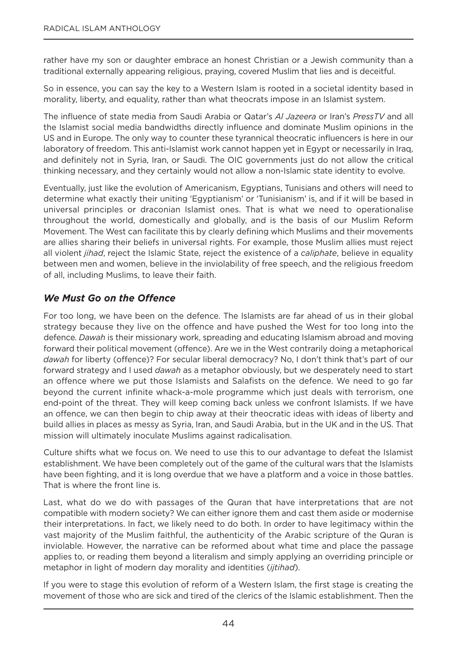rather have my son or daughter embrace an honest Christian or a Jewish community than a traditional externally appearing religious, praying, covered Muslim that lies and is deceitful.

So in essence, you can say the key to a Western Islam is rooted in a societal identity based in morality, liberty, and equality, rather than what theocrats impose in an Islamist system.

The influence of state media from Saudi Arabia or Qatar's *Al Jazeera* or Iran's *PressTV* and all the Islamist social media bandwidths directly influence and dominate Muslim opinions in the US and in Europe. The only way to counter these tyrannical theocratic influencers is here in our laboratory of freedom. This anti-Islamist work cannot happen yet in Egypt or necessarily in Iraq, and definitely not in Syria, Iran, or Saudi. The oIC governments just do not allow the critical thinking necessary, and they certainly would not allow a non-Islamic state identity to evolve.

Eventually, just like the evolution of Americanism, Egyptians, Tunisians and others will need to determine what exactly their uniting 'Egyptianism' or 'Tunisianism' is, and if it will be based in universal principles or draconian Islamist ones. That is what we need to operationalise throughout the world, domestically and globally, and is the basis of our Muslim Reform Movement. The West can facilitate this by clearly defining which Muslims and their movements are allies sharing their beliefs in universal rights. For example, those Muslim allies must reject all violent *jihad*, reject the Islamic State, reject the existence of a *caliphate*, believe in equality between men and women, believe in the inviolability of free speech, and the religious freedom of all, including Muslims, to leave their faith.

#### *We Must Go on the Offence*

For too long, we have been on the defence. The Islamists are far ahead of us in their global strategy because they live on the offence and have pushed the West for too long into the defence. *Dawah* is their missionary work, spreading and educating Islamism abroad and moving forward their political movement (offence). Are we in the West contrarily doing a metaphorical dawah for liberty (offence)? For secular liberal democracy? No, I don't think that's part of our forward strategy and I used *dawah* as a metaphor obviously, but we desperately need to start an offence where we put those Islamists and Salafists on the defence. We need to go far beyond the current infinite whack-a-mole programme which just deals with terrorism, one end-point of the threat. They will keep coming back unless we confront Islamists. If we have an offence, we can then begin to chip away at their theocratic ideas with ideas of liberty and build allies in places as messy as Syria, Iran, and Saudi Arabia, but in the UK and in the US. That mission will ultimately inoculate Muslims against radicalisation.

Culture shifts what we focus on. We need to use this to our advantage to defeat the Islamist establishment. We have been completely out of the game of the cultural wars that the Islamists have been fighting, and it is long overdue that we have a platform and a voice in those battles. That is where the front line is.

Last, what do we do with passages of the Quran that have interpretations that are not compatible with modern society? We can either ignore them and cast them aside or modernise their interpretations. In fact, we likely need to do both. In order to have legitimacy within the vast majority of the Muslim faithful, the authenticity of the Arabic scripture of the Quran is inviolable. However, the narrative can be reformed about what time and place the passage applies to, or reading them beyond a literalism and simply applying an overriding principle or metaphor in light of modern day morality and identities (*ijtihad*).

If you were to stage this evolution of reform of a Western Islam, the first stage is creating the movement of those who are sick and tired of the clerics of the Islamic establishment. Then the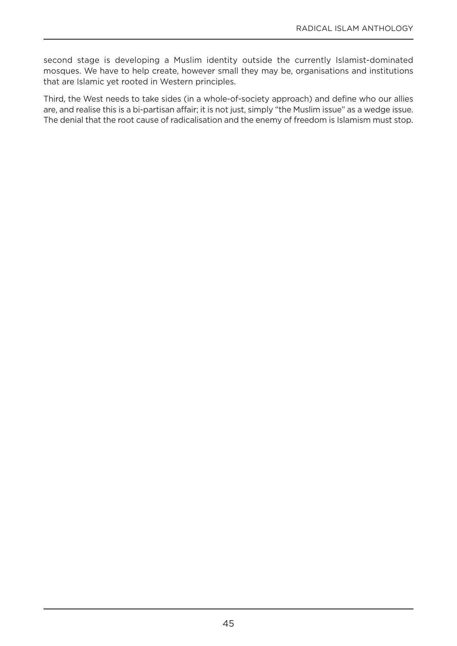second stage is developing a Muslim identity outside the currently Islamist-dominated mosques. We have to help create, however small they may be, organisations and institutions that are Islamic yet rooted in Western principles.

Third, the West needs to take sides (in a whole-of-society approach) and define who our allies are, and realise this is a bi-partisan affair; it is not just, simply "the Muslim issue" as a wedge issue. The denial that the root cause of radicalisation and the enemy of freedom is Islamism must stop.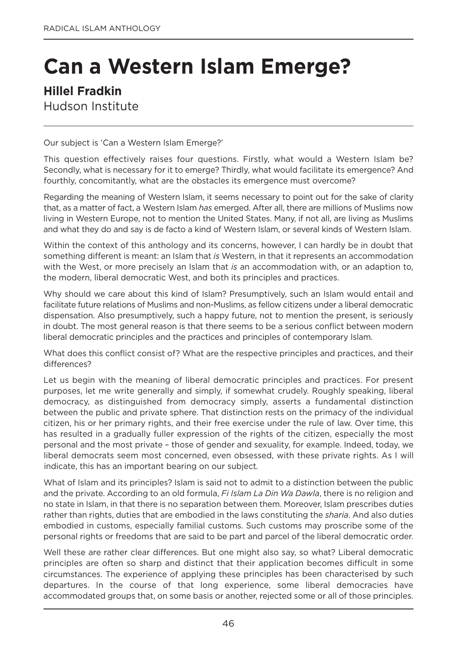# **Can a Western Islam Emerge?**

## **Hillel Fradkin**

Hudson Institute

our subject is 'Can a Western Islam Emerge?'

This question effectively raises four questions. Firstly, what would a Western Islam be? Secondly, what is necessary for it to emerge? Thirdly, what would facilitate its emergence? And fourthly, concomitantly, what are the obstacles its emergence must overcome?

Regarding the meaning of Western Islam, it seems necessary to point out for the sake of clarity that, as a matter of fact, a Western Islam *has* emerged. After all, there are millions of Muslims now living in Western Europe, not to mention the United States. Many, if not all, are living as Muslims and what they do and say is de facto a kind of Western Islam, or several kinds of Western Islam.

Within the context of this anthology and its concerns, however, I can hardly be in doubt that something different is meant: an Islam that *is* Western, in that it represents an accommodation with the West, or more precisely an Islam that *is* an accommodation with, or an adaption to, the modern, liberal democratic West, and both its principles and practices.

Why should we care about this kind of Islam? Presumptively, such an Islam would entail and facilitate future relations of Muslims and non-Muslims, as fellow citizens under a liberal democratic dispensation. Also presumptively, such a happy future, not to mention the present, is seriously in doubt. The most general reason is that there seems to be a serious conflict between modern liberal democratic principles and the practices and principles of contemporary Islam.

What does this conflict consist of? What are the respective principles and practices, and their differences?

Let us begin with the meaning of liberal democratic principles and practices. For present purposes, let me write generally and simply, if somewhat crudely. Roughly speaking, liberal democracy, as distinguished from democracy simply, asserts a fundamental distinction between the public and private sphere. That distinction rests on the primacy of the individual citizen, his or her primary rights, and their free exercise under the rule of law. Over time, this has resulted in a gradually fuller expression of the rights of the citizen, especially the most personal and the most private – those of gender and sexuality, for example. Indeed, today, we liberal democrats seem most concerned, even obsessed, with these private rights. As I will indicate, this has an important bearing on our subject.

What of Islam and its principles? Islam is said not to admit to a distinction between the public and the private. According to an old formula, *Fi Islam La Din Wa Dawla*, there is no religion and no state in Islam, in that there is no separation between them. Moreover, Islam prescribes duties rather than rights, duties that are embodied in the laws constituting the *sharia*. And also duties embodied in customs, especially familial customs. Such customs may proscribe some of the personal rights or freedoms that are said to be part and parcel of the liberal democratic order.

Well these are rather clear differences. But one might also say, so what? Liberal democratic principles are often so sharp and distinct that their application becomes difficult in some circumstances. The experience of applying these principles has been characterised by such departures. In the course of that long experience, some liberal democracies have accommodated groups that, on some basis or another, rejected some or all of those principles.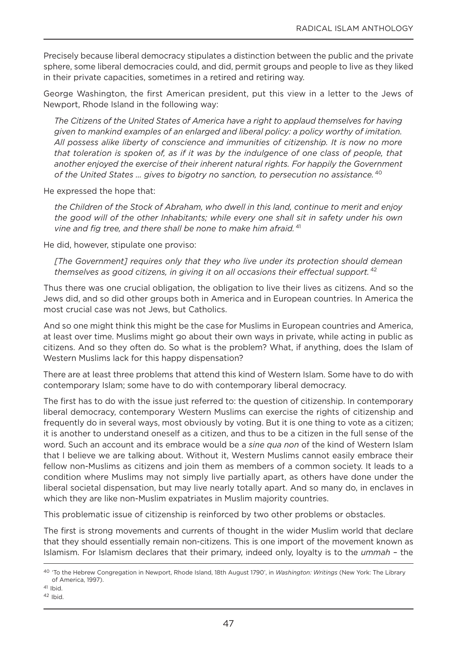Precisely because liberal democracy stipulates a distinction between the public and the private sphere, some liberal democracies could, and did, permit groups and people to live as they liked in their private capacities, sometimes in a retired and retiring way.

george Washington, the first American president, put this view in a letter to the Jews of Newport, Rhode Island in the following way:

*The Citizens of the United States of America have a right to applaud themselves for having given to mankind examples of an enlarged and liberal policy: a policy worthy of imitation. All possess alike liberty of conscience and immunities of citizenship. It is now no more that toleration is spoken of, as if it was by the indulgence of one class of people, that another enjoyed the exercise of their inherent natural rights. For happily the Government of the United States … gives to bigotry no sanction, to persecution no assistance.* <sup>40</sup>

He expressed the hope that:

*the Children of the Stock of Abraham, who dwell in this land, continue to merit and enjoy the good will of the other Inhabitants; while every one shall sit in safety under his own vine and fig tree, and there shall be none to make him afraid.* <sup>41</sup>

He did, however, stipulate one proviso:

*[The Government] requires only that they who live under its protection should demean themselves as good citizens, in giving it on all occasions their effectual support.* <sup>42</sup>

Thus there was one crucial obligation, the obligation to live their lives as citizens. And so the Jews did, and so did other groups both in America and in European countries. In America the most crucial case was not Jews, but Catholics.

And so one might think this might be the case for Muslims in European countries and America, at least over time. Muslims might go about their own ways in private, while acting in public as citizens. And so they often do. So what is the problem? What, if anything, does the Islam of Western Muslims lack for this happy dispensation?

There are at least three problems that attend this kind of Western Islam. Some have to do with contemporary Islam; some have to do with contemporary liberal democracy.

The first has to do with the issue just referred to: the question of citizenship. In contemporary liberal democracy, contemporary Western Muslims can exercise the rights of citizenship and frequently do in several ways, most obviously by voting. But it is one thing to vote as a citizen; it is another to understand oneself as a citizen, and thus to be a citizen in the full sense of the word. Such an account and its embrace would be a *sine qua non* of the kind of Western Islam that I believe we are talking about. Without it, Western Muslims cannot easily embrace their fellow non-Muslims as citizens and join them as members of a common society. It leads to a condition where Muslims may not simply live partially apart, as others have done under the liberal societal dispensation, but may live nearly totally apart. And so many do, in enclaves in which they are like non-Muslim expatriates in Muslim majority countries.

This problematic issue of citizenship is reinforced by two other problems or obstacles.

The first is strong movements and currents of thought in the wider Muslim world that declare that they should essentially remain non-citizens. This is one import of the movement known as Islamism. For Islamism declares that their primary, indeed only, loyalty is to the *ummah* – the

<sup>40</sup> 'To the Hebrew Congregation in newport, Rhode Island, 18th August 1790', in *Washington: Writings* (new york: The Library of America, 1997).

 $41$  Ibid.

 $42$  Ibid.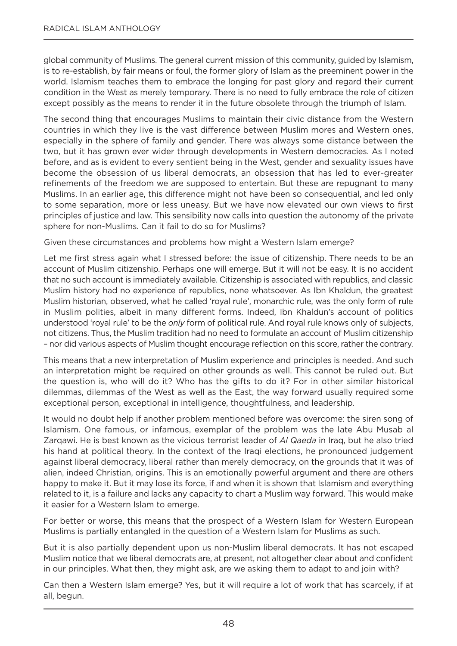global community of Muslims. The general current mission of this community, guided by Islamism, is to re-establish, by fair means or foul, the former glory of Islam as the preeminent power in the world. Islamism teaches them to embrace the longing for past glory and regard their current condition in the West as merely temporary. There is no need to fully embrace the role of citizen except possibly as the means to render it in the future obsolete through the triumph of Islam.

The second thing that encourages Muslims to maintain their civic distance from the Western countries in which they live is the vast difference between Muslim mores and Western ones, especially in the sphere of family and gender. There was always some distance between the two, but it has grown ever wider through developments in Western democracies. As I noted before, and as is evident to every sentient being in the West, gender and sexuality issues have become the obsession of us liberal democrats, an obsession that has led to ever-greater refinements of the freedom we are supposed to entertain. But these are repugnant to many Muslims. In an earlier age, this difference might not have been so consequential, and led only to some separation, more or less uneasy. But we have now elevated our own views to first principles of justice and law. This sensibility now calls into question the autonomy of the private sphere for non-Muslims. Can it fail to do so for Muslims?

Given these circumstances and problems how might a Western Islam emerge?

Let me first stress again what I stressed before: the issue of citizenship. There needs to be an account of Muslim citizenship. Perhaps one will emerge. But it will not be easy. It is no accident that no such account is immediately available. Citizenship is associated with republics, and classic Muslim history had no experience of republics, none whatsoever. As Ibn Khaldun, the greatest Muslim historian, observed, what he called 'royal rule', monarchic rule, was the only form of rule in Muslim polities, albeit in many different forms. Indeed, Ibn Khaldun's account of politics understood 'royal rule' to be the *only* form of political rule. And royal rule knows only of subjects, not citizens. Thus, the Muslim tradition had no need to formulate an account of Muslim citizenship – nor did various aspects of Muslim thought encourage reflection on this score, rather the contrary.

This means that a new interpretation of Muslim experience and principles is needed. And such an interpretation might be required on other grounds as well. This cannot be ruled out. But the question is, who will do it? Who has the gifts to do it? For in other similar historical dilemmas, dilemmas of the West as well as the East, the way forward usually required some exceptional person, exceptional in intelligence, thoughtfulness, and leadership.

It would no doubt help if another problem mentioned before was overcome: the siren song of Islamism. one famous, or infamous, exemplar of the problem was the late Abu Musab al Zarqawi. He is best known as the vicious terrorist leader of *Al Qaeda* in Iraq, but he also tried his hand at political theory. In the context of the Iraqi elections, he pronounced judgement against liberal democracy, liberal rather than merely democracy, on the grounds that it was of alien, indeed Christian, origins. This is an emotionally powerful argument and there are others happy to make it. But it may lose its force, if and when it is shown that Islamism and everything related to it, is a failure and lacks any capacity to chart a Muslim way forward. This would make it easier for a Western Islam to emerge.

For better or worse, this means that the prospect of a Western Islam for Western European Muslims is partially entangled in the question of a Western Islam for Muslims as such.

But it is also partially dependent upon us non-Muslim liberal democrats. It has not escaped Muslim notice that we liberal democrats are, at present, not altogether clear about and confident in our principles. What then, they might ask, are we asking them to adapt to and join with?

Can then a Western Islam emerge? yes, but it will require a lot of work that has scarcely, if at all, begun.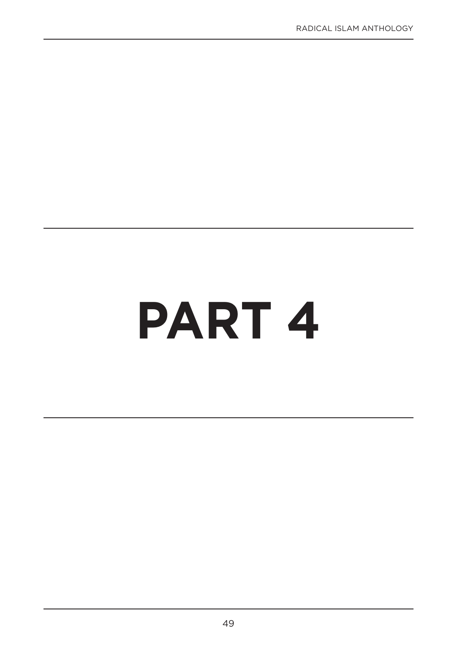# **PART 4**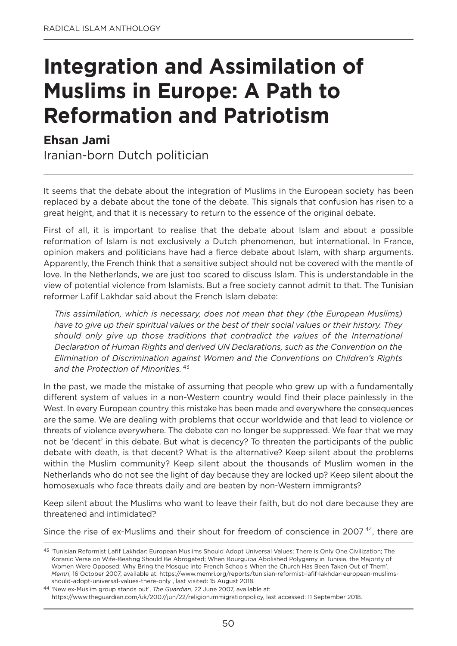# **Integration and Assimilation of Muslims in Europe: A Path to Reformation and Patriotism**

## **Ehsan Jami**

Iranian-born Dutch politician

It seems that the debate about the integration of Muslims in the European society has been replaced by a debate about the tone of the debate. This signals that confusion has risen to a great height, and that it is necessary to return to the essence of the original debate.

First of all, it is important to realise that the debate about Islam and about a possible reformation of Islam is not exclusively a Dutch phenomenon, but international. In France, opinion makers and politicians have had a fierce debate about Islam, with sharp arguments. Apparently, the French think that a sensitive subject should not be covered with the mantle of love. In the Netherlands, we are just too scared to discuss Islam. This is understandable in the view of potential violence from Islamists. But a free society cannot admit to that. The Tunisian reformer Lafif Lakhdar said about the French Islam debate:

*This assimilation, which is necessary, does not mean that they (the European Muslims) have to give up their spiritual values or the best of their social values or their history. They should only give up those traditions that contradict the values of the International Declaration of Human Rights and derived UN Declarations, such as the Convention on the Elimination of Discrimination against Women and the Conventions on Children's Rights and the Protection of Minorities.* <sup>43</sup>

In the past, we made the mistake of assuming that people who grew up with a fundamentally different system of values in a non-Western country would find their place painlessly in the West. In every European country this mistake has been made and everywhere the consequences are the same. We are dealing with problems that occur worldwide and that lead to violence or threats of violence everywhere. The debate can no longer be suppressed. We fear that we may not be 'decent' in this debate. But what is decency? To threaten the participants of the public debate with death, is that decent? What is the alternative? Keep silent about the problems within the Muslim community? Keep silent about the thousands of Muslim women in the netherlands who do not see the light of day because they are locked up? Keep silent about the homosexuals who face threats daily and are beaten by non-Western immigrants?

Keep silent about the Muslims who want to leave their faith, but do not dare because they are threatened and intimidated?

Since the rise of ex-Muslims and their shout for freedom of conscience in 2007<sup>44</sup>, there are

<sup>&</sup>lt;sup>43</sup> 'Tunisian Reformist Lafif Lakhdar: European Muslims Should Adopt Universal Values; There is Only One Civilization; The Koranic Verse on Wife-Beating Should Be Abrogated; When Bourguiba Abolished Polygamy in Tunisia, the Majority of Women Were Opposed; Why Bring the Mosque into French Schools When the Church Has Been Taken Out of Them', *Memri*, 16 october 2007, available at: https://www.memri.org/reports/tunisian-reformist-lafif-lakhdar-european-muslimsshould-adopt-universal-values-there-only , last visited: 15 August 2018.

<sup>44</sup> 'new ex-Muslim group stands out', *The Guardian*, 22 June 2007, available at: https://www.theguardian.com/uk/2007/jun/22/religion.immigrationpolicy, last accessed: 11 September 2018.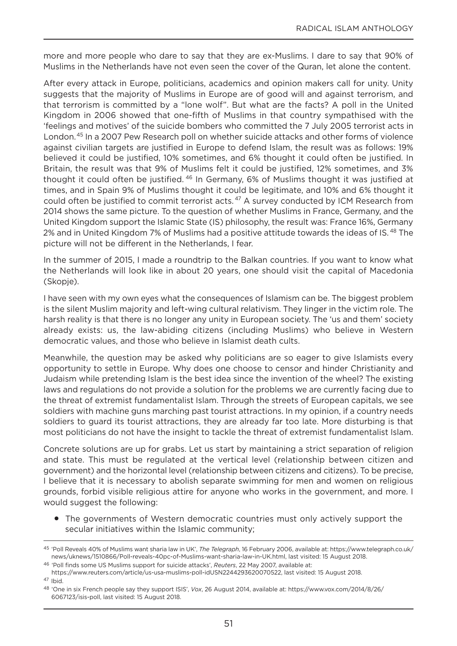more and more people who dare to say that they are ex-Muslims. I dare to say that 90% of Muslims in the netherlands have not even seen the cover of the Quran, let alone the content.

After every attack in Europe, politicians, academics and opinion makers call for unity. Unity suggests that the majority of Muslims in Europe are of good will and against terrorism, and that terrorism is committed by a "lone wolf". But what are the facts? A poll in the United Kingdom in 2006 showed that one-fifth of Muslims in that country sympathised with the 'feelings and motives' of the suicide bombers who committed the 7 July 2005 terrorist acts in London.45 In a 2007 Pew Research poll on whether suicide attacks and other forms of violence against civilian targets are justified in Europe to defend Islam, the result was as follows: 19% believed it could be justified, 10% sometimes, and 6% thought it could often be justified. In Britain, the result was that 9% of Muslims felt it could be justified, 12% sometimes, and 3% thought it could often be justified. <sup>46</sup> In Germany, 6% of Muslims thought it was justified at times, and in Spain 9% of Muslims thought it could be legitimate, and 10% and 6% thought it could often be justified to commit terrorist acts.<sup>47</sup> A survey conducted by ICM Research from 2014 shows the same picture. To the question of whether Muslims in France, germany, and the United Kingdom support the Islamic State (IS) philosophy, the result was: France 16%, Germany 2% and in United Kingdom 7% of Muslims had a positive attitude towards the ideas of IS.<sup>48</sup> The picture will not be different in the netherlands, I fear.

In the summer of 2015, I made a roundtrip to the Balkan countries. If you want to know what the netherlands will look like in about 20 years, one should visit the capital of Macedonia (Skopje).

I have seen with my own eyes what the consequences of Islamism can be. The biggest problem is the silent Muslim majority and left-wing cultural relativism. They linger in the victim role. The harsh reality is that there is no longer any unity in European society. The 'us and them' society already exists: us, the law-abiding citizens (including Muslims) who believe in Western democratic values, and those who believe in Islamist death cults.

Meanwhile, the question may be asked why politicians are so eager to give Islamists every opportunity to settle in Europe. Why does one choose to censor and hinder Christianity and Judaism while pretending Islam is the best idea since the invention of the wheel? The existing laws and regulations do not provide a solution for the problems we are currently facing due to the threat of extremist fundamentalist Islam. Through the streets of European capitals, we see soldiers with machine guns marching past tourist attractions. In my opinion, if a country needs soldiers to guard its tourist attractions, they are already far too late. More disturbing is that most politicians do not have the insight to tackle the threat of extremist fundamentalist Islam.

Concrete solutions are up for grabs. Let us start by maintaining a strict separation of religion and state. This must be regulated at the vertical level (relationship between citizen and government) and the horizontal level (relationship between citizens and citizens). To be precise, I believe that it is necessary to abolish separate swimming for men and women on religious grounds, forbid visible religious attire for anyone who works in the government, and more. I would suggest the following:

• The governments of Western democratic countries must only actively support the secular initiatives within the Islamic community;

<sup>45</sup> 'Poll Reveals 40% of Muslims want sharia law in UK', *The Telegraph*, 16 February 2006, available at: https://www.telegraph.co.uk/ news/uknews/1510866/Poll-reveals-40pc-of-Muslims-want-sharia-law-in-UK.html, last visited: 15 August 2018.

<sup>46</sup> 'Poll finds some US Muslims support for suicide attacks', *Reuters*, 22 May 2007, available at:

https://www.reuters.com/article/us-usa-muslims-poll-idUSn2244293620070522, last visited: 15 August 2018.

<sup>47</sup> Ibid.

<sup>48</sup> 'one in six French people say they support ISIS', *Vox*, 26 August 2014, available at: https://www.vox.com/2014/8/26/ 6067123/isis-poll, last visited: 15 August 2018.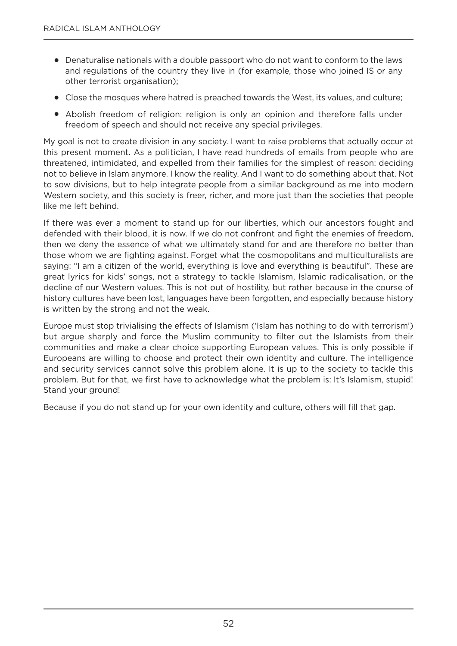- Denaturalise nationals with a double passport who do not want to conform to the laws and regulations of the country they live in (for example, those who joined IS or any other terrorist organisation);
- Close the mosques where hatred is preached towards the West, its values, and culture;
- Abolish freedom of religion: religion is only an opinion and therefore falls under freedom of speech and should not receive any special privileges.

My goal is not to create division in any society. I want to raise problems that actually occur at this present moment. As a politician, I have read hundreds of emails from people who are threatened, intimidated, and expelled from their families for the simplest of reason: deciding not to believe in Islam anymore. I know the reality. And I want to do something about that. not to sow divisions, but to help integrate people from a similar background as me into modern Western society, and this society is freer, richer, and more just than the societies that people like me left behind.

If there was ever a moment to stand up for our liberties, which our ancestors fought and defended with their blood, it is now. If we do not confront and fight the enemies of freedom, then we deny the essence of what we ultimately stand for and are therefore no better than those whom we are fighting against. Forget what the cosmopolitans and multiculturalists are saying: "I am a citizen of the world, everything is love and everything is beautiful". These are great lyrics for kids' songs, not a strategy to tackle Islamism, Islamic radicalisation, or the decline of our Western values. This is not out of hostility, but rather because in the course of history cultures have been lost, languages have been forgotten, and especially because history is written by the strong and not the weak.

Europe must stop trivialising the effects of Islamism ('Islam has nothing to do with terrorism') but argue sharply and force the Muslim community to filter out the Islamists from their communities and make a clear choice supporting European values. This is only possible if Europeans are willing to choose and protect their own identity and culture. The intelligence and security services cannot solve this problem alone. It is up to the society to tackle this problem. But for that, we first have to acknowledge what the problem is: It's Islamism, stupid! Stand your ground!

Because if you do not stand up for your own identity and culture, others will fill that gap.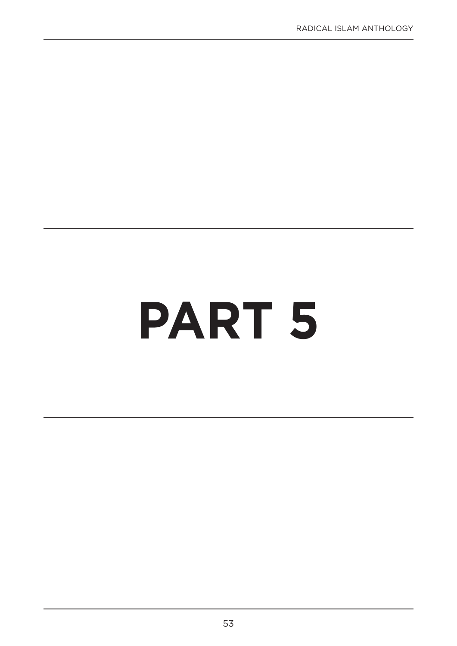# **PART 5**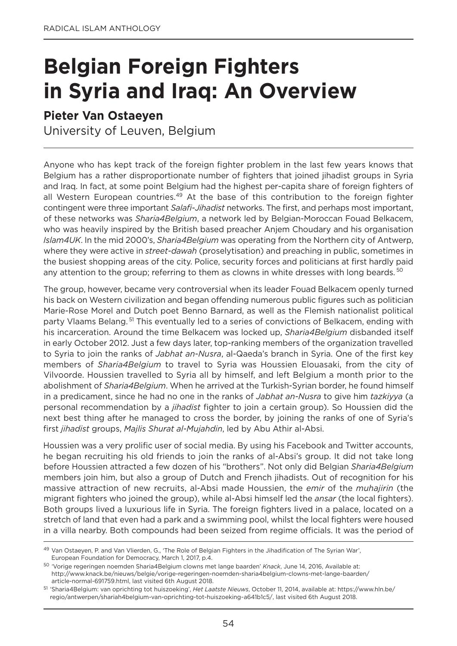# **Belgian Foreign Fighters in Syria and Iraq: An Overview**

## **Pieter Van Ostaeyen**

University of Leuven, Belgium

Anyone who has kept track of the foreign fighter problem in the last few years knows that Belgium has a rather disproportionate number of fighters that joined jihadist groups in Syria and Iraq. In fact, at some point Belgium had the highest per-capita share of foreign fighters of all Western European countries.<sup>49</sup> At the base of this contribution to the foreign fighter contingent were three important *Salafi-Jihadist* networks. The first, and perhaps most important, of these networks was *Sharia4Belgium*, a network led by Belgian-Moroccan Fouad Belkacem, who was heavily inspired by the British based preacher Anjem Choudary and his organisation *Islam4UK*. In the mid 2000's, *Sharia4Belgium* was operating from the Northern city of Antwerp, where they were active in *street-dawah* (proselytisation) and preaching in public, sometimes in the busiest shopping areas of the city. Police, security forces and politicians at first hardly paid any attention to the group; referring to them as clowns in white dresses with long beards.<sup>50</sup>

The group, however, became very controversial when its leader Fouad Belkacem openly turned his back on Western civilization and began offending numerous public figures such as politician Marie-Rose Morel and Dutch poet Benno Barnard, as well as the Flemish nationalist political party Vlaams Belang.<sup>51</sup> This eventually led to a series of convictions of Belkacem, ending with his incarceration. Around the time Belkacem was locked up, *Sharia4Belgium* disbanded itself in early October 2012. Just a few days later, top-ranking members of the organization travelled to Syria to join the ranks of *Jabhat an-Nusra*, al-Qaeda's branch in Syria. One of the first key members of *Sharia4Belgium* to travel to Syria was Houssien Elouasaki, from the city of Vilvoorde. Houssien travelled to Syria all by himself, and left Belgium a month prior to the abolishment of *Sharia4Belgium*. When he arrived at the Turkish-Syrian border, he found himself in a predicament, since he had no one in the ranks of *Jabhat an-Nusra* to give him *tazkiyya* (a personal recommendation by a *jihadist* fighter to join a certain group). So Houssien did the next best thing after he managed to cross the border, by joining the ranks of one of Syria's first *jihadist* groups, *Majlis Shurat al-Mujahdin*, led by Abu Athir al-Absi.

Houssien was a very prolific user of social media. By using his Facebook and Twitter accounts, he began recruiting his old friends to join the ranks of al-Absi's group. It did not take long before Houssien attracted a few dozen of his "brothers". not only did Belgian *Sharia4Belgium* members join him, but also a group of Dutch and French jihadists. out of recognition for his massive attraction of new recruits, al-Absi made Houssien, the *emir* of the *muhajirin* (the migrant fighters who joined the group), while al-Absi himself led the *ansar* (the local fighters). Both groups lived a luxurious life in Syria. The foreign fighters lived in a palace, located on a stretch of land that even had a park and a swimming pool, whilst the local fighters were housed in a villa nearby. Both compounds had been seized from regime officials. It was the period of

<sup>49</sup> Van ostaeyen, P. and Van Vlierden, g., 'The Role of Belgian Fighters in the Jihadification of The Syrian War', European Foundation for Democracy, March 1, 2017, p.4.

<sup>50</sup> 'Vorige regeringen noemden Sharia4Belgium clowns met lange baarden' *Knack*, June 14, 2016, Available at: http://www.knack.be/nieuws/belgie/vorige-regeringen-noemden-sharia4belgium-clowns-met-lange-baarden/ article-normal-691759.html, last visited 6th August 2018.

<sup>51</sup> 'Sharia4Belgium: van oprichting tot huiszoeking', *Het Laatste Nieuws*, october 11, 2014, available at: https://www.hln.be/ regio/antwerpen/shariah4belgium-van-oprichting-tot-huiszoeking~a641b1c5/, last visited 6th August 2018.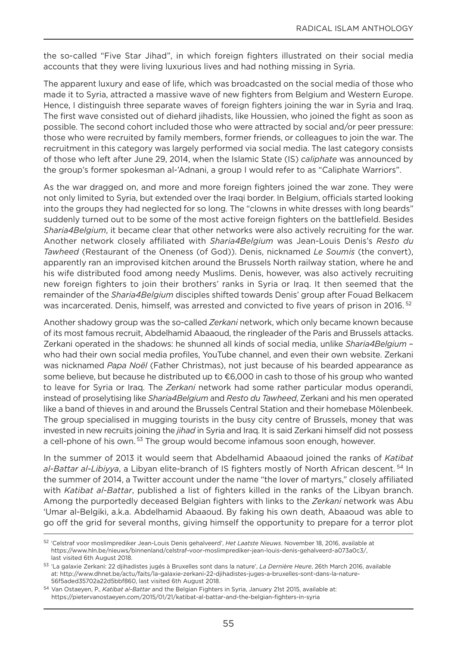the so-called "Five Star Jihad", in which foreign fighters illustrated on their social media accounts that they were living luxurious lives and had nothing missing in Syria.

The apparent luxury and ease of life, which was broadcasted on the social media of those who made it to Syria, attracted a massive wave of new fighters from Belgium and Western Europe. Hence, I distinguish three separate waves of foreign fighters joining the war in Syria and Iraq. The first wave consisted out of diehard jihadists, like Houssien, who joined the fight as soon as possible. The second cohort included those who were attracted by social and/or peer pressure: those who were recruited by family members, former friends, or colleagues to join the war. The recruitment in this category was largely performed via social media. The last category consists of those who left after June 29, 2014, when the Islamic State (IS) *caliphate* was announced by the group's former spokesman al-'Adnani, a group I would refer to as "Caliphate Warriors".

As the war dragged on, and more and more foreign fighters joined the war zone. They were not only limited to Syria, but extended over the Iraqi border. In Belgium, officials started looking into the groups they had neglected for so long. The "clowns in white dresses with long beards" suddenly turned out to be some of the most active foreign fighters on the battlefield. Besides *Sharia4Belgium*, it became clear that other networks were also actively recruiting for the war. Another network closely affiliated with *Sharia4Belgium* was Jean-Louis Denis's *Resto du Tawheed* (Restaurant of the oneness (of god)). Denis, nicknamed *Le Soumis* (the convert), apparently ran an improvised kitchen around the Brussels north railway station, where he and his wife distributed food among needy Muslims. Denis, however, was also actively recruiting new foreign fighters to join their brothers' ranks in Syria or Iraq. It then seemed that the remainder of the *Sharia4Belgium* disciples shifted towards Denis' group after Fouad Belkacem was incarcerated. Denis, himself, was arrested and convicted to five years of prison in 2016.<sup>52</sup>

Another shadowy group was the so-called *Zerkani* network, which only became known because of its most famous recruit, Abdelhamid Abaaoud, the ringleader of the Paris and Brussels attacks. Zerkani operated in the shadows: he shunned all kinds of social media, unlike *Sharia4Belgium* – who had their own social media profiles, youTube channel, and even their own website. Zerkani was nicknamed *Papa Noël* (Father Christmas), not just because of his bearded appearance as some believe, but because he distributed up to €6,000 in cash to those of his group who wanted to leave for Syria or Iraq. The *Zerkani* network had some rather particular modus operandi, instead of proselytising like *Sharia4Belgium* and *Resto du Tawheed*, Zerkani and his men operated like a band of thieves in and around the Brussels Central Station and their homebase Mölenbeek. The group specialised in mugging tourists in the busy city centre of Brussels, money that was invested in new recruits joining the *jihad* in Syria and Iraq. It is said Zerkani himself did not possess a cell-phone of his own.<sup>53</sup> The group would become infamous soon enough, however.

In the summer of 2013 it would seem that Abdelhamid Abaaoud joined the ranks of *Katibat* al-Battar al-Libiyya, a Libyan elite-branch of IS fighters mostly of North African descent.<sup>54</sup> In the summer of 2014, a Twitter account under the name "the lover of martyrs," closely affiliated with *Katibat al-Battar*, published a list of fighters killed in the ranks of the Libyan branch. Among the purportedly deceased Belgian fighters with links to the *Zerkani* network was Abu 'Umar al-Belgiki, a.k.a. Abdelhamid Abaaoud. By faking his own death, Abaaoud was able to go off the grid for several months, giving himself the opportunity to prepare for a terror plot

<sup>52</sup> 'Celstraf voor moslimprediker Jean-Louis Denis gehalveerd', *Het Laatste Nieuws*. november 18, 2016, available at https://www.hln.be/nieuws/binnenland/celstraf-voor-moslimprediker-jean-louis-denis-gehalveerd~a073a0c3/, last visited 6th August 2018.

<sup>53</sup> 'La galaxie Zerkani: 22 djihadistes jugés à Bruxelles sont dans la nature', *La Dernière Heure*, 26th March 2016, available at: http://www.dhnet.be/actu/faits/la-galaxie-zerkani-22-djihadistes-juges-a-bruxelles-sont-dans-la-nature-56f5aded35702a22d5bbf860, last visited 6th August 2018.

<sup>54</sup> Van ostaeyen, P., *Katibat al-Battar* and the Belgian Fighters in Syria, January 21st 2015, available at: https://pietervanostaeyen.com/2015/01/21/katibat-al-battar-and-the-belgian-fighters-in-syria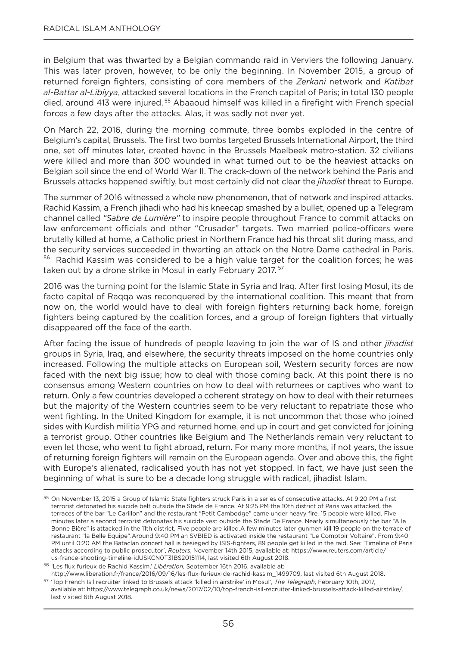in Belgium that was thwarted by a Belgian commando raid in Verviers the following January. This was later proven, however, to be only the beginning. In november 2015, a group of returned foreign fighters, consisting of core members of the *Zerkani* network and *Katibat al-Battar al-Libiyya*, attacked several locations in the French capital of Paris; in total 130 people died, around 413 were injured.<sup>55</sup> Abaaoud himself was killed in a firefight with French special forces a few days after the attacks. Alas, it was sadly not over yet.

on March 22, 2016, during the morning commute, three bombs exploded in the centre of Belgium's capital, Brussels. The first two bombs targeted Brussels International Airport, the third one, set off minutes later, created havoc in the Brussels Maelbeek metro-station. 32 civilians were killed and more than 300 wounded in what turned out to be the heaviest attacks on Belgian soil since the end of World War II. The crack-down of the network behind the Paris and Brussels attacks happened swiftly, but most certainly did not clear the *jihadist* threat to Europe.

The summer of 2016 witnessed a whole new phenomenon, that of network and inspired attacks. Rachid Kassim, a French jihadi who had his kneecap smashed by a bullet, opened up a Telegram channel called *"Sabre de Lumière"* to inspire people throughout France to commit attacks on law enforcement officials and other "Crusader" targets. Two married police-officers were brutally killed at home, a Catholic priest in northern France had his throat slit during mass, and the security services succeeded in thwarting an attack on the Notre Dame cathedral in Paris. <sup>56</sup> Rachid Kassim was considered to be a high value target for the coalition forces; he was taken out by a drone strike in Mosul in early February 2017. <sup>57</sup>

2016 was the turning point for the Islamic State in Syria and Iraq. After first losing Mosul, its de facto capital of Raqqa was reconquered by the international coalition. This meant that from now on, the world would have to deal with foreign fighters returning back home, foreign fighters being captured by the coalition forces, and a group of foreign fighters that virtually disappeared off the face of the earth.

After facing the issue of hundreds of people leaving to join the war of IS and other *jihadist* groups in Syria, Iraq, and elsewhere, the security threats imposed on the home countries only increased. Following the multiple attacks on European soil, Western security forces are now faced with the next big issue; how to deal with those coming back. At this point there is no consensus among Western countries on how to deal with returnees or captives who want to return. Only a few countries developed a coherent strategy on how to deal with their returnees but the majority of the Western countries seem to be very reluctant to repatriate those who went fighting. In the United Kingdom for example, it is not uncommon that those who joined sides with Kurdish militia yPg and returned home, end up in court and get convicted for joining a terrorist group. Other countries like Belgium and The Netherlands remain very reluctant to even let those, who went to fight abroad, return. For many more months, if not years, the issue of returning foreign fighters will remain on the European agenda. over and above this, the fight with Europe's alienated, radicalised youth has not yet stopped. In fact, we have just seen the beginning of what is sure to be a decade long struggle with radical, jihadist Islam.

<sup>55</sup> On November 13, 2015 a Group of Islamic State fighters struck Paris in a series of consecutive attacks. At 9:20 PM a first terrorist detonated his suicide belt outside the Stade de France. At 9:25 PM the 10th district of Paris was attacked, the terraces of the bar "Le Carillon" and the restaurant "Petit Cambodge" came under heavy fire. 15 people were killed. Five minutes later a second terrorist detonates his suicide vest outside the Stade De France. nearly simultaneously the bar "A la Bonne Bière" is attacked in the 11th district, Five people are killed.A few minutes later gunmen kill 19 people on the terrace of restaurant "la Belle Equipe".Around 9:40 PM an SVBIED is activated inside the restaurant "Le Comptoir Voltaire". From 9:40 PM until 0:20 AM the Bataclan concert hall is besieged by ISIS-fighters, 89 people get killed in the raid. See: 'Timeline of Paris attacks according to public prosecutor', *Reuters*, november 14th 2015, available at: https://www.reuters.com/article/ us-france-shooting-timeline-idUSKCn0T31BS20151114, last visited 6th August 2018.

<sup>56</sup> 'Les flux furieux de Rachid Kassim,' *Libération*, September 16th 2016, available at:

http://www.liberation.fr/france/2016/09/16/les-flux-furieux-de-rachid-kassim\_1499709, last visited 6th August 2018. <sup>57</sup> 'Top French Isil recruiter linked to Brussels attack 'killed in airstrike' in Mosul', *The Telegraph*, February 10th, 2017, available at: https://www.telegraph.co.uk/news/2017/02/10/top-french-isil-recruiter-linked-brussels-attack-killed-airstrike/, last visited 6th August 2018.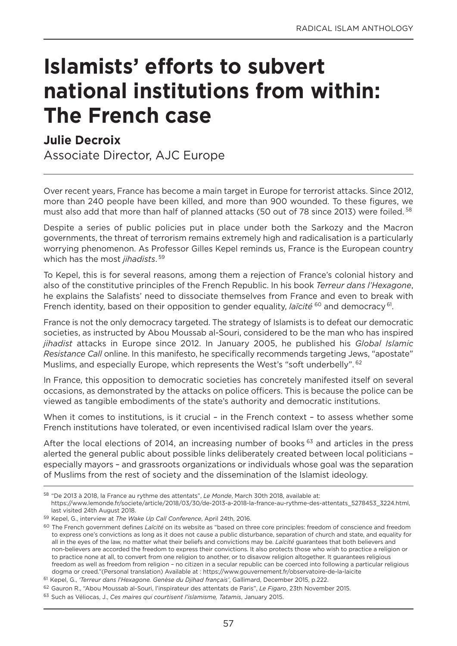# **Islamists' efforts to subvert national institutions from within: The French case**

## **Julie Decroix**

Associate Director, AJC Europe

over recent years, France has become a main target in Europe for terrorist attacks. Since 2012, more than 240 people have been killed, and more than 900 wounded. To these figures, we must also add that more than half of planned attacks (50 out of 78 since 2013) were foiled.<sup>58</sup>

Despite a series of public policies put in place under both the Sarkozy and the Macron governments, the threat of terrorism remains extremely high and radicalisation is a particularly worrying phenomenon. As Professor gilles Kepel reminds us, France is the European country which has the most *jihadists*. <sup>59</sup>

To Kepel, this is for several reasons, among them a rejection of France's colonial history and also of the constitutive principles of the French Republic. In his book *Terreur dans l'Hexagone*, he explains the Salafists' need to dissociate themselves from France and even to break with French identity, based on their opposition to gender equality, *laïcité* <sup>60</sup> and democracy <sup>61</sup>.

France is not the only democracy targeted. The strategy of Islamists is to defeat our democratic societies, as instructed by Abou Moussab al-Souri, considered to be the man who has inspired *jihadist* attacks in Europe since 2012. In January 2005, he published his *Global Islamic Resistance Call* online. In this manifesto, he specifically recommends targeting Jews, "apostate" Muslims, and especially Europe, which represents the West's "soft underbelly". <sup>62</sup>

In France, this opposition to democratic societies has concretely manifested itself on several occasions, as demonstrated by the attacks on police officers. This is because the police can be viewed as tangible embodiments of the state's authority and democratic institutions.

When it comes to institutions, is it crucial – in the French context – to assess whether some French institutions have tolerated, or even incentivised radical Islam over the years.

After the local elections of 2014, an increasing number of books<sup>63</sup> and articles in the press alerted the general public about possible links deliberately created between local politicians – especially mayors – and grassroots organizations or individuals whose goal was the separation of Muslims from the rest of society and the dissemination of the Islamist ideology.

https://www.lemonde.fr/societe/article/2018/03/30/de-2013-a-2018-la-france-au-rythme-des-attentats\_5278453\_3224.html, last visited 24th August 2018.

<sup>58</sup> "De 2013 à 2018, la France au rythme des attentats", *Le Monde*, March 30th 2018, available at:

<sup>59</sup> Kepel, g., interview at *The Wake Up Call Conference*, April 24th, 2016.

<sup>60</sup> The French government defines *Laïcité* on its website as "based on three core principles: freedom of conscience and freedom to express one's convictions as long as it does not cause a public disturbance, separation of church and state, and equality for all in the eyes of the law, no matter what their beliefs and convictions may be. *Laïcité* guarantees that both believers and non-believers are accorded the freedom to express their convictions. It also protects those who wish to practice a religion or to practice none at all, to convert from one religion to another, or to disavow religion altogether. It guarantees religious freedom as well as freedom from religion – no citizen in a secular republic can be coerced into following a particular religious dogma or creed."(Personal translation) Available at : https://www.gouvernement.fr/observatoire-de-la-laicite

<sup>61</sup> Kepel, g., *'Terreur dans l'Hexagone. Genèse du Djihad français'*, gallimard, December 2015, p.222.

<sup>62</sup> gauron R., "Abou Moussab al-Souri, l'inspirateur des attentats de Paris", *Le Figaro*, 23th november 2015.

<sup>63</sup> Such as Véliocas, J., *Ces maires qui courtisent l'islamisme, Tatamis*, January 2015.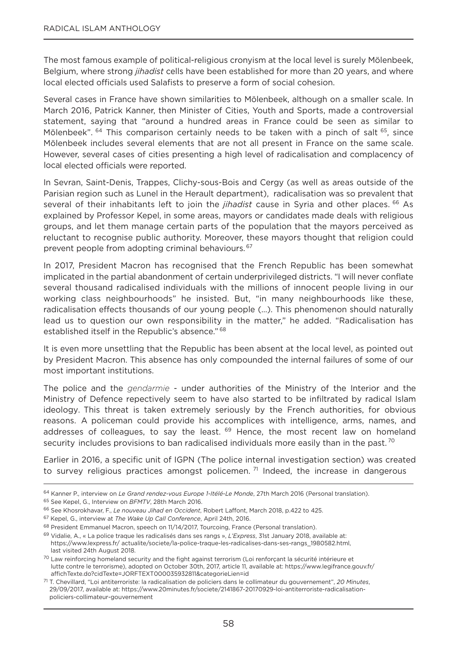The most famous example of political-religious cronyism at the local level is surely Mölenbeek, Belgium, where strong *jihadist* cells have been established for more than 20 years, and where local elected officials used Salafists to preserve a form of social cohesion.

Several cases in France have shown similarities to Mölenbeek, although on a smaller scale. In March 2016, Patrick Kanner, then Minister of Cities, youth and Sports, made a controversial statement, saying that "around a hundred areas in France could be seen as similar to Mölenbeek". <sup>64</sup> This comparison certainly needs to be taken with a pinch of salt <sup>65</sup>, since Mölenbeek includes several elements that are not all present in France on the same scale. However, several cases of cities presenting a high level of radicalisation and complacency of local elected officials were reported.

In Sevran, Saint-Denis, Trappes, Clichy-sous-Bois and Cergy (as well as areas outside of the Parisian region such as Lunel in the Herault department), radicalisation was so prevalent that several of their inhabitants left to join the *jihadist* cause in Syria and other places. <sup>66</sup> As explained by Professor Kepel, in some areas, mayors or candidates made deals with religious groups, and let them manage certain parts of the population that the mayors perceived as reluctant to recognise public authority. Moreover, these mayors thought that religion could prevent people from adopting criminal behaviours. 67

In 2017, President Macron has recognised that the French Republic has been somewhat implicated in the partial abandonment of certain underprivileged districts. "I will never conflate several thousand radicalised individuals with the millions of innocent people living in our working class neighbourhoods" he insisted. But, "in many neighbourhoods like these, radicalisation effects thousands of our young people (…). This phenomenon should naturally lead us to question our own responsibility in the matter," he added. "Radicalisation has established itself in the Republic's absence." 68

It is even more unsettling that the Republic has been absent at the local level, as pointed out by President Macron. This absence has only compounded the internal failures of some of our most important institutions.

The police and the *gendarmie* - under authorities of the Ministry of the Interior and the Ministry of Defence repectively seem to have also started to be infiltrated by radical Islam ideology. This threat is taken extremely seriously by the French authorities, for obvious reasons. A policeman could provide his accomplices with intelligence, arms, names, and addresses of colleagues, to say the least.  $69$  Hence, the most recent law on homeland security includes provisions to ban radicalised individuals more easily than in the past.<sup>70</sup>

Earlier in 2016, a specific unit of IgPn (The police internal investigation section) was created to survey religious practices amongst policemen.<sup>71</sup> Indeed, the increase in dangerous

<sup>64</sup> Kanner P., interview on *Le Grand rendez-vous Europe 1-Itélé-Le Monde*, 27th March 2016 (Personal translation).

<sup>65</sup> See Kepel, g., Interview on *BFMTV*, 28th March 2016.

<sup>66</sup> See Khosrokhavar, F., *Le nouveau Jihad en Occident*, Robert Laffont, March 2018, p.422 to 425.

<sup>67</sup> Kepel, g., interview at *The Wake Up Call Conference*, April 24th, 2016.

<sup>68</sup> President Emmanuel Macron, speech on 11/14/2017, Tourcoing, France (Personal translation).

<sup>69</sup> Vidalie, A., « La police traque les radicalisés dans ses rangs », *L'Express*, 31st January 2018, available at: https://www.lexpress.fr/ actualite/societe/la-police-traque-les-radicalises-dans-ses-rangs\_1980582.html, last visited 24th August 2018.

<sup>70</sup> Law reinforcing homeland security and the fight against terrorism (Loi renforçant la sécurité intérieure et lutte contre le terrorisme), adopted on october 30th, 2017, article 11, available at: https://www.legifrance.gouv.fr/ affichTexte.do?cidTexte=JoRFTEXT000035932811&categorieLien=id

<sup>71</sup> T. Chevillard, "Loi antiterroriste: la radicalisation de policiers dans le collimateur du gouvernement", *20 Minutes*, 29/09/2017, available at: https://www.20minutes.fr/societe/2141867-20170929-loi-antiterroriste-radicalisationpoliciers-collimateur-gouvernement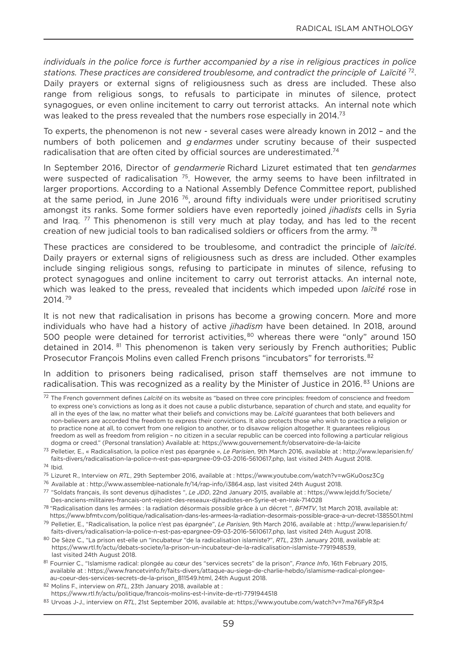*individuals in the police force is further accompanied by a rise in religious practices in police*  stations. These practices are considered troublesome, and contradict the principle of Laïcité <sup>72</sup>. Daily prayers or external signs of religiousness such as dress are included. These also range from religious songs, to refusals to participate in minutes of silence, protect synagogues, or even online incitement to carry out terrorist attacks. An internal note which was leaked to the press revealed that the numbers rose especially in 2014.<sup>73</sup>

To experts, the phenomenon is not new - several cases were already known in 2012 – and the numbers of both policemen and *gendarmes* under scrutiny because of their suspected radicalisation that are often cited by official sources are underestimated.<sup>74</sup>

In September 2016, Director of *gendarmerie* Richard Lizuret estimated that ten *gendarmes* were suspected of radicalisation<sup>75</sup>. However, the army seems to have been infiltrated in larger proportions. According to a National Assembly Defence Committee report, published at the same period, in June 2016  $76$ , around fifty individuals were under prioritised scrutiny amongst its ranks. Some former soldiers have even reportedly joined *jihadists* cells in Syria and Iraq.  $77$  This phenomenon is still very much at play today, and has led to the recent creation of new judicial tools to ban radicalised soldiers or officers from the army.<sup>78</sup>

These practices are considered to be troublesome, and contradict the principle of *laïcité*. Daily prayers or external signs of religiousness such as dress are included. other examples include singing religious songs, refusing to participate in minutes of silence, refusing to protect synagogues and online incitement to carry out terrorist attacks. An internal note, which was leaked to the press, revealed that incidents which impeded upon *laïcité* rose in 2014. <sup>79</sup>

It is not new that radicalisation in prisons has become a growing concern. More and more individuals who have had a history of active *jihadism* have been detained. In 2018, around 500 people were detained for terrorist activities, 80 whereas there were "only" around 150 detained in 2014. <sup>81</sup> This phenomenon is taken very seriously by French authorities; Public Prosecutor François Molins even called French prisons "incubators" for terrorists. <sup>82</sup>

In addition to prisoners being radicalised, prison staff themselves are not immune to radicalisation. This was recognized as a reality by the Minister of Justice in 2016.<sup>83</sup> Unions are

<sup>72</sup> The French government defines *Laïcité* on its website as "based on three core principles: freedom of conscience and freedom to express one's convictions as long as it does not cause a public disturbance, separation of church and state, and equality for all in the eyes of the law, no matter what their beliefs and convictions may be. *Laïcité* guarantees that both believers and non-believers are accorded the freedom to express their convictions. It also protects those who wish to practice a religion or to practice none at all, to convert from one religion to another, or to disavow religion altogether. It guarantees religious freedom as well as freedom from religion – no citizen in a secular republic can be coerced into following a particular religious dogma or creed." (Personal translation) Available at: https://www.gouvernement.fr/observatoire-de-la-laicite

<sup>73</sup> Pelletier, E., « Radicalisation, la police n'est pas épargnée », *Le Parisien*, 9th March 2016, available at : http://www.leparisien.fr/ faits-divers/radicalisation-la-police-n-est-pas-epargnee-09-03-2016-5610617.php, last visited 24th August 2018.

<sup>74</sup> Ibid.

<sup>75</sup> Lizuret R., Interview on *RTL*, 29th September 2016, available at : https://www.youtube.com/watch?v=wgKu0osz3Cg

<sup>76</sup> Available at : http://www.assemblee-nationale.fr/14/rap-info/i3864.asp, last visited 24th August 2018.

<sup>77</sup> "Soldats français, ils sont devenus djihadistes ", *Le JDD*, 22nd January 2015, available at : https://www.lejdd.fr/Societe/ Des-anciens-militaires-francais-ont-rejoint-des-reseaux-djihadistes-en-Syrie-et-en-Irak-714028

<sup>78</sup> "Radicalisation dans les armées : la radiation désormais possible grâce à un décret ", *BFMTV*, 1st March 2018, available at: https://www.bfmtv.com/politique/radicalisation-dans-les-armees-la-radiation-desormais-possible-grace-a-un-decret-1385501.html

<sup>79</sup> Pelletier, E., "Radicalisation, la police n'est pas épargnée", *Le Parisien*, 9th March 2016, available at : http://www.leparisien.fr/ faits-divers/radicalisation-la-police-n-est-pas-epargnee-09-03-2016-5610617.php, last visited 24th August 2018.

<sup>80</sup> De Sèze C., "La prison est-elle un "incubateur "de la radicalisation islamiste?", *RTL*, 23th January 2018, available at: https://www.rtl.fr/actu/debats-societe/la-prison-un-incubateur-de-la-radicalisation-islamiste-7791948539, last visited 24th August 2018.

<sup>81</sup> Fournier C., "Islamisme radical: plongée au cœur des "services secrets" de la prison", *France Info*, 16th February 2015, available at : https://www.francetvinfo.fr/faits-divers/attaque-au-siege-de-charlie-hebdo/islamisme-radical-plongeeau-coeur-des-services-secrets-de-la-prison\_811549.html, 24th August 2018.

<sup>82</sup> Molins F., interview on *RTL*, 23th January 2018, available at :

https://www.rtl.fr/actu/politique/francois-molins-est-l-invite-de-rtl-7791944518

<sup>83</sup> Urvoas J-J., interview on *RTL*, 21st September 2016, available at: https://www.youtube.com/watch?v=7ma76FyR3p4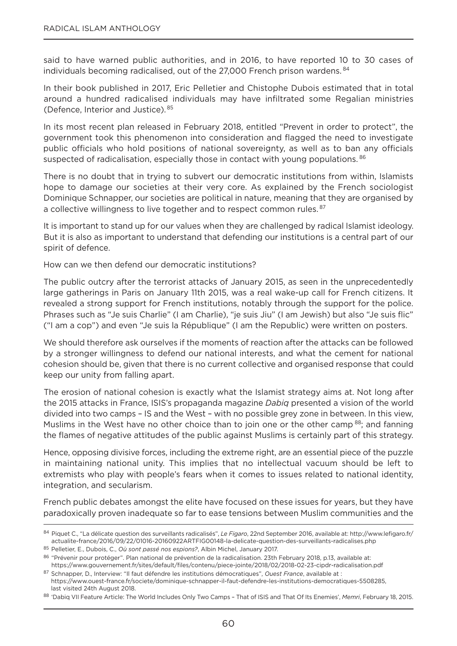said to have warned public authorities, and in 2016, to have reported 10 to 30 cases of individuals becoming radicalised, out of the 27,000 French prison wardens. <sup>84</sup>

In their book published in 2017, Eric Pelletier and Chistophe Dubois estimated that in total around a hundred radicalised individuals may have infiltrated some Regalian ministries (Defence, Interior and Justice). <sup>85</sup>

In its most recent plan released in February 2018, entitled "Prevent in order to protect", the government took this phenomenon into consideration and flagged the need to investigate public officials who hold positions of national sovereignty, as well as to ban any officials suspected of radicalisation, especially those in contact with young populations. 86

There is no doubt that in trying to subvert our democratic institutions from within, Islamists hope to damage our societies at their very core. As explained by the French sociologist Dominique Schnapper, our societies are political in nature, meaning that they are organised by a collective willingness to live together and to respect common rules. <sup>87</sup>

It is important to stand up for our values when they are challenged by radical Islamist ideology. But it is also as important to understand that defending our institutions is a central part of our spirit of defence.

How can we then defend our democratic institutions?

The public outcry after the terrorist attacks of January 2015, as seen in the unprecedentedly large gatherings in Paris on January 11th 2015, was a real wake-up call for French citizens. It revealed a strong support for French institutions, notably through the support for the police. Phrases such as "Je suis Charlie" (I am Charlie), "je suis Jiu" (I am Jewish) but also "Je suis flic" ("I am a cop") and even "Je suis la République" (I am the Republic) were written on posters.

We should therefore ask ourselves if the moments of reaction after the attacks can be followed by a stronger willingness to defend our national interests, and what the cement for national cohesion should be, given that there is no current collective and organised response that could keep our unity from falling apart.

The erosion of national cohesion is exactly what the Islamist strategy aims at. Not long after the 2015 attacks in France, ISIS's propaganda magazine *Dabiq* presented a vision of the world divided into two camps – IS and the West – with no possible grey zone in between. In this view, Muslims in the West have no other choice than to join one or the other camp <sup>88</sup>; and fanning the flames of negative attitudes of the public against Muslims is certainly part of this strategy.

Hence, opposing divisive forces, including the extreme right, are an essential piece of the puzzle in maintaining national unity. This implies that no intellectual vacuum should be left to extremists who play with people's fears when it comes to issues related to national identity, integration, and secularism.

French public debates amongst the elite have focused on these issues for years, but they have paradoxically proven inadequate so far to ease tensions between Muslim communities and the

<sup>84</sup> Piquet C., "La délicate question des surveillants radicalisés", *Le Figaro*, 22nd September 2016, available at: http://www.lefigaro.fr/ actualite-france/2016/09/22/01016-20160922ARTFIg00148-la-delicate-question-des-surveillants-radicalises.php

<sup>85</sup> Pelletier, E., Dubois, C., *Où sont passé nos espions?*, Albin Michel, January 2017.

<sup>86 &</sup>quot;Prévenir pour protéger". Plan national de prévention de la radicalisation. 23th February 2018, p.13, available at: https://www.gouvernement.fr/sites/default/files/contenu/piece-jointe/2018/02/2018-02-23-cipdr-radicalisation.pdf <sup>87</sup> Schnapper, D., Interview: "Il faut défendre les institutions démocratiques", *Ouest France*, available at :

https://www.ouest-france.fr/societe/dominique-schnapper-il-faut-defendre-les-institutions-democratiques-5508285, last visited 24th August 2018.

<sup>88</sup> 'Dabiq VII Feature Article: The World Includes only Two Camps – That of ISIS and That of Its Enemies', *Memri*, February 18, 2015.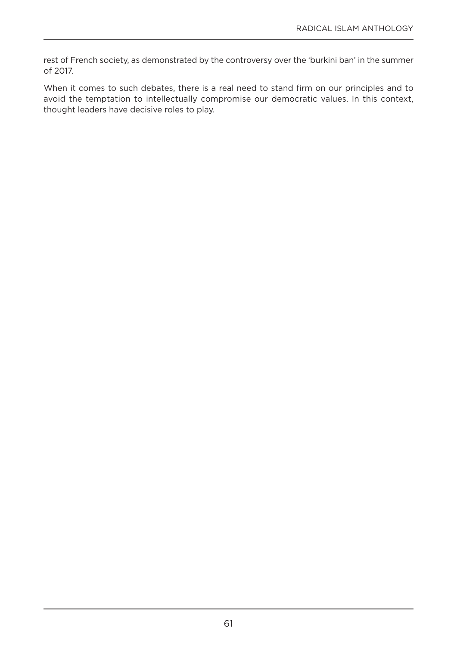rest of French society, as demonstrated by the controversy over the 'burkini ban' in the summer of 2017.

When it comes to such debates, there is a real need to stand firm on our principles and to avoid the temptation to intellectually compromise our democratic values. In this context, thought leaders have decisive roles to play.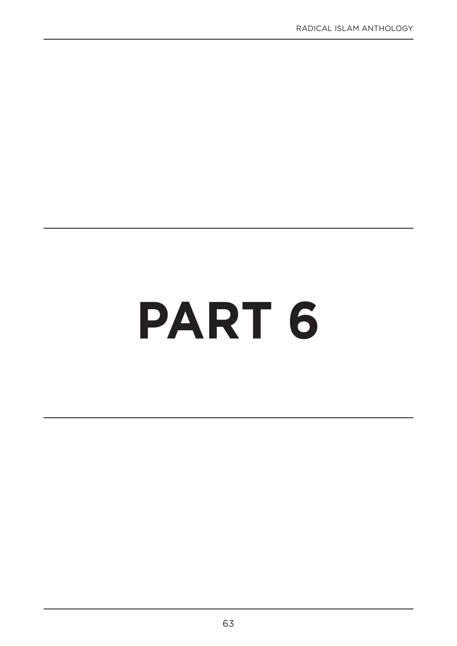# **PART 6**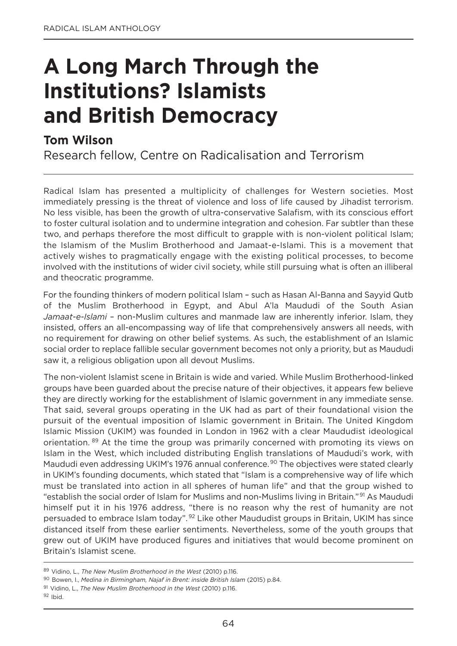# **A Long March Through the Institutions? Islamists and British Democracy**

## **Tom Wilson**

Research fellow, Centre on Radicalisation and Terrorism

Radical Islam has presented a multiplicity of challenges for Western societies. Most immediately pressing is the threat of violence and loss of life caused by Jihadist terrorism. no less visible, has been the growth of ultra-conservative Salafism, with its conscious effort to foster cultural isolation and to undermine integration and cohesion. Far subtler than these two, and perhaps therefore the most difficult to grapple with is non-violent political Islam; the Islamism of the Muslim Brotherhood and Jamaat-e-Islami. This is a movement that actively wishes to pragmatically engage with the existing political processes, to become involved with the institutions of wider civil society, while still pursuing what is often an illiberal and theocratic programme.

For the founding thinkers of modern political Islam – such as Hasan Al-Banna and Sayyid Qutb of the Muslim Brotherhood in Egypt, and Abul A'la Maududi of the South Asian *Jamaat-e-Islami* – non-Muslim cultures and manmade law are inherently inferior. Islam, they insisted, offers an all-encompassing way of life that comprehensively answers all needs, with no requirement for drawing on other belief systems. As such, the establishment of an Islamic social order to replace fallible secular government becomes not only a priority, but as Maududi saw it, a religious obligation upon all devout Muslims.

The non-violent Islamist scene in Britain is wide and varied. While Muslim Brotherhood-linked groups have been guarded about the precise nature of their objectives, it appears few believe they are directly working for the establishment of Islamic government in any immediate sense. That said, several groups operating in the UK had as part of their foundational vision the pursuit of the eventual imposition of Islamic government in Britain. The United Kingdom Islamic Mission (UKIM) was founded in London in 1962 with a clear Maududist ideological orientation. 89 At the time the group was primarily concerned with promoting its views on Islam in the West, which included distributing English translations of Maududi's work, with Maududi even addressing UKIM's 1976 annual conference.<sup>90</sup> The objectives were stated clearly in UKIM's founding documents, which stated that "Islam is a comprehensive way of life which must be translated into action in all spheres of human life" and that the group wished to "establish the social order of Islam for Muslims and non-Muslims living in Britain." <sup>91</sup> As Maududi himself put it in his 1976 address, "there is no reason why the rest of humanity are not persuaded to embrace Islam today". <sup>92</sup> Like other Maududist groups in Britain, UKIM has since distanced itself from these earlier sentiments. nevertheless, some of the youth groups that grew out of UKIM have produced figures and initiatives that would become prominent on Britain's Islamist scene.

<sup>89</sup> Vidino, L., *The New Muslim Brotherhood in the West* (2010) p.116.

<sup>90</sup> Bowen, I., *Medina in Birmingham, Najaf in Brent: inside British Islam* (2015) p.84.

<sup>91</sup> Vidino, L., *The New Muslim Brotherhood in the West* (2010) p.116.

 $92$  Ibid.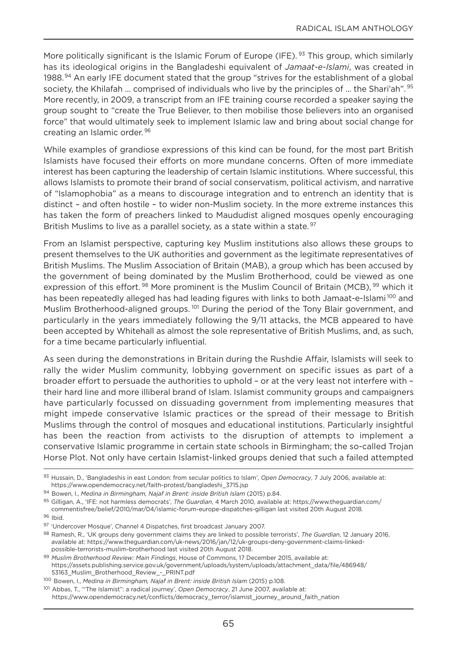More politically significant is the Islamic Forum of Europe (IFE). <sup>93</sup> This group, which similarly has its ideological origins in the Bangladeshi equivalent of *Jamaat-e-Islami*, was created in 1988.<sup>94</sup> An early IFE document stated that the group "strives for the establishment of a global society, the Khilafah ... comprised of individuals who live by the principles of ... the Shari'ah". <sup>95</sup> More recently, in 2009, a transcript from an IFE training course recorded a speaker saying the group sought to "create the True Believer, to then mobilise those believers into an organised force" that would ultimately seek to implement Islamic law and bring about social change for creating an Islamic order. <sup>96</sup>

While examples of grandiose expressions of this kind can be found, for the most part British Islamists have focused their efforts on more mundane concerns. often of more immediate interest has been capturing the leadership of certain Islamic institutions. Where successful, this allows Islamists to promote their brand of social conservatism, political activism, and narrative of "Islamophobia" as a means to discourage integration and to entrench an identity that is distinct – and often hostile – to wider non-Muslim society. In the more extreme instances this has taken the form of preachers linked to Maududist aligned mosques openly encouraging British Muslims to live as a parallel society, as a state within a state. <sup>97</sup>

From an Islamist perspective, capturing key Muslim institutions also allows these groups to present themselves to the UK authorities and government as the legitimate representatives of British Muslims. The Muslim Association of Britain (MAB), a group which has been accused by the government of being dominated by the Muslim Brotherhood, could be viewed as one expression of this effort.<sup>98</sup> More prominent is the Muslim Council of Britain (MCB), <sup>99</sup> which it has been repeatedly alleged has had leading figures with links to both Jamaat-e-Islami<sup>100</sup> and Muslim Brotherhood-aligned groups.<sup>101</sup> During the period of the Tony Blair government, and particularly in the years immediately following the 9/11 attacks, the MCB appeared to have been accepted by Whitehall as almost the sole representative of British Muslims, and, as such, for a time became particularly influential.

As seen during the demonstrations in Britain during the Rushdie Affair, Islamists will seek to rally the wider Muslim community, lobbying government on specific issues as part of a broader effort to persuade the authorities to uphold – or at the very least not interfere with – their hard line and more illiberal brand of Islam. Islamist community groups and campaigners have particularly focussed on dissuading government from implementing measures that might impede conservative Islamic practices or the spread of their message to British Muslims through the control of mosques and educational institutions. Particularly insightful has been the reaction from activists to the disruption of attempts to implement a conservative Islamic programme in certain state schools in Birmingham; the so-called Trojan Horse Plot. not only have certain Islamist-linked groups denied that such a failed attempted

<sup>94</sup> Bowen, I., *Medina in Birmingham, Najaf in Brent: inside British Islam* (2015) p.84.

<sup>96</sup> Ibid.

<sup>93</sup> Hussain, D., 'Bangladeshis in east London: from secular politics to Islam', *Open Democracy*, 7 July 2006, available at: https://www.opendemocracy.net/faith-protest/bangladeshi\_3715.jsp

<sup>95</sup> gilligan, A., 'IFE: not harmless democrats', *The Guardian*, 4 March 2010, available at: https://www.theguardian.com/ commentisfree/belief/2010/mar/04/islamic-forum-europe-dispatches-gilligan last visited 20th August 2018.

<sup>97</sup> 'Undercover Mosque', Channel 4 Dispatches, first broadcast January 2007.

<sup>98</sup> Ramesh, R., 'UK groups deny government claims they are linked to possible terrorists', *The Guardian*, 12 January 2016, available at: https://www.theguardian.com/uk-news/2016/jan/12/uk-groups-deny-government-claims-linkedpossible-terrorists-muslim-brotherhood last visited 20th August 2018.

<sup>99</sup> *Muslim Brotherhood Review: Main Findings*, House of Commons, 17 December 2015, available at: https://assets.publishing.service.gov.uk/government/uploads/system/uploads/attachment\_data/file/486948/ 53163\_Muslim\_Brotherhood\_Review\_-\_PRInT.pdf

<sup>100</sup> Bowen, I., *Medina in Birmingham, Najaf in Brent: inside British Islam* (2015) p.108.

<sup>101</sup> Abbas, T., '"The Islamist": a radical journey', *Open Democracy*, 21 June 2007, available at: https://www.opendemocracy.net/conflicts/democracy\_terror/islamist\_journey\_around\_faith\_nation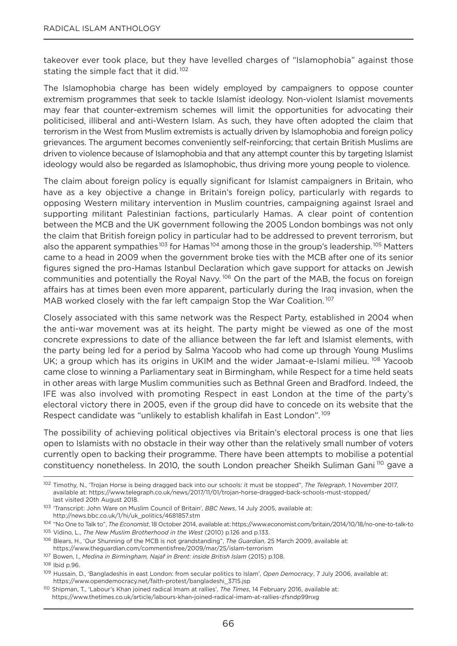takeover ever took place, but they have levelled charges of "Islamophobia" against those stating the simple fact that it did.<sup>102</sup>

The Islamophobia charge has been widely employed by campaigners to oppose counter extremism programmes that seek to tackle Islamist ideology. Non-violent Islamist movements may fear that counter-extremism schemes will limit the opportunities for advocating their politicised, illiberal and anti-Western Islam. As such, they have often adopted the claim that terrorism in the West from Muslim extremists is actually driven by Islamophobia and foreign policy grievances. The argument becomes conveniently self-reinforcing; that certain British Muslims are driven to violence because of Islamophobia and that any attempt counter this by targeting Islamist ideology would also be regarded as Islamophobic, thus driving more young people to violence.

The claim about foreign policy is equally significant for Islamist campaigners in Britain, who have as a key objective a change in Britain's foreign policy, particularly with regards to opposing Western military intervention in Muslim countries, campaigning against Israel and supporting militant Palestinian factions, particularly Hamas. A clear point of contention between the MCB and the UK government following the 2005 London bombings was not only the claim that British foreign policy in particular had to be addressed to prevent terrorism, but also the apparent sympathies<sup>103</sup> for Hamas<sup>104</sup> among those in the group's leadership.<sup>105</sup> Matters came to a head in 2009 when the government broke ties with the MCB after one of its senior figures signed the pro-Hamas Istanbul Declaration which gave support for attacks on Jewish communities and potentially the Royal Navy.<sup>106</sup> On the part of the MAB, the focus on foreign affairs has at times been even more apparent, particularly during the Iraq invasion, when the MAB worked closely with the far left campaign Stop the War Coalition.<sup>107</sup>

Closely associated with this same network was the Respect Party, established in 2004 when the anti-war movement was at its height. The party might be viewed as one of the most concrete expressions to date of the alliance between the far left and Islamist elements, with the party being led for a period by Salma yacoob who had come up through young Muslims UK; a group which has its origins in UKIM and the wider Jamaat-e-Islami milieu. <sup>108</sup> Yacoob came close to winning a Parliamentary seat in Birmingham, while Respect for a time held seats in other areas with large Muslim communities such as Bethnal green and Bradford. Indeed, the IFE was also involved with promoting Respect in east London at the time of the party's electoral victory there in 2005, even if the group did have to concede on its website that the Respect candidate was "unlikely to establish khalifah in East London".<sup>109</sup>

The possibility of achieving political objectives via Britain's electoral process is one that lies open to Islamists with no obstacle in their way other than the relatively small number of voters currently open to backing their programme. There have been attempts to mobilise a potential constituency nonetheless. In 2010, the south London preacher Sheikh Suliman Gani <sup>110</sup> gave a

<sup>102</sup> Timothy, n., 'Trojan Horse is being dragged back into our schools: it must be stopped", *The Telegraph*, 1 november 2017, available at: https://www.telegraph.co.uk/news/2017/11/01/trojan-horse-dragged-back-schools-must-stopped/ last visited 20th August 2018.

<sup>103</sup> 'Transcript: John Ware on Muslim Council of Britain', *BBC News*, 14 July 2005, available at: http://news.bbc.co.uk/1/hi/uk\_politics/4681857.stm

<sup>104</sup> "no one to Talk to", *The Economist*, 18 october 2014, available at: https://www.economist.com/britain/2014/10/18/no-one-to-talk-to

<sup>105</sup> Vidino, L., *The New Muslim Brotherhood in the West* (2010) p.126 and p.133.

<sup>106</sup> Blears, H., 'our Shunning of the MCB is not grandstanding", *The Guardian*, 25 March 2009, available at: https://www.theguardian.com/commentisfree/2009/mar/25/islam-terrorism

<sup>107</sup> Bowen, I., *Medina in Birmingham, Najaf in Brent: inside British Islam* (2015) p.108.

<sup>108</sup> Ibid p.96.

<sup>109</sup> Hussain, D., 'Bangladeshis in east London: from secular politics to Islam', *Open Democracy*, 7 July 2006, available at: https://www.opendemocracy.net/faith-protest/bangladeshi\_3715.jsp

<sup>110</sup> Shipman, T., 'Labour's Khan joined radical Imam at rallies', *The Times*, 14 February 2016, available at: https://www.thetimes.co.uk/article/labours-khan-joined-radical-imam-at-rallies-zfsndp99nxg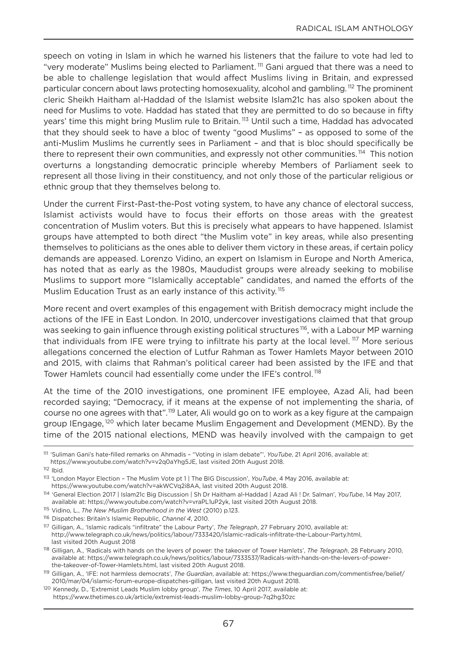speech on voting in Islam in which he warned his listeners that the failure to vote had led to "very moderate" Muslims being elected to Parliament.<sup>111</sup> Gani argued that there was a need to be able to challenge legislation that would affect Muslims living in Britain, and expressed particular concern about laws protecting homosexuality, alcohol and gambling. <sup>112</sup> The prominent cleric Sheikh Haitham al-Haddad of the Islamist website Islam21c has also spoken about the need for Muslims to vote. Haddad has stated that they are permitted to do so because in fifty years' time this might bring Muslim rule to Britain.<sup>113</sup> Until such a time, Haddad has advocated that they should seek to have a bloc of twenty "good Muslims" – as opposed to some of the anti-Muslim Muslims he currently sees in Parliament – and that is bloc should specifically be there to represent their own communities, and expressly not other communities.<sup>114</sup> This notion overturns a longstanding democratic principle whereby Members of Parliament seek to represent all those living in their constituency, and not only those of the particular religious or ethnic group that they themselves belong to.

Under the current First-Past-the-Post voting system, to have any chance of electoral success, Islamist activists would have to focus their efforts on those areas with the greatest concentration of Muslim voters. But this is precisely what appears to have happened. Islamist groups have attempted to both direct "the Muslim vote" in key areas, while also presenting themselves to politicians as the ones able to deliver them victory in these areas, if certain policy demands are appeased. Lorenzo Vidino, an expert on Islamism in Europe and North America, has noted that as early as the 1980s, Maududist groups were already seeking to mobilise Muslims to support more "Islamically acceptable" candidates, and named the efforts of the Muslim Education Trust as an early instance of this activity.<sup>115</sup>

More recent and overt examples of this engagement with British democracy might include the actions of the IFE in East London. In 2010, undercover investigations claimed that that group was seeking to gain influence through existing political structures<sup>116</sup>, with a Labour MP warning that individuals from IFE were trying to infiltrate his party at the local level.<sup>117</sup> More serious allegations concerned the election of Lutfur Rahman as Tower Hamlets Mayor between 2010 and 2015, with claims that Rahman's political career had been assisted by the IFE and that Tower Hamlets council had essentially come under the IFE's control. <sup>118</sup>

At the time of the 2010 investigations, one prominent IFE employee, Azad Ali, had been recorded saying; "Democracy, if it means at the expense of not implementing the sharia, of course no one agrees with that".<sup>119</sup> Later, Ali would go on to work as a key figure at the campaign group IEngage, <sup>120</sup> which later became Muslim Engagement and Development (MEnD). By the time of the 2015 national elections, MEnD was heavily involved with the campaign to get

<sup>111</sup> 'Suliman gani's hate-filled remarks on Ahmadis – "Voting in islam debate"', *YouTube*, 21 April 2016, available at: https://www.youtube.com/watch?v=v2q0ayhg5JE, last visited 20th August 2018.

 $112$  Ibid.

<sup>113</sup> 'London Mayor Election – The Muslim Vote pt 1 | The BIg Discussion', *YouTube*, 4 May 2016, available at:

https://www.youtube.com/watch?v=akWCVq2i8AA, last visited 20th August 2018.

<sup>114</sup> 'general Election 2017 | Islam21c Big Discussion | Sh Dr Haitham al-Haddad | Azad Ali ! Dr. Salman', *YouTube*, 14 May 2017, available at: https://www.youtube.com/watch?v=vraPL1uP2yk, last visited 20th August 2018.

<sup>115</sup> Vidino, L., *The New Muslim Brotherhood in the West* (2010) p.123.

<sup>116</sup> Dispatches: Britain's Islamic Republic, *Channel 4*, 2010.

<sup>117</sup> gilligan, A., 'Islamic radicals "infiltrate" the Labour Party', *The Telegraph*, 27 February 2010, available at: http://www.telegraph.co.uk/news/politics/labour/7333420/Islamic-radicals-infiltrate-the-Labour-Party.html, last visited 20th August 2018

<sup>118</sup> gilligan, A., 'Radicals with hands on the levers of power: the takeover of Tower Hamlets', *The Telegraph*, 28 February 2010, available at: https://www.telegraph.co.uk/news/politics/labour/7333537/Radicals-with-hands-on-the-levers-of-powerthe-takeover-of-Tower-Hamlets.html, last visited 20th August 2018.

<sup>119</sup> gilligan, A., 'IFE: not harmless democrats', *The Guardian*, available at: https://www.theguardian.com/commentisfree/belief/ 2010/mar/04/islamic-forum-europe-dispatches-gilligan, last visited 20th August 2018.

<sup>120</sup> Kennedy, D., 'Extremist Leads Muslim lobby group', *The Times*, 10 April 2017, available at: https://www.thetimes.co.uk/article/extremist-leads-muslim-lobby-group-7q2hg30zc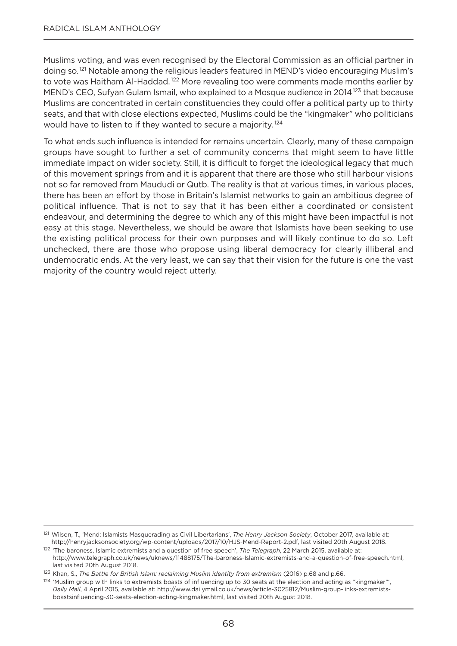Muslims voting, and was even recognised by the Electoral Commission as an official partner in doing so.<sup>121</sup> Notable among the religious leaders featured in MEND's video encouraging Muslim's to vote was Haitham Al-Haddad.<sup>122</sup> More revealing too were comments made months earlier by MEND's CEO, Sufyan Gulam Ismail, who explained to a Mosque audience in 2014<sup>123</sup> that because Muslims are concentrated in certain constituencies they could offer a political party up to thirty seats, and that with close elections expected, Muslims could be the "kingmaker" who politicians would have to listen to if they wanted to secure a majority.<sup>124</sup>

To what ends such influence is intended for remains uncertain. Clearly, many of these campaign groups have sought to further a set of community concerns that might seem to have little immediate impact on wider society. Still, it is difficult to forget the ideological legacy that much of this movement springs from and it is apparent that there are those who still harbour visions not so far removed from Maududi or Qutb. The reality is that at various times, in various places, there has been an effort by those in Britain's Islamist networks to gain an ambitious degree of political influence. That is not to say that it has been either a coordinated or consistent endeavour, and determining the degree to which any of this might have been impactful is not easy at this stage. Nevertheless, we should be aware that Islamists have been seeking to use the existing political process for their own purposes and will likely continue to do so. Left unchecked, there are those who propose using liberal democracy for clearly illiberal and undemocratic ends. At the very least, we can say that their vision for the future is one the vast majority of the country would reject utterly.

<sup>121</sup> Wilson, T., 'Mend: Islamists Masquerading as Civil Libertarians', *The Henry Jackson Society*, october 2017, available at: http://henryjacksonsociety.org/wp-content/uploads/2017/10/HJS-Mend-Report-2.pdf, last visited 20th August 2018.

<sup>122</sup> 'The baroness, Islamic extremists and a question of free speech', *The Telegraph*, 22 March 2015, available at: http://www.telegraph.co.uk/news/uknews/11488175/The-baroness-Islamic-extremists-and-a-question-of-free-speech.html, last visited 20th August 2018.

<sup>123</sup> Khan, S., *The Battle for British Islam: reclaiming Muslim identity from extremism* (2016) p.68 and p.66.

<sup>&</sup>lt;sup>124</sup> 'Muslim group with links to extremists boasts of influencing up to 30 seats at the election and acting as "kingmaker"', *Daily Mail*, 4 April 2015, available at: http://www.dailymail.co.uk/news/article-3025812/Muslim-group-links-extremistsboastsinfluencing-30-seats-election-acting-kingmaker.html, last visited 20th August 2018.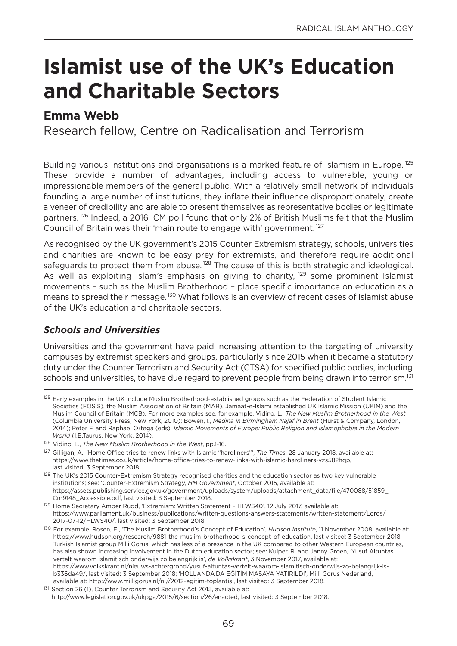# **Islamist use of the UK's Education and Charitable Sectors**

## **Emma Webb**

Research fellow, Centre on Radicalisation and Terrorism

Building various institutions and organisations is a marked feature of Islamism in Europe.<sup>125</sup> These provide a number of advantages, including access to vulnerable, young or impressionable members of the general public. With a relatively small network of individuals founding a large number of institutions, they inflate their influence disproportionately, create a veneer of credibility and are able to present themselves as representative bodies or legitimate partners.<sup>126</sup> Indeed, a 2016 ICM poll found that only 2% of British Muslims felt that the Muslim Council of Britain was their 'main route to engage with' government.<sup>127</sup>

As recognised by the UK government's 2015 Counter Extremism strategy, schools, universities and charities are known to be easy prey for extremists, and therefore require additional safeguards to protect them from abuse.<sup>128</sup> The cause of this is both strategic and ideological. As well as exploiting Islam's emphasis on giving to charity, <sup>129</sup> some prominent Islamist movements – such as the Muslim Brotherhood – place specific importance on education as a means to spread their message.<sup>130</sup> What follows is an overview of recent cases of Islamist abuse of the UK's education and charitable sectors.

### *Schools and Universities*

Universities and the government have paid increasing attention to the targeting of university campuses by extremist speakers and groups, particularly since 2015 when it became a statutory duty under the Counter Terrorism and Security Act (CTSA) for specified public bodies, including schools and universities, to have due regard to prevent people from being drawn into terrorism.<sup>131</sup>

<sup>&</sup>lt;sup>125</sup> Early examples in the UK include Muslim Brotherhood-established groups such as the Federation of Student Islamic Societies (FoSIS), the Muslim Association of Britain (MAB), Jamaat-e-Islami established UK Islamic Mission (UKIM) and the Muslim Council of Britain (MCB). For more examples see, for example, Vidino, L., *The New Muslim Brotherhood in the West* (Columbia University Press, new york, 2010); Bowen, I., *Medina in Birmingham Najaf in Brent* (Hurst & Company, London, 2014); Peter F. and Raphael ortega (eds), *Islamic Movements of Europe: Public Religion and Islamophobia in the Modern World* (I.B.Taurus, New York, 2014).

<sup>126</sup> Vidino, L., *The New Muslim Brotherhood in the West*, pp.1-16.

<sup>127</sup> gilligan, A., 'Home office tries to renew links with Islamic "hardliners"', *The Times*, 28 January 2018, available at: https://www.thetimes.co.uk/article/home-office-tries-to-renew-links-with-islamic-hardliners-vzs582hqp, last visited: 3 September 2018.

<sup>&</sup>lt;sup>128</sup> The UK's 2015 Counter-Extremism Strategy recognised charities and the education sector as two key vulnerable institutions; see: 'Counter-Extremism Strategy, *HM Government*, october 2015, available at: https://assets.publishing.service.gov.uk/government/uploads/system/uploads/attachment\_data/file/470088/51859\_ Cm9148\_Accessible.pdf, last visited: 3 September 2018.

<sup>&</sup>lt;sup>129</sup> Home Secretary Amber Rudd, 'Extremism: Written Statement - HLWS40', 12 July 2017, available at: https://www.parliament.uk/business/publications/written-questions-answers-statements/written-statement/Lords/ 2017-07-12/HLWS40/, last visited: 3 September 2018.

<sup>130</sup> For example, Rosen, E., 'The Muslim Brotherhood's Concept of Education', *Hudson Institute*, 11 november 2008, available at: https://www.hudson.org/research/9881-the-muslim-brotherhood-s-concept-of-education, last visited: 3 September 2018. Turkish Islamist group Milli gorus, which has less of a presence in the UK compared to other Western European countries, has also shown increasing involvement in the Dutch education sector; see: Kuiper, R. and Janny groen, 'yusuf Altuntas vertelt waarom islamitisch onderwijs zo belangrijk is', *de Volkskrant*, 3 november 2017, available at: https://www.volkskrant.nl/nieuws-achtergrond/yusuf-altuntas-vertelt-waarom-islamitisch-onderwijs-zo-belangrijk-is~ b336da49/, last visited: 3 September 2018; 'HoLLAnDA'DA EĞİTİM MASAyA yATIRILDI', Milli gorus nederland, available at: http://www.milligorus.nl/nl//2012-egitim-toplantisi, last visited: 3 September 2018.

<sup>131</sup> Section 26 (1), Counter Terrorism and Security Act 2015, available at: http://www.legislation.gov.uk/ukpga/2015/6/section/26/enacted, last visited: 3 September 2018.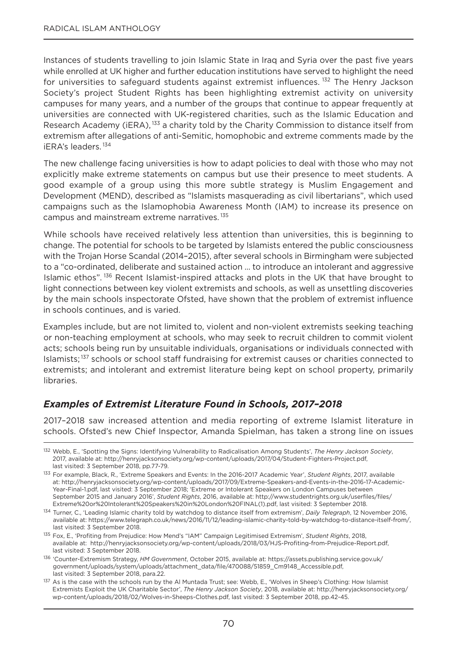Instances of students travelling to join Islamic State in Iraq and Syria over the past five years while enrolled at UK higher and further education institutions have served to highlight the need for universities to safeguard students against extremist influences.<sup>132</sup> The Henry Jackson Society's project Student Rights has been highlighting extremist activity on university campuses for many years, and a number of the groups that continue to appear frequently at universities are connected with UK-registered charities, such as the Islamic Education and Research Academy (iERA), <sup>133</sup> a charity told by the Charity Commission to distance itself from extremism after allegations of anti-Semitic, homophobic and extreme comments made by the iERA's leaders. <sup>134</sup>

The new challenge facing universities is how to adapt policies to deal with those who may not explicitly make extreme statements on campus but use their presence to meet students. A good example of a group using this more subtle strategy is Muslim Engagement and Development (MEnD), described as "Islamists masquerading as civil libertarians", which used campaigns such as the Islamophobia Awareness Month (IAM) to increase its presence on campus and mainstream extreme narratives.<sup>135</sup>

While schools have received relatively less attention than universities, this is beginning to change. The potential for schools to be targeted by Islamists entered the public consciousness with the Trojan Horse Scandal (2014–2015), after several schools in Birmingham were subjected to a "co-ordinated, deliberate and sustained action … to introduce an intolerant and aggressive Islamic ethos".<sup>136</sup> Recent Islamist-inspired attacks and plots in the UK that have brought to light connections between key violent extremists and schools, as well as unsettling discoveries by the main schools inspectorate ofsted, have shown that the problem of extremist influence in schools continues, and is varied.

Examples include, but are not limited to, violent and non-violent extremists seeking teaching or non-teaching employment at schools, who may seek to recruit children to commit violent acts; schools being run by unsuitable individuals, organisations or individuals connected with Islamists;<sup>137</sup> schools or school staff fundraising for extremist causes or charities connected to extremists; and intolerant and extremist literature being kept on school property, primarily libraries.

#### *Examples of Extremist Literature Found in Schools, 2017–2018*

2017–2018 saw increased attention and media reporting of extreme Islamist literature in schools. ofsted's new Chief Inspector, Amanda Spielman, has taken a strong line on issues

<sup>136</sup> 'Counter-Extremism Strategy, *HM Government*, october 2015, available at: https://assets.publishing.service.gov.uk/ government/uploads/system/uploads/attachment\_data/file/470088/51859\_Cm9148\_Accessible.pdf, last visited: 3 September 2018, para.22.

<sup>132</sup> Webb, E., 'Spotting the Signs: Identifying Vulnerability to Radicalisation Among Students', *The Henry Jackson Society*, 2017, available at: http://henryjacksonsociety.org/wp-content/uploads/2017/04/Student-Fighters-Project.pdf, last visited: 3 September 2018, pp.77-79.

<sup>133</sup> For example, Black, R., 'Extreme Speakers and Events: In the 2016-2017 Academic year', *Student Rights*, 2017, available at: http://henryjacksonsociety.org/wp-content/uploads/2017/09/Extreme-Speakers-and-Events-in-the-2016-17-Academicyear-Final-1.pdf, last visited: 3 September 2018; 'Extreme or Intolerant Speakers on London Campuses between September 2015 and January 2016', *Student Rights*, 2016, available at: http://www.studentrights.org.uk/userfiles/files/ Extreme%20or%20Intolerant%20Speakers%20in%20London%20FInAL(1).pdf, last visited: 3 September 2018.

<sup>134</sup> Turner, C., 'Leading Islamic charity told by watchdog to distance itself from extremism', *Daily Telegraph*, 12 november 2016, available at: https://www.telegraph.co.uk/news/2016/11/12/leading-islamic-charity-told-by-watchdog-to-distance-itself-from/, last visited: 3 September 2018.

<sup>135</sup> Fox, E., 'Profiting from Prejudice: How Mend's "IAM" Campaign Legitimised Extremism', *Student Rights*, 2018, available at: http://henryjacksonsociety.org/wp-content/uploads/2018/03/HJS-Profiting-from-Prejudice-Report.pdf, last visited: 3 September 2018.

<sup>137</sup> As is the case with the schools run by the Al Muntada Trust; see: Webb, E., 'Wolves in Sheep's Clothing: How Islamist Extremists Exploit the UK Charitable Sector', *The Henry Jackson Society*, 2018, available at: http://henryjacksonsociety.org/ wp-content/uploads/2018/02/Wolves-in-Sheeps-Clothes.pdf, last visited: 3 September 2018, pp.42-45.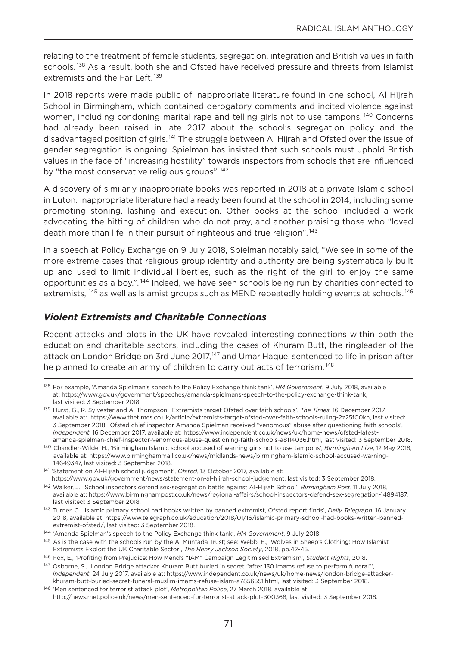relating to the treatment of female students, segregation, integration and British values in faith schools.<sup>138</sup> As a result, both she and Ofsted have received pressure and threats from Islamist extremists and the Far Left.<sup>139</sup>

In 2018 reports were made public of inappropriate literature found in one school, Al Hijrah School in Birmingham, which contained derogatory comments and incited violence against women, including condoning marital rape and telling girls not to use tampons.<sup>140</sup> Concerns had already been raised in late 2017 about the school's segregation policy and the disadvantaged position of girls.<sup>141</sup> The struggle between Al Hijrah and Ofsted over the issue of gender segregation is ongoing. Spielman has insisted that such schools must uphold British values in the face of "increasing hostility" towards inspectors from schools that are influenced by "the most conservative religious groups".<sup>142</sup>

A discovery of similarly inappropriate books was reported in 2018 at a private Islamic school in Luton. Inappropriate literature had already been found at the school in 2014, including some promoting stoning, lashing and execution. other books at the school included a work advocating the hitting of children who do not pray, and another praising those who "loved death more than life in their pursuit of righteous and true religion".<sup>143</sup>

In a speech at Policy Exchange on 9 July 2018, Spielman notably said, "We see in some of the more extreme cases that religious group identity and authority are being systematically built up and used to limit individual liberties, such as the right of the girl to enjoy the same opportunities as a boy.". <sup>144</sup> Indeed, we have seen schools being run by charities connected to extremists,.<sup>145</sup> as well as Islamist groups such as MEND repeatedly holding events at schools.<sup>146</sup>

#### *Violent Extremists and Charitable Connections*

Recent attacks and plots in the UK have revealed interesting connections within both the education and charitable sectors, including the cases of Khuram Butt, the ringleader of the attack on London Bridge on 3rd June 2017,<sup>147</sup> and Umar Haque, sentenced to life in prison after he planned to create an army of children to carry out acts of terrorism.<sup>148</sup>

<sup>138</sup> For example, 'Amanda Spielman's speech to the Policy Exchange think tank', *HM Government*, 9 July 2018, available at: https://www.gov.uk/government/speeches/amanda-spielmans-speech-to-the-policy-exchange-think-tank, last visited: 3 September 2018.

<sup>139</sup> Hurst, g., R. Sylvester and A. Thompson, 'Extremists target ofsted over faith schools', *The Times*, 16 December 2017, available at: https://www.thetimes.co.uk/article/extremists-target-ofsted-over-faith-schools-ruling-2z25f00kh, last visited: 3 September 2018; 'ofsted chief inspector Amanda Spielman received "venomous" abuse after questioning faith schools', *Independent*, 16 December 2017, available at: https://www.independent.co.uk/news/uk/home-news/ofsted-latestamanda-spielman-chief-inspector-venomous-abuse-questioning-faith-schools-a8114036.html, last visited: 3 September 2018.

<sup>140</sup> Chandler-Wilde, H., 'Birmingham Islamic school accused of warning girls not to use tampons', *Birmingham Live*, 12 May 2018, available at: https://www.birminghammail.co.uk/news/midlands-news/birmingham-islamic-school-accused-warning-14649347, last visited: 3 September 2018.

<sup>141</sup> 'Statement on Al-Hijrah school judgement', *Ofsted*, 13 october 2017, available at: https://www.gov.uk/government/news/statement-on-al-hijrah-school-judgement, last visited: 3 September 2018.

<sup>142</sup> Walker, J., 'School inspectors defend sex-segregation battle against Al-Hijrah School', *Birmingham Post*, 11 July 2018, available at: https://www.birminghampost.co.uk/news/regional-affairs/school-inspectors-defend-sex-segregation-14894187, last visited: 3 September 2018.

<sup>143</sup> Turner, C., 'Islamic primary school had books written by banned extremist, ofsted report finds', *Daily Telegraph*, 16 January 2018, available at: https://www.telegraph.co.uk/education/2018/01/16/islamic-primary-school-had-books-written-bannedextremist-ofsted/, last visited: 3 September 2018.

<sup>144</sup> 'Amanda Spielman's speech to the Policy Exchange think tank', *HM Government*, 9 July 2018.

<sup>145</sup> As is the case with the schools run by the Al Muntada Trust; see: Webb, E., 'Wolves in Sheep's Clothing: How Islamist Extremists Exploit the UK Charitable Sector', *The Henry Jackson Society*, 2018, pp.42-45.

<sup>146</sup> Fox, E., 'Profiting from Prejudice: How Mend's "IAM" Campaign Legitimised Extremism', *Student Rights*, 2018.

<sup>&</sup>lt;sup>147</sup> Osborne, S., 'London Bridge attacker Khuram Butt buried in secret "after 130 imams refuse to perform funeral"', *Independent*, 24 July 2017, available at: https://www.independent.co.uk/news/uk/home-news/london-bridge-attackerkhuram-butt-buried-secret-funeral-muslim-imams-refuse-islam-a7856551.html, last visited: 3 September 2018.

<sup>148</sup> 'Men sentenced for terrorist attack plot', *Metropolitan Police*, 27 March 2018, available at: http://news.met.police.uk/news/men-sentenced-for-terrorist-attack-plot-300368, last visited: 3 September 2018.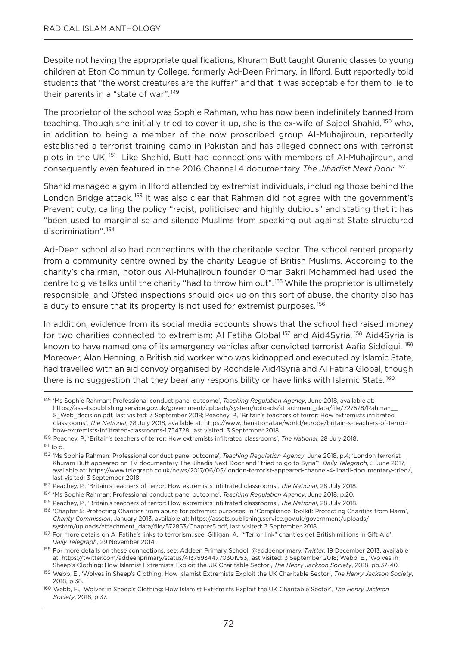Despite not having the appropriate qualifications, Khuram Butt taught Quranic classes to young children at Eton Community College, formerly Ad-Deen Primary, in Ilford. Butt reportedly told students that "the worst creatures are the kuffar" and that it was acceptable for them to lie to their parents in a "state of war".<sup>149</sup>

The proprietor of the school was Sophie Rahman, who has now been indefinitely banned from teaching. Though she initially tried to cover it up, she is the ex-wife of Sajeel Shahid, <sup>150</sup> who, in addition to being a member of the now proscribed group Al-Muhajiroun, reportedly established a terrorist training camp in Pakistan and has alleged connections with terrorist plots in the UK. <sup>151</sup> Like Shahid, Butt had connections with members of Al-Muhajiroun, and consequently even featured in the 2016 Channel 4 documentary *The Jihadist Next Door*. <sup>152</sup>

Shahid managed a gym in Ilford attended by extremist individuals, including those behind the London Bridge attack.<sup>153</sup> It was also clear that Rahman did not agree with the government's Prevent duty, calling the policy "racist, politicised and highly dubious" and stating that it has "been used to marginalise and silence Muslims from speaking out against State structured discrimination". <sup>154</sup>

Ad-Deen school also had connections with the charitable sector. The school rented property from a community centre owned by the charity League of British Muslims. According to the charity's chairman, notorious Al-Muhajiroun founder omar Bakri Mohammed had used the centre to give talks until the charity "had to throw him out".155 While the proprietor is ultimately responsible, and ofsted inspections should pick up on this sort of abuse, the charity also has a duty to ensure that its property is not used for extremist purposes.<sup>156</sup>

In addition, evidence from its social media accounts shows that the school had raised money for two charities connected to extremism: AI Fatiha Global <sup>157</sup> and Aid4Syria. <sup>158</sup> Aid4Syria is known to have named one of its emergency vehicles after convicted terrorist Aafia Siddiqui. <sup>159</sup> Moreover, Alan Henning, a British aid worker who was kidnapped and executed by Islamic State, had travelled with an aid convoy organised by Rochdale Aid4Syria and Al Fatiha Global, though there is no suggestion that they bear any responsibility or have links with Islamic State.<sup>160</sup>

<sup>149</sup> 'Ms Sophie Rahman: Professional conduct panel outcome', *Teaching Regulation Agency*, June 2018, available at: https://assets.publishing.service.gov.uk/government/uploads/system/uploads/attachment\_data/file/727578/Rahman\_\_ S\_Web\_decision.pdf, last visited: 3 September 2018; Peachey, P., 'Britain's teachers of terror: How extremists infiltrated classrooms', *The National*, 28 July 2018, available at: https://www.thenational.ae/world/europe/britain-s-teachers-of-terrorhow-extremists-infiltrated-classrooms-1.754728, last visited: 3 September 2018.

<sup>150</sup> Peachey, P., 'Britain's teachers of terror: How extremists infiltrated classrooms', *The National*, 28 July 2018.

<sup>151</sup> Ibid.

<sup>152</sup> 'Ms Sophie Rahman: Professional conduct panel outcome', *Teaching Regulation Agency*, June 2018, p.4; 'London terrorist Khuram Butt appeared on TV documentary The Jihadis next Door and "tried to go to Syria"', *Daily Telegraph*, 5 June 2017, available at: https://www.telegraph.co.uk/news/2017/06/05/london-terrorist-appeared-channel-4-jihadi-documentary-tried/, last visited: 3 September 2018.

<sup>153</sup> Peachey, P., 'Britain's teachers of terror: How extremists infiltrated classrooms', *The National*, 28 July 2018.

<sup>154</sup> 'Ms Sophie Rahman: Professional conduct panel outcome', *Teaching Regulation Agency*, June 2018, p.20.

<sup>155</sup> Peachey, P., 'Britain's teachers of terror: How extremists infiltrated classrooms', *The National*, 28 July 2018.

<sup>156 &#</sup>x27;Chapter 5: Protecting Charities from abuse for extremist purposes' in 'Compliance Toolkit: Protecting Charities from Harm', *Charity Commission*, January 2013, available at: https://assets.publishing.service.gov.uk/government/uploads/ system/uploads/attachment\_data/file/572853/Chapter5.pdf, last visited: 3 September 2018.

<sup>157</sup> For more details on Al Fatiha's links to terrorism, see: gilligan, A., '"Terror link" charities get British millions in gift Aid', *Daily Telegraph*, 29 november 2014.

<sup>158</sup> For more details on these connections, see: Addeen Primary School, @addeenprimary, *Twitter*, 19 December 2013, available at: https://twitter.com/addeenprimary/status/413759344770301953, last visited: 3 September 2018; Webb, E., 'Wolves in Sheep's Clothing: How Islamist Extremists Exploit the UK Charitable Sector', *The Henry Jackson Society*, 2018, pp.37-40.

<sup>159</sup> Webb, E., 'Wolves in Sheep's Clothing: How Islamist Extremists Exploit the UK Charitable Sector', *The Henry Jackson Society*, 2018, p.38.

<sup>160</sup> Webb, E., 'Wolves in Sheep's Clothing: How Islamist Extremists Exploit the UK Charitable Sector', *The Henry Jackson Society*, 2018, p.37.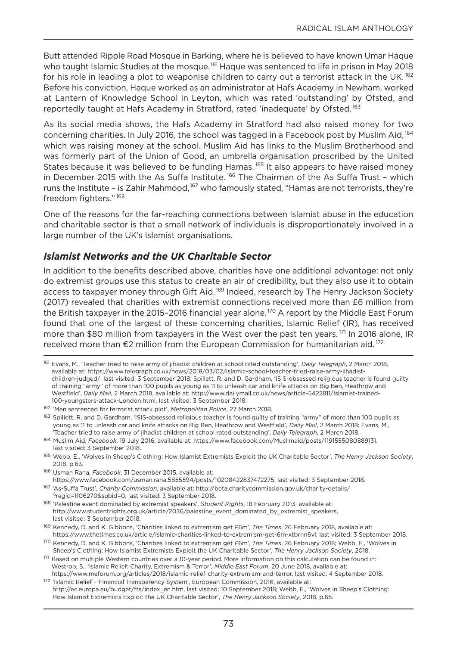Butt attended Ripple Road Mosque in Barking, where he is believed to have known Umar Haque who taught Islamic Studies at the mosque.<sup>161</sup> Haque was sentenced to life in prison in May 2018 for his role in leading a plot to weaponise children to carry out a terrorist attack in the UK.<sup>162</sup> Before his conviction, Haque worked as an administrator at Hafs Academy in newham, worked at Lantern of Knowledge School in Leyton, which was rated 'outstanding' by ofsted, and reportedly taught at Hafs Academy in Stratford, rated 'inadequate' by Ofsted.<sup>163</sup>

As its social media shows, the Hafs Academy in Stratford had also raised money for two concerning charities. In July 2016, the school was tagged in a Facebook post by Muslim Aid,<sup>164</sup> which was raising money at the school. Muslim Aid has links to the Muslim Brotherhood and was formerly part of the Union of good, an umbrella organisation proscribed by the United States because it was believed to be funding Hamas.<sup>165</sup> It also appears to have raised money in December 2015 with the As Suffa Institute.<sup>166</sup> The Chairman of the As Suffa Trust - which runs the Institute - is Zahir Mahmood,<sup>167</sup> who famously stated, "Hamas are not terrorists, they're freedom fighters." <sup>168</sup>

one of the reasons for the far-reaching connections between Islamist abuse in the education and charitable sector is that a small network of individuals is disproportionately involved in a large number of the UK's Islamist organisations.

## *Islamist Networks and the UK Charitable Sector*

In addition to the benefits described above, charities have one additional advantage: not only do extremist groups use this status to create an air of credibility, but they also use it to obtain access to taxpayer money through Gift Aid.<sup>169</sup> Indeed, research by The Henry Jackson Society (2017) revealed that charities with extremist connections received more than £6 million from the British taxpayer in the 2015-2016 financial year alone.<sup>170</sup> A report by the Middle East Forum found that one of the largest of these concerning charities, Islamic Relief (IR), has received more than \$80 million from taxpayers in the West over the past ten years. <sup>171</sup> In 2016 alone, IR received more than €2 million from the European Commission for humanitarian aid.<sup>172</sup>

- <sup>166</sup> Usman Rana, *Facebook*, 31 December 2015, available at: https://www.facebook.com/usman.rana.5855594/posts/10208422837472275, last visited: 3 September 2018. <sup>167</sup> 'As-Suffa Trust', *Charity Commission*, available at: http://beta.charitycommission.gov.uk/charity-details/
- ?regid=1106270&subid=0, last visited: 3 September 2018.
- <sup>168</sup> 'Palestine event dominated by extremist speakers', *Student Rights*, 18 February 2013, available at: http://www.studentrights.org.uk/article/2036/palestine\_event\_dominated\_by\_extremist\_speakers, last visited: 3 September 2018.

<sup>169</sup> Kennedy, D. and K. gibbons, 'Charities linked to extremism get £6m', *The Times*, 26 February 2018, available at: https://www.thetimes.co.uk/article/islamic-charities-linked-to-extremism-get-6m-xtbrnn6vl, last visited: 3 September 2018.

<sup>161</sup> Evans, M., 'Teacher tried to raise army of jihadist children at school rated outstanding', *Daily Telegraph*, 2 March 2018, available at: https://www.telegraph.co.uk/news/2018/03/02/islamic-school-teacher-tried-raise-army-jihadistchildren-judged/, last visited: 3 September 2018; Spillett, R. and D. gardham, 'ISIS-obsessed religious teacher is found guilty of training "army" of more than 100 pupils as young as 11 to unleash car and knife attacks on Big Ben, Heathrow and Westfield', *Daily Mail*, 2 March 2018, available at: http://www.dailymail.co.uk/news/article-5422811/Islamist-trained-100-youngsters-attack-London.html, last visited: 3 September 2018.

<sup>162</sup> 'Men sentenced for terrorist attack plot', *Metropolitan Police*, 27 March 2018.

<sup>&</sup>lt;sup>163</sup> Spillett, R. and D. Gardham, 'ISIS-obsessed religious teacher is found guilty of training "army" of more than 100 pupils as young as 11 to unleash car and knife attacks on Big Ben, Heathrow and Westfield', *Daily Mail*, 2 March 2018; Evans, M., 'Teacher tried to raise army of jihadist children at school rated outstanding', *Daily Telegraph*, 2 March 2018.

<sup>164</sup> Muslim Aid, *Facebook*, 19 July 2016, available at: https://www.facebook.com/Muslimaid/posts/1191555080889131, last visited: 3 September 2018.

<sup>165</sup> Webb, E., 'Wolves in Sheep's Clothing: How Islamist Extremists Exploit the UK Charitable Sector', *The Henry Jackson Society*, 2018, p.63.

<sup>170</sup> Kennedy, D. and K. gibbons, 'Charities linked to extremism get £6m', *The Times*, 26 February 2018; Webb, E., 'Wolves in Sheep's Clothing: How Islamist Extremists Exploit the UK Charitable Sector', *The Henry Jackson Society*, 2018.

<sup>171</sup> Based on multiple Western countries over a 10-year period. More information on this calculation can be found in: Westrop, S., 'Islamic Relief: Charity, Extremism & Terror', *Middle East Forum*, 20 June 2018, available at: https://www.meforum.org/articles/2018/islamic-relief-charity-extremism-and-terror, last visited: 4 September 2018.

<sup>172 &#</sup>x27;Islamic Relief - Financial Transparency System', European Commission, 2016, available at: http://ec.europa.eu/budget/fts/index\_en.htm, last visited: 10 September 2018; Webb, E., 'Wolves in Sheep's Clothing: How Islamist Extremists Exploit the UK Charitable Sector', *The Henry Jackson Society*, 2018, p.65.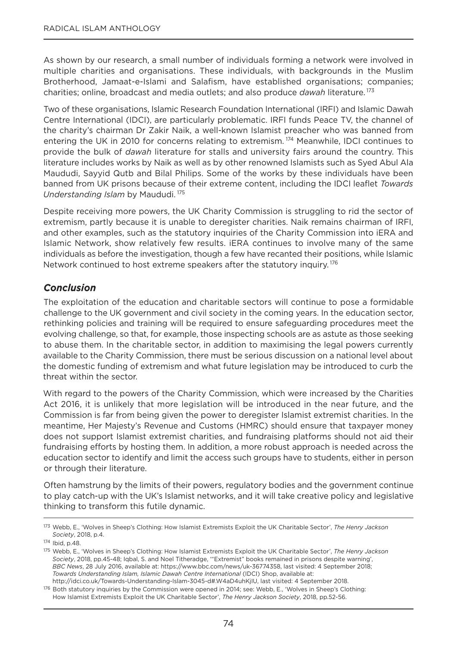As shown by our research, a small number of individuals forming a network were involved in multiple charities and organisations. These individuals, with backgrounds in the Muslim Brotherhood, Jamaat-e-Islami and Salafism, have established organisations; companies; charities; online, broadcast and media outlets; and also produce *dawah* literature. <sup>173</sup>

Two of these organisations, Islamic Research Foundation International (IRFI) and Islamic Dawah Centre International (IDCI), are particularly problematic. IRFI funds Peace TV, the channel of the charity's chairman Dr Zakir Naik, a well-known Islamist preacher who was banned from entering the UK in 2010 for concerns relating to extremism.<sup>174</sup> Meanwhile, IDCI continues to provide the bulk of *dawah* literature for stalls and university fairs around the country. This literature includes works by Naik as well as by other renowned Islamists such as Syed Abul Ala Maududi, Sayyid Qutb and Bilal Philips. Some of the works by these individuals have been banned from UK prisons because of their extreme content, including the IDCI leaflet *Towards Understanding Islam* by Maududi. <sup>175</sup>

Despite receiving more powers, the UK Charity Commission is struggling to rid the sector of extremism, partly because it is unable to deregister charities. Naik remains chairman of IRFI, and other examples, such as the statutory inquiries of the Charity Commission into iERA and Islamic network, show relatively few results. iERA continues to involve many of the same individuals as before the investigation, though a few have recanted their positions, while Islamic Network continued to host extreme speakers after the statutory inquiry.<sup>176</sup>

## *Conclusion*

The exploitation of the education and charitable sectors will continue to pose a formidable challenge to the UK government and civil society in the coming years. In the education sector, rethinking policies and training will be required to ensure safeguarding procedures meet the evolving challenge, so that, for example, those inspecting schools are as astute as those seeking to abuse them. In the charitable sector, in addition to maximising the legal powers currently available to the Charity Commission, there must be serious discussion on a national level about the domestic funding of extremism and what future legislation may be introduced to curb the threat within the sector.

With regard to the powers of the Charity Commission, which were increased by the Charities Act 2016, it is unlikely that more legislation will be introduced in the near future, and the Commission is far from being given the power to deregister Islamist extremist charities. In the meantime, Her Majesty's Revenue and Customs (HMRC) should ensure that taxpayer money does not support Islamist extremist charities, and fundraising platforms should not aid their fundraising efforts by hosting them. In addition, a more robust approach is needed across the education sector to identify and limit the access such groups have to students, either in person or through their literature.

often hamstrung by the limits of their powers, regulatory bodies and the government continue to play catch-up with the UK's Islamist networks, and it will take creative policy and legislative thinking to transform this futile dynamic.

<sup>173</sup> Webb, E., 'Wolves in Sheep's Clothing: How Islamist Extremists Exploit the UK Charitable Sector', *The Henry Jackson Society*, 2018, p.4.

<sup>174</sup> Ibid, p.48.

<sup>175</sup> Webb, E., 'Wolves in Sheep's Clothing: How Islamist Extremists Exploit the UK Charitable Sector', *The Henry Jackson Society*, 2018, pp.45-48; Iqbal, S. and Noel Titheradge, "Extremist" books remained in prisons despite warning', *BBC News*, 28 July 2016, available at: https://www.bbc.com/news/uk-36774358, last visited: 4 September 2018; *Towards Understanding Islam, Islamic Dawah Centre International* (IDCI) Shop, available at: http://idci.co.uk/Towards-Understanding-Islam-3045-d#.W4aD4uhKjIU, last visited: 4 September 2018.

<sup>176</sup> Both statutory inquiries by the Commission were opened in 2014; see: Webb, E., 'Wolves in Sheep's Clothing: How Islamist Extremists Exploit the UK Charitable Sector', *The Henry Jackson Society*, 2018, pp.52-56.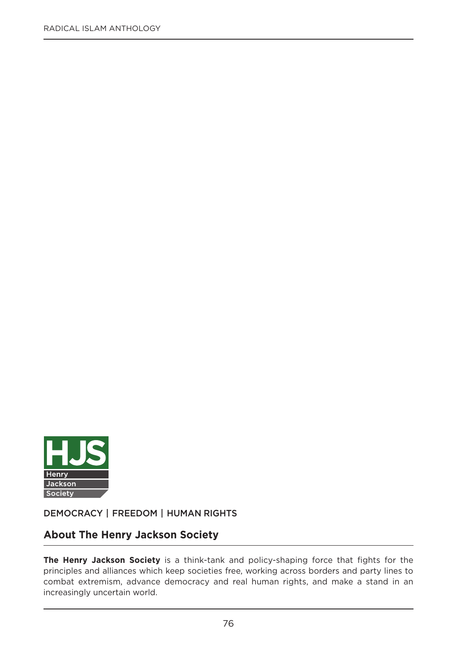

**DEMOCRACY | FREEDOM | HUMAN RIGHTS**

## **About The Henry Jackson Society**

**The Henry Jackson Society** is a think-tank and policy-shaping force that fights for the principles and alliances which keep societies free, working across borders and party lines to combat extremism, advance democracy and real human rights, and make a stand in an increasingly uncertain world.